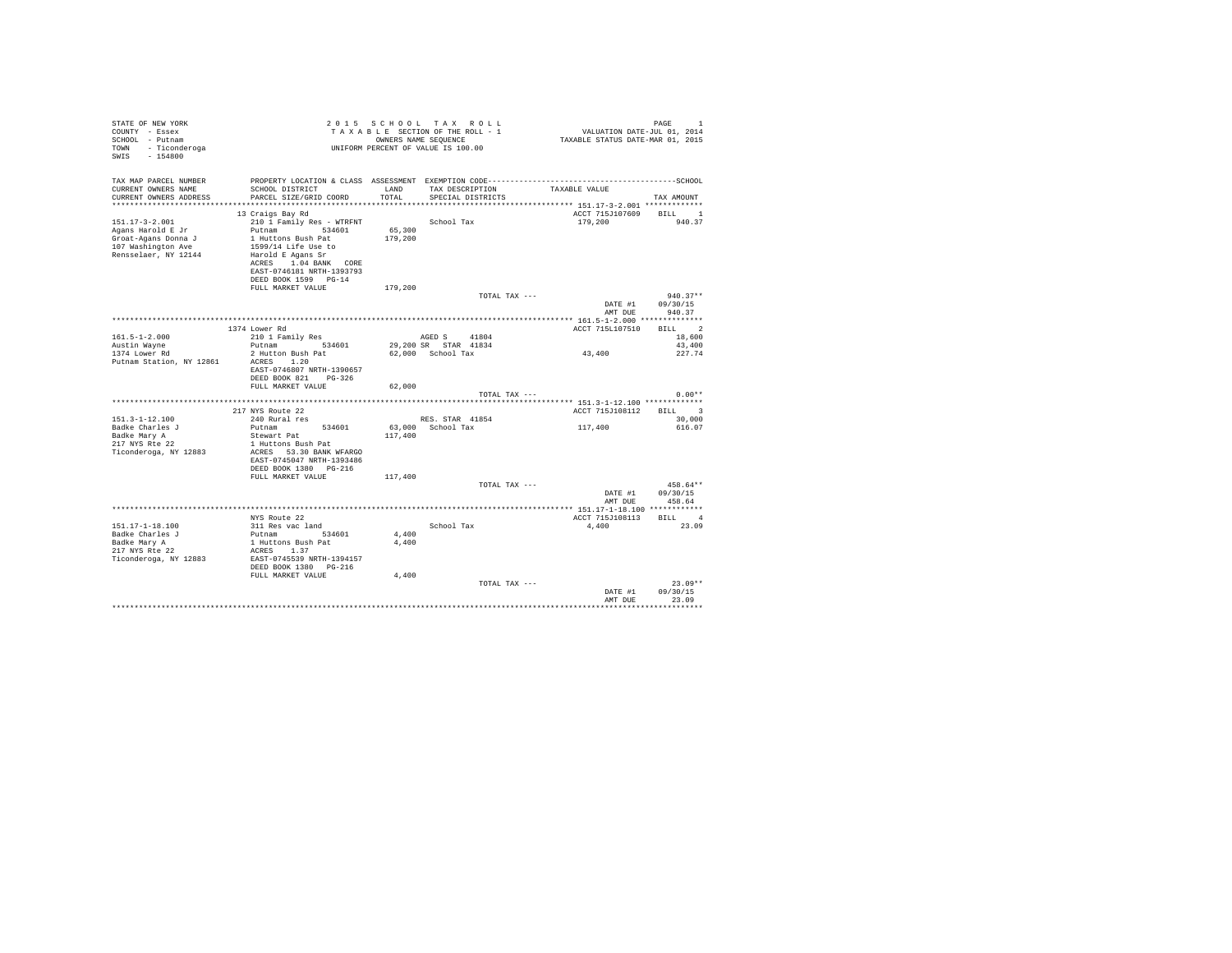| STATE OF NEW YORK<br>COUNTY - Essex<br>SCHOOL - Putnam<br>TOWN - Ticonderoga<br>SWIS - 154800 | UNIFORM PERCENT OF VALUE IS 100.00                                                                      |                   | 2015 SCHOOL TAX ROLL<br>PAGE 1 PAGE 1 PAGE 2 PAGE 2 PAGE 2 PAGE 2 PAGE 2 PAGE 2 PAGE 2 PAGE 2 PAGE 2 PAGE 2 PAGE 2 PAGE 2 PAGE 2 PAGE 2 PAGE 2 PAGE 2 PAGE 2 PAGE 2 PAGE 2 PAGE 2 PAGE 2 PAGE 2 PAGE 2 PAGE 2 PAGE 2 PAGE 2 PAGE 2 PAGE 2 PAGE 2 PAGE<br>OWNERS NAME SEQUENCE |                        | PAGE<br>$\overline{1}$ |
|-----------------------------------------------------------------------------------------------|---------------------------------------------------------------------------------------------------------|-------------------|-------------------------------------------------------------------------------------------------------------------------------------------------------------------------------------------------------------------------------------------------------------------------------|------------------------|------------------------|
| TAX MAP PARCEL NUMBER<br>CURRENT OWNERS NAME<br>CURRENT OWNERS ADDRESS                        | SCHOOL DISTRICT<br>PARCEL SIZE/GRID COORD                                                               | LAND<br>TOTAL     | TAX DESCRIPTION TAXABLE VALUE<br>SPECIAL DISTRICTS                                                                                                                                                                                                                            |                        | TAX AMOUNT             |
|                                                                                               |                                                                                                         |                   |                                                                                                                                                                                                                                                                               |                        |                        |
|                                                                                               | 13 Craigs Bay Rd                                                                                        |                   |                                                                                                                                                                                                                                                                               | ACCT 715J107609        | BILL 1                 |
| 151.17-3-2.001                                                                                | 210 1 Family Res - WTRFNT School Tax                                                                    |                   |                                                                                                                                                                                                                                                                               | 179,200                | 940.37                 |
| Agans Harold E Jr<br>Groat-Agans Donna J<br>107 Washington Ave<br>Rensselaer, NY 12144        | Putnam 534601<br>1 Huttons Bush Pat<br>1599/14 Life Use to<br>Harold E Agans Sr<br>ACRES 1.04 BANK CORE | 65,300<br>179,200 |                                                                                                                                                                                                                                                                               |                        |                        |
|                                                                                               | EAST-0746181 NRTH-1393793<br>DEED BOOK 1599 PG-14                                                       |                   |                                                                                                                                                                                                                                                                               |                        |                        |
|                                                                                               | FULL MARKET VALUE                                                                                       | 179,200           |                                                                                                                                                                                                                                                                               |                        |                        |
|                                                                                               |                                                                                                         |                   | TOTAL TAX ---                                                                                                                                                                                                                                                                 |                        | $940.37**$             |
|                                                                                               |                                                                                                         |                   |                                                                                                                                                                                                                                                                               | DATE #1                | 09/30/15               |
|                                                                                               |                                                                                                         |                   |                                                                                                                                                                                                                                                                               | AMT DUE                | 940.37                 |
|                                                                                               |                                                                                                         |                   |                                                                                                                                                                                                                                                                               |                        |                        |
| $161.5 - 1 - 2.000$                                                                           | 1374 Lower Rd<br>210 1 Family Res                                                                       |                   | AGED S 41804                                                                                                                                                                                                                                                                  | ACCT 715L107510        | BILL 2<br>18,600       |
| Austin Wayne                                                                                  | Putnam 534601 29,200 SR STAR 41834                                                                      |                   |                                                                                                                                                                                                                                                                               |                        | 43,400                 |
| 1374 Lower Rd                                                                                 | 2 Hutton Bush Pat                                                                                       |                   | 62,000 School Tax                                                                                                                                                                                                                                                             | 43,400                 | 227.74                 |
| Putnam Station, NY 12861                                                                      | ACRES 1.20<br>EAST-0746807 NRTH-1390657<br>DEED BOOK 821 PG-326<br>FULL MARKET VALUE                    | 62,000            |                                                                                                                                                                                                                                                                               |                        |                        |
|                                                                                               |                                                                                                         |                   | TOTAL TAX ---                                                                                                                                                                                                                                                                 |                        | $0.00**$               |
|                                                                                               |                                                                                                         |                   |                                                                                                                                                                                                                                                                               |                        |                        |
|                                                                                               | 217 NYS Route 22                                                                                        |                   |                                                                                                                                                                                                                                                                               | ACCT 715J108112 BILL 3 |                        |
| $151.3 - 1 - 12.100$                                                                          | 240 Rural res                                                                                           |                   | RES. STAR 41854                                                                                                                                                                                                                                                               |                        | 30,000                 |
| Badke Charles J                                                                               | Putnam<br>534601                                                                                        |                   | 63,000 School Tax                                                                                                                                                                                                                                                             | 117,400                | 616.07                 |
| Badke Mary A<br>217 NYS Rte 22                                                                | Stewart Pat<br>1 Huttons Bush Pat                                                                       | 117,400           |                                                                                                                                                                                                                                                                               |                        |                        |
| Ticonderoga, NY 12883                                                                         | ACRES 53.30 BANK WFARGO                                                                                 |                   |                                                                                                                                                                                                                                                                               |                        |                        |
|                                                                                               | EAST-0745047 NRTH-1393486                                                                               |                   |                                                                                                                                                                                                                                                                               |                        |                        |
|                                                                                               | DEED BOOK 1380 PG-216                                                                                   |                   |                                                                                                                                                                                                                                                                               |                        |                        |
|                                                                                               | FULL MARKET VALUE                                                                                       | 117,400           |                                                                                                                                                                                                                                                                               |                        | 458.64**               |
|                                                                                               |                                                                                                         |                   | TOTAL TAX ---                                                                                                                                                                                                                                                                 | DATE #1                | 09/30/15               |
|                                                                                               |                                                                                                         |                   |                                                                                                                                                                                                                                                                               | AMT DUE                | 458.64                 |
|                                                                                               |                                                                                                         |                   |                                                                                                                                                                                                                                                                               |                        |                        |
|                                                                                               | NYS Route 22                                                                                            |                   |                                                                                                                                                                                                                                                                               | ACCT 715J108113 BILL 4 |                        |
| 151.17-1-18.100                                                                               | 311 Res vac land                                                                                        |                   | School Tax                                                                                                                                                                                                                                                                    | 4,400                  | 23.09                  |
| Badke Charles J                                                                               | Putnam 534601                                                                                           | 4,400             |                                                                                                                                                                                                                                                                               |                        |                        |
| Badke Mary A<br>217 NYS Rte 22                                                                | 1 Huttons Bush Pat<br>ACRES 1.37                                                                        | 4,400             |                                                                                                                                                                                                                                                                               |                        |                        |
| Ticonderoga, NY 12883                                                                         | EAST-0745539 NRTH-1394157                                                                               |                   |                                                                                                                                                                                                                                                                               |                        |                        |
|                                                                                               | DEED BOOK 1380 PG-216                                                                                   |                   |                                                                                                                                                                                                                                                                               |                        |                        |
|                                                                                               | FULL MARKET VALUE                                                                                       | 4,400             |                                                                                                                                                                                                                                                                               |                        |                        |
|                                                                                               |                                                                                                         |                   | TOTAL TAX ---                                                                                                                                                                                                                                                                 |                        | $23.09**$              |
|                                                                                               |                                                                                                         |                   |                                                                                                                                                                                                                                                                               | DATE #1                | 09/30/15               |
|                                                                                               |                                                                                                         |                   |                                                                                                                                                                                                                                                                               | AMT DUR                | 23.09                  |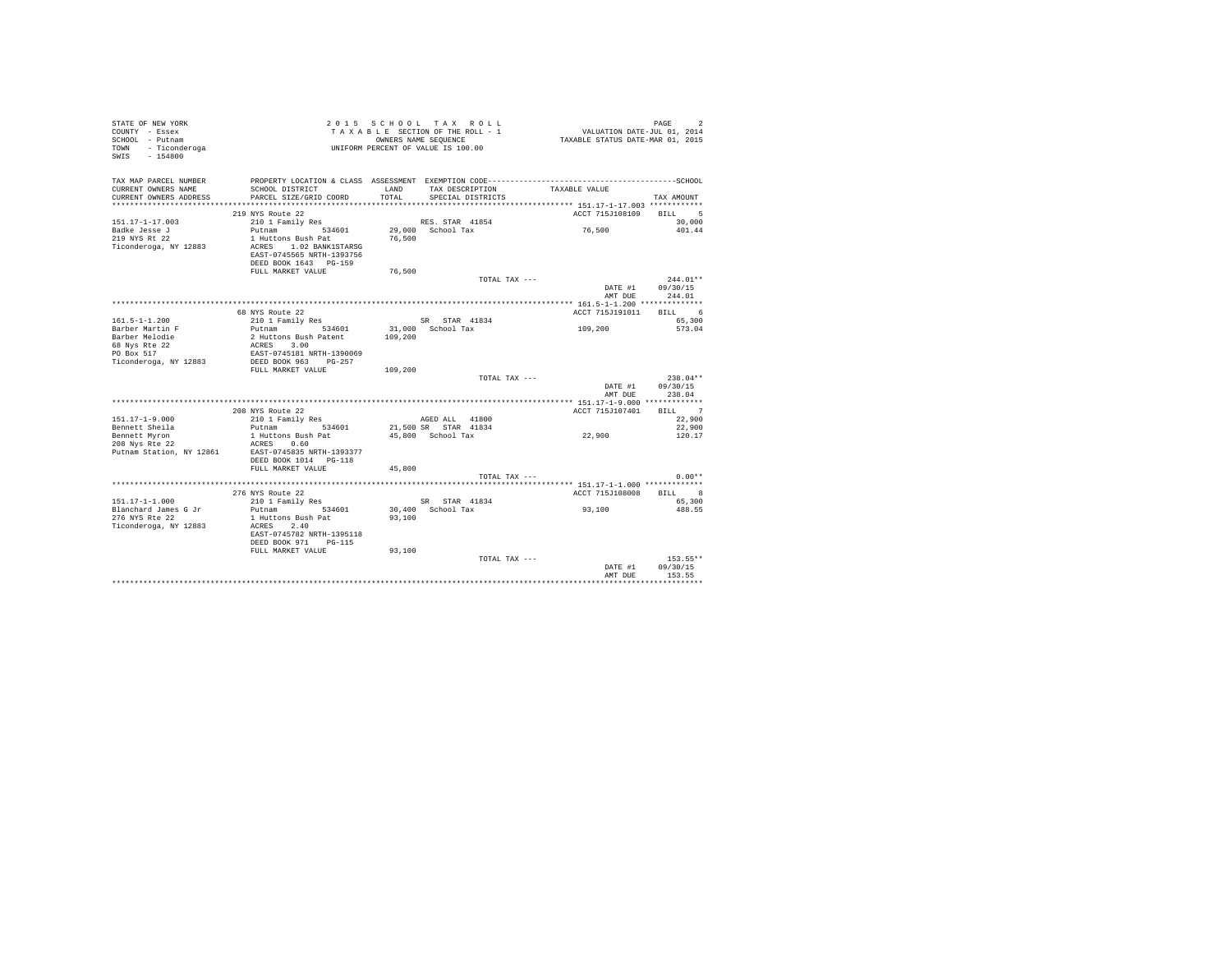|                                                      |                                                                                       | TOTAL TAX ---                                                                                                                          | 153.55**<br>09/30/15<br>DATE #1<br>AMT DUR<br>153.55                                  |
|------------------------------------------------------|---------------------------------------------------------------------------------------|----------------------------------------------------------------------------------------------------------------------------------------|---------------------------------------------------------------------------------------|
| Ticonderoga, NY 12883                                | ACRES 2.40<br>EAST-0745782 NRTH-1395118<br>DEED BOOK 971 PG-115<br>FULL MARKET VALUE  | 93,100                                                                                                                                 |                                                                                       |
| Blanchard James G Jr<br>276 NYS Rte 22               | Putnam 534601<br>1 Huttons Bush Pat                                                   | 30.400 School Tax<br>93,100                                                                                                            | 93,100<br>488.55                                                                      |
| $151.17 - 1 - 1.000$                                 | 276 NYS Route 22<br>210 1 Family Res                                                  | SR STAR 41834                                                                                                                          | BILL 8<br>ACCT 715J108008<br>65,300                                                   |
|                                                      |                                                                                       | TOTAL TAX ---                                                                                                                          | $0.00**$<br>********* 151.17-1-1.000 *************                                    |
| 208 Nys Rte 22<br>Putnam Station, NY 12861           | ACRES 0.60<br>EAST-0745835 NRTH-1393377<br>DEED BOOK 1014 PG-118<br>FULL MARKET VALUE | 45,800                                                                                                                                 |                                                                                       |
| Bennett Sheila<br>Bennett Myron                      | Putnam 534601<br>1 Huttons Bush Pat                                                   | 21,500 SR STAR 41834<br>45,800 School Tax                                                                                              | 22,900<br>22,900<br>120.17                                                            |
| $151.17 - 1 - 9.000$                                 | 208 NYS Route 22<br>210 1 Family Res                                                  | AGED ALL 41800                                                                                                                         | BILL 7<br>ACCT 715J107401<br>22,900                                                   |
|                                                      |                                                                                       |                                                                                                                                        | 238.04<br>AMT DUE                                                                     |
|                                                      |                                                                                       | TOTAL TAX ---                                                                                                                          | 09/30/15<br>DATE #1                                                                   |
| 68 Nys Rte 22<br>PO Box 517<br>Ticonderoga, NY 12883 | EAST-0745181 NRTH-1390069<br>DEED BOOK 963 PG-257<br>FULL MARKET VALUE                | 109,200                                                                                                                                | $238.04**$                                                                            |
| Barber Melodie                                       | 2 Huttons Bush Patent<br>ACRES 3.00                                                   | 109,200                                                                                                                                |                                                                                       |
| $161.5 - 1 - 1.200$<br>Barber Martin F               | 210 1 Family Res<br>Putnam 534601                                                     | SR STAR 41834<br>31,000 School Tax                                                                                                     | 65,300<br>109,200<br>573.04                                                           |
|                                                      | 68 NYS Route 22                                                                       |                                                                                                                                        | ACCT 715.7191011<br>RTLL 6                                                            |
|                                                      |                                                                                       |                                                                                                                                        | DATE #1 09/30/15<br>244.01<br>AMT DUE                                                 |
|                                                      | FULL MARKET VALUE                                                                     | 76,500<br>TOTAL TAX ---                                                                                                                | $244.01**$                                                                            |
| Ticonderoga, NY 12883                                | ACRES 1.02 BANK1STARSG<br>EAST-0745565 NRTH-1393756<br>DEED BOOK 1643 PG-159          |                                                                                                                                        |                                                                                       |
| Badke Jesse J<br>219 NYS Rt 22                       | Putnam 534601<br>1 Huttons Bush Pat                                                   | 29,000 School Tax<br>76,500                                                                                                            | 76,500<br>401.44                                                                      |
| $151.17 - 1 - 17.003$                                | 219 NYS Route 22<br>210 1 Family Res                                                  | RES. STAR 41854                                                                                                                        | ACCT 715J108109<br>BILL 5<br>30,000                                                   |
| CURRENT OWNERS ADDRESS                               | PARCEL SIZE/GRID COORD                                                                | TOTAL.<br>SPECIAL DISTRICTS                                                                                                            | TAX AMOUNT                                                                            |
| TAX MAP PARCEL NUMBER<br>CURRENT OWNERS NAME         | SCHOOL DISTRICT                                                                       | PROPERTY LOCATION & CLASS ASSESSMENT EXEMPTION CODE-----------------------------------SCHOOL<br>TAX DESCRIPTION TAXABLE VALUE<br>T.AND |                                                                                       |
| TOWN - Ticonderoga<br>SWIS - 154800                  |                                                                                       | UNIFORM PERCENT OF VALUE IS 100.00                                                                                                     |                                                                                       |
| COUNTY - Essex                                       |                                                                                       |                                                                                                                                        |                                                                                       |
| STATE OF NEW YORK<br>SCHOOL - Putnam                 |                                                                                       | 2015 SCHOOL TAX ROLL<br>TAXABLE SECTION OF THE ROLL - 1<br>OWNERS NAME SEQUENCE                                                        | PAGE<br>$\mathfrak{D}$<br>4<br>710. VALUATION DATE-JUL<br>71. TAXABLE STATUS DATE-MAR |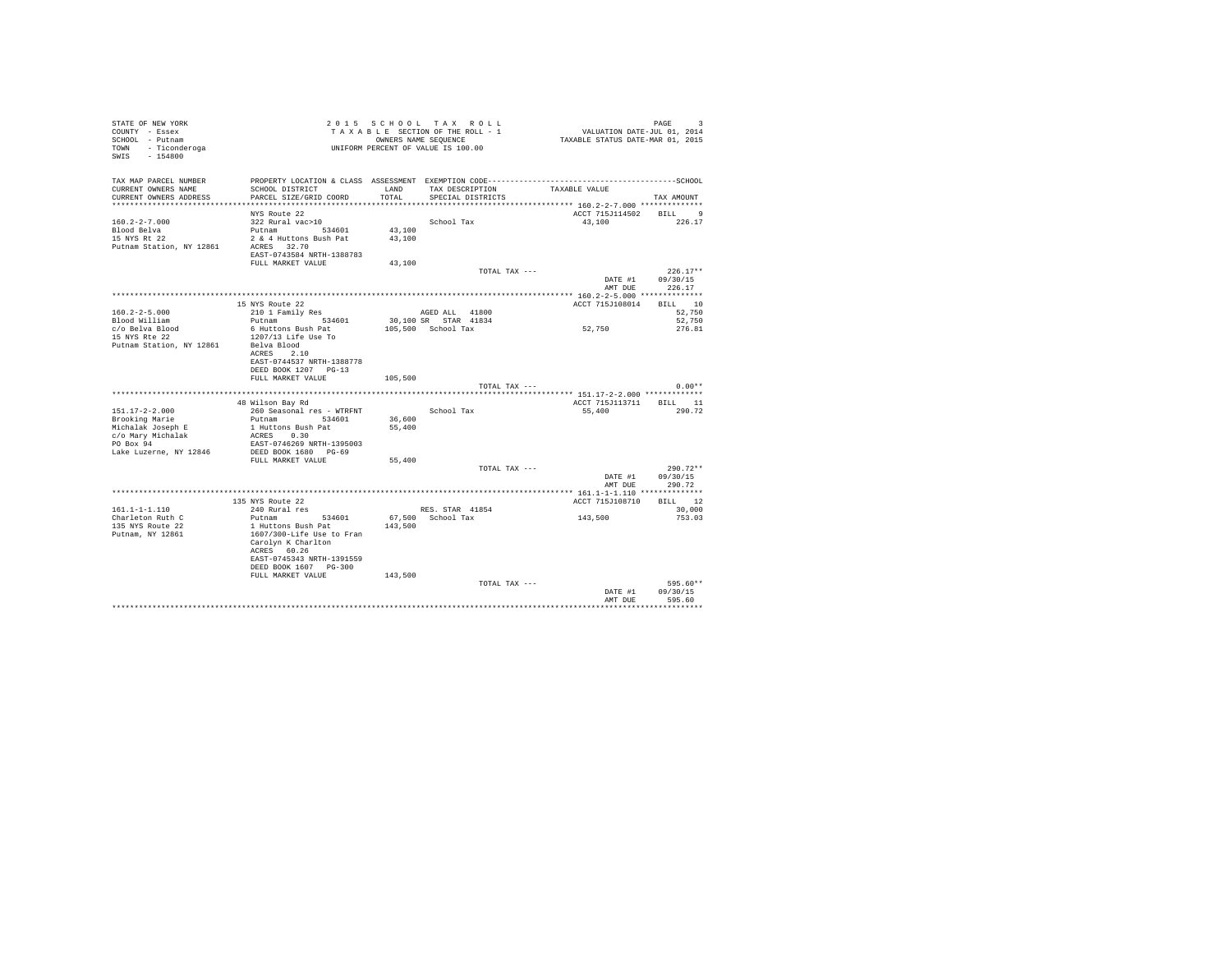| STATE OF NEW YORK<br>COUNTY - Essex<br>SCHOOL - Putnam<br>TOWN - Ticonderoga<br>SWIS - 154800 |                                                                                                                 |         | 2015 SCHOOL TAX ROLL<br>2015 SCHOOL TAX ROLL<br>TAXABLE SECTION OF THE ROLL - 1<br>OWNERS NAME SEQUENCE<br>UNIFORM PERCENT OF VALUE IS 100.00 | PAGE 9<br>101, VALUATION DATE-JUL 01, 2014<br>2015 TAXABLE STATUS DATE-MAR | PAGE<br>-3       |  |
|-----------------------------------------------------------------------------------------------|-----------------------------------------------------------------------------------------------------------------|---------|-----------------------------------------------------------------------------------------------------------------------------------------------|----------------------------------------------------------------------------|------------------|--|
| TAX MAP PARCEL NUMBER<br>CURRENT OWNERS NAME                                                  | PROPERTY LOCATION & CLASS ASSESSMENT EXEMPTION CODE-----------------------------------SCHOOL<br>SCHOOL DISTRICT | LAND    | TAX DESCRIPTION                                                                                                                               | TAXABLE VALUE                                                              |                  |  |
| CURRENT OWNERS ADDRESS                                                                        | PARCEL SIZE/GRID COORD                                                                                          | TOTAL   | SPECIAL DISTRICTS                                                                                                                             |                                                                            | TAX AMOUNT       |  |
|                                                                                               |                                                                                                                 |         |                                                                                                                                               |                                                                            |                  |  |
| $160.2 - 2 - 7.000$                                                                           | NYS Route 22<br>322 Rural vac>10                                                                                |         | School Tax                                                                                                                                    | ACCT 715J114502 BILL 9<br>43.100 226.17                                    |                  |  |
| Blood Belva                                                                                   | Putnam 534601                                                                                                   | 43,100  |                                                                                                                                               |                                                                            |                  |  |
| 15 NYS Rt 22                                                                                  | 2 & 4 Huttons Bush Pat                                                                                          | 43,100  |                                                                                                                                               |                                                                            |                  |  |
| Putnam Station, NY 12861                                                                      | ACRES 32.70                                                                                                     |         |                                                                                                                                               |                                                                            |                  |  |
|                                                                                               | EAST-0743584 NRTH-1388783                                                                                       |         |                                                                                                                                               |                                                                            |                  |  |
|                                                                                               | FULL MARKET VALUE                                                                                               | 43,100  | TOTAL TAX ---                                                                                                                                 |                                                                            | $226.17**$       |  |
|                                                                                               |                                                                                                                 |         |                                                                                                                                               | DATE #1                                                                    | 09/30/15         |  |
|                                                                                               |                                                                                                                 |         |                                                                                                                                               | AMT DUR                                                                    | 226.17           |  |
|                                                                                               |                                                                                                                 |         |                                                                                                                                               |                                                                            |                  |  |
|                                                                                               | 15 NYS Route 22                                                                                                 |         |                                                                                                                                               | ACCT 715J108014 BILL 10                                                    |                  |  |
| $160.2 - 2 - 5.000$<br>Blood William                                                          | 210 1 Family Res<br>Putnam 534601                                                                               |         | AGED ALL 41800<br>30,100 SR STAR 41834                                                                                                        |                                                                            | 52,750<br>52.750 |  |
| c/o Belva Blood                                                                               | 6 Huttons Bush Pat                                                                                              |         | 105,500 School Tax                                                                                                                            | 52,750                                                                     | 276.81           |  |
| 15 NYS Rte 22                                                                                 | 1207/13 Life Use To                                                                                             |         |                                                                                                                                               |                                                                            |                  |  |
| Putnam Station, NY 12861                                                                      | Belva Blood                                                                                                     |         |                                                                                                                                               |                                                                            |                  |  |
|                                                                                               | ACRES 2.10                                                                                                      |         |                                                                                                                                               |                                                                            |                  |  |
|                                                                                               | EAST-0744537 NRTH-1388778<br>DEED BOOK 1207 PG-13                                                               |         |                                                                                                                                               |                                                                            |                  |  |
|                                                                                               | FULL MARKET VALUE                                                                                               | 105,500 |                                                                                                                                               |                                                                            |                  |  |
|                                                                                               |                                                                                                                 |         | TOTAL TAX ---                                                                                                                                 |                                                                            | $0.00**$         |  |
|                                                                                               |                                                                                                                 |         |                                                                                                                                               |                                                                            |                  |  |
| $151.17 - 2 - 2.000$                                                                          | 48 Wilson Bay Rd                                                                                                |         |                                                                                                                                               | ACCT 715J113711 BILL 11                                                    |                  |  |
| Brooking Marie                                                                                | 260 Seasonal res - WTRFNT<br>Putnam 534601                                                                      | 36,600  | School Tax                                                                                                                                    | 55,400                                                                     | 290.72           |  |
| Michalak Joseph E                                                                             | 1 Huttons Bush Pat                                                                                              | 55,400  |                                                                                                                                               |                                                                            |                  |  |
| c/o Mary Michalak                                                                             | ACRES 0.30                                                                                                      |         |                                                                                                                                               |                                                                            |                  |  |
| PO Box 94                                                                                     | EAST-0746269 NRTH-1395003                                                                                       |         |                                                                                                                                               |                                                                            |                  |  |
| Lake Luzerne, NY 12846                                                                        | DEED BOOK 1680 PG-69<br>FULL MARKET VALUE                                                                       | 55,400  |                                                                                                                                               |                                                                            |                  |  |
|                                                                                               |                                                                                                                 |         | TOTAL TAX ---                                                                                                                                 |                                                                            | $290.72**$       |  |
|                                                                                               |                                                                                                                 |         |                                                                                                                                               |                                                                            | DATE #1 09/30/15 |  |
|                                                                                               |                                                                                                                 |         |                                                                                                                                               | AMT DUE                                                                    | 290.72           |  |
|                                                                                               |                                                                                                                 |         |                                                                                                                                               |                                                                            |                  |  |
| $161.1 - 1 - 1.110$                                                                           | 135 NYS Route 22<br>240 Rural res                                                                               |         | RES. STAR 41854                                                                                                                               | ACCT 715J108710 BILL 12                                                    | 30,000           |  |
| Charleton Ruth C                                                                              | Putnam 534601                                                                                                   |         | 67,500 School Tax                                                                                                                             | 143,500                                                                    | 753.03           |  |
| 135 NYS Route 22                                                                              | 1 Huttons Bush Pat                                                                                              | 143,500 |                                                                                                                                               |                                                                            |                  |  |
| Putnam, NY 12861                                                                              | 1607/300-Life Use to Fran                                                                                       |         |                                                                                                                                               |                                                                            |                  |  |
|                                                                                               | Carolyn K Charlton                                                                                              |         |                                                                                                                                               |                                                                            |                  |  |
|                                                                                               | ACRES 60.26<br>EAST-0745343 NRTH-1391559                                                                        |         |                                                                                                                                               |                                                                            |                  |  |
|                                                                                               | DEED BOOK 1607 PG-300                                                                                           |         |                                                                                                                                               |                                                                            |                  |  |
|                                                                                               | FULL MARKET VALUE                                                                                               | 143,500 |                                                                                                                                               |                                                                            |                  |  |
|                                                                                               |                                                                                                                 |         | TOTAL TAX ---                                                                                                                                 |                                                                            | 595.60**         |  |
|                                                                                               |                                                                                                                 |         |                                                                                                                                               | DATE #1                                                                    | 09/30/15         |  |
|                                                                                               |                                                                                                                 |         |                                                                                                                                               | AMT DUE                                                                    | 595.60           |  |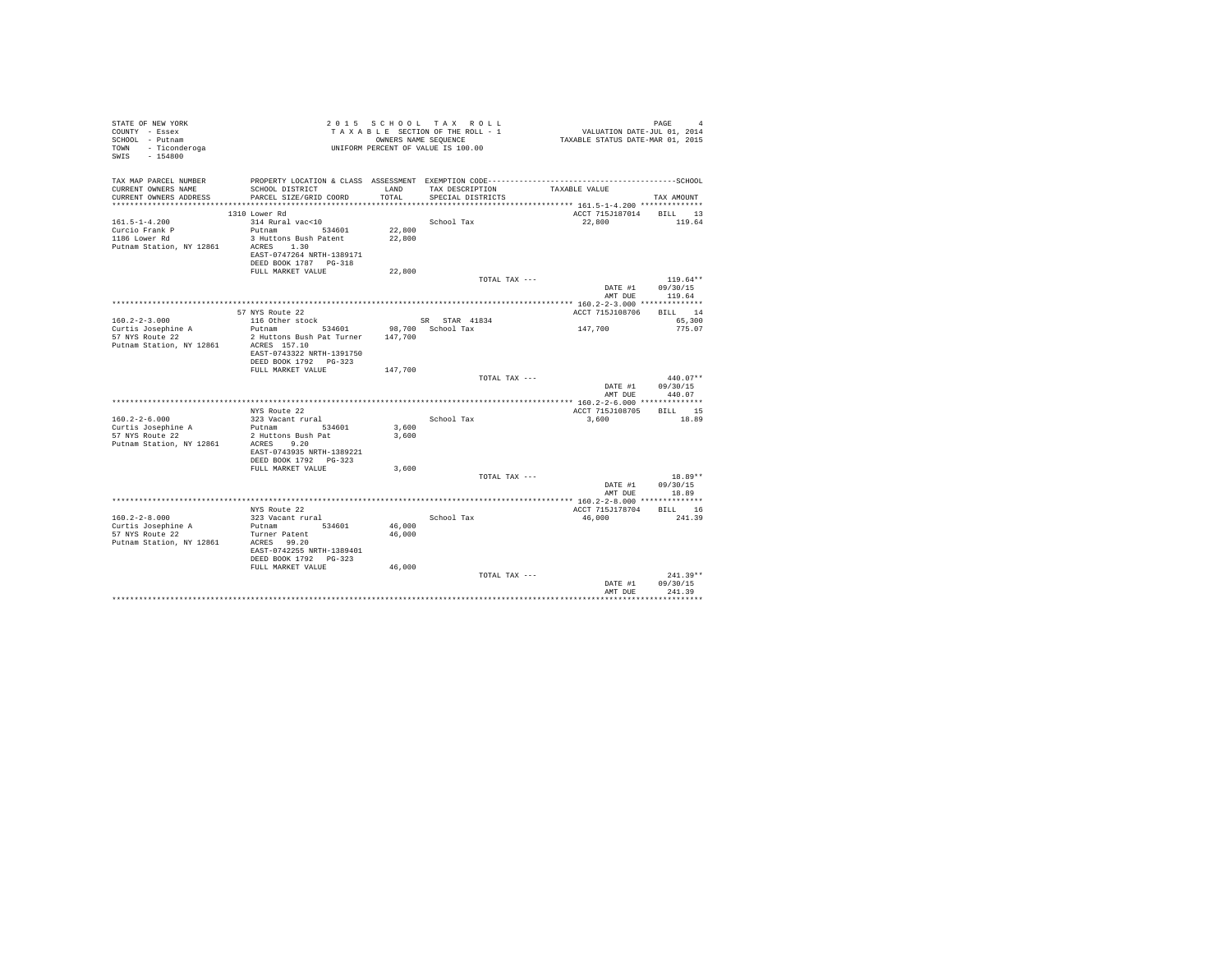| TAX DESCRIPTION<br>CURRENT OWNERS NAME<br>SCHOOL DISTRICT<br>LAND<br>TAXABLE VALUE<br>PARCEL SIZE/GRID COORD<br>TOTAL<br>SPECIAL DISTRICTS<br>******************* 161.5-1-4.200 **************<br>1310 Lower Rd<br>ACCT 715J187014 BILL 13<br>119.64<br>$161.5 - 1 - 4.200$<br>314 Rural vac<10<br>School Tax<br>22.800<br>Putnam 534601<br>Curcio Frank P<br>22,800<br>3 Huttons Bush Patent 22,800<br>1186 Lower Rd<br>ACRES 1.30<br>EAST-0747264 NRTH-1389171<br>DEED BOOK 1787 PG-318<br>22,800<br>FULL MARKET VALUE<br>$119.64**$<br>TOTAL TAX ---<br>DATE #1<br>09/30/15<br>119.64<br>AMT DUE<br>57 NYS Route 22<br>ACCT 715J108706<br>$160.2 - 2 - 3.000$<br>116 Other stock<br>SR STAR 41834<br>65,300<br>Putnam 534601 98,700 School Tax<br>147,700<br>Curtis Josephine A<br>775.07<br>2 Huttons Bush Pat Turner 147,700<br>57 NYS Route 22<br>Putnam Station, NY 12861<br>ACRES 157.10<br>EAST-0743322 NRTH-1391750<br>DEED BOOK 1792 PG-323<br>147,700<br>FULL MARKET VALUE<br>$440.07**$<br>TOTAL TAX ---<br>DATE #1<br>09/30/15<br>440.07<br>AMT DUE<br>ACCT 715J108705<br>NYS Route 22<br>323 Vacant rural<br>School Tax<br>3,600<br>Putnam 534601<br>3,600<br>Curtis Josephine A<br>57 NYS Route 22<br>2 Huttons Bush Pat<br>3,600<br>Putnam Station, NY 12861<br>ACRES 9.20<br>EAST-0743935 NRTH-1389221<br>DEED BOOK 1792 PG-323<br>3,600<br>FULL MARKET VALUE<br>TOTAL TAX ---<br>DATE #1<br>09/30/15<br>18.89<br>AMT DUE<br>NYS Route 22<br>ACCT 715J178704 BILL 16<br>$160.2 - 2 - 8.000$<br>323 Vacant rural<br>School Tax<br>46,000<br>Putnam 534601<br>46,000<br>46,000<br>Turner Patent<br>ACRES 99.20<br>EAST-0742255 NRTH-1389401<br>DEED BOOK 1792 PG-323 | STATE OF NEW YORK<br>COUNTY - Essex<br>SCHOOL - Putnam<br>- Ticonderoga<br>TOWN<br>SWIS - 154800 |                   |        | 2015 SCHOOL TAX ROLL<br>TAXABLE SECTION OF THE ROLL - 1<br>OWNERS NAME SEOUENCE<br>UNIFORM PERCENT OF VALUE IS 100.00 | FAGE<br>VALUATION DATE-JUL 01, 2014<br>TAXABLE STATUS DATE-MAR 01, 2015 | PAGE<br>$\overline{4}$ |
|--------------------------------------------------------------------------------------------------------------------------------------------------------------------------------------------------------------------------------------------------------------------------------------------------------------------------------------------------------------------------------------------------------------------------------------------------------------------------------------------------------------------------------------------------------------------------------------------------------------------------------------------------------------------------------------------------------------------------------------------------------------------------------------------------------------------------------------------------------------------------------------------------------------------------------------------------------------------------------------------------------------------------------------------------------------------------------------------------------------------------------------------------------------------------------------------------------------------------------------------------------------------------------------------------------------------------------------------------------------------------------------------------------------------------------------------------------------------------------------------------------------------------------------------------------------------------------------------------------------------------------------------------------------------------------------|--------------------------------------------------------------------------------------------------|-------------------|--------|-----------------------------------------------------------------------------------------------------------------------|-------------------------------------------------------------------------|------------------------|
|                                                                                                                                                                                                                                                                                                                                                                                                                                                                                                                                                                                                                                                                                                                                                                                                                                                                                                                                                                                                                                                                                                                                                                                                                                                                                                                                                                                                                                                                                                                                                                                                                                                                                      | TAX MAP PARCEL NUMBER                                                                            |                   |        |                                                                                                                       |                                                                         |                        |
|                                                                                                                                                                                                                                                                                                                                                                                                                                                                                                                                                                                                                                                                                                                                                                                                                                                                                                                                                                                                                                                                                                                                                                                                                                                                                                                                                                                                                                                                                                                                                                                                                                                                                      | CURRENT OWNERS ADDRESS                                                                           |                   |        |                                                                                                                       |                                                                         | TAX AMOUNT             |
|                                                                                                                                                                                                                                                                                                                                                                                                                                                                                                                                                                                                                                                                                                                                                                                                                                                                                                                                                                                                                                                                                                                                                                                                                                                                                                                                                                                                                                                                                                                                                                                                                                                                                      |                                                                                                  |                   |        |                                                                                                                       |                                                                         |                        |
|                                                                                                                                                                                                                                                                                                                                                                                                                                                                                                                                                                                                                                                                                                                                                                                                                                                                                                                                                                                                                                                                                                                                                                                                                                                                                                                                                                                                                                                                                                                                                                                                                                                                                      |                                                                                                  |                   |        |                                                                                                                       |                                                                         |                        |
|                                                                                                                                                                                                                                                                                                                                                                                                                                                                                                                                                                                                                                                                                                                                                                                                                                                                                                                                                                                                                                                                                                                                                                                                                                                                                                                                                                                                                                                                                                                                                                                                                                                                                      |                                                                                                  |                   |        |                                                                                                                       |                                                                         |                        |
|                                                                                                                                                                                                                                                                                                                                                                                                                                                                                                                                                                                                                                                                                                                                                                                                                                                                                                                                                                                                                                                                                                                                                                                                                                                                                                                                                                                                                                                                                                                                                                                                                                                                                      |                                                                                                  |                   |        |                                                                                                                       |                                                                         |                        |
|                                                                                                                                                                                                                                                                                                                                                                                                                                                                                                                                                                                                                                                                                                                                                                                                                                                                                                                                                                                                                                                                                                                                                                                                                                                                                                                                                                                                                                                                                                                                                                                                                                                                                      | Putnam Station, NY 12861                                                                         |                   |        |                                                                                                                       |                                                                         |                        |
|                                                                                                                                                                                                                                                                                                                                                                                                                                                                                                                                                                                                                                                                                                                                                                                                                                                                                                                                                                                                                                                                                                                                                                                                                                                                                                                                                                                                                                                                                                                                                                                                                                                                                      |                                                                                                  |                   |        |                                                                                                                       |                                                                         |                        |
|                                                                                                                                                                                                                                                                                                                                                                                                                                                                                                                                                                                                                                                                                                                                                                                                                                                                                                                                                                                                                                                                                                                                                                                                                                                                                                                                                                                                                                                                                                                                                                                                                                                                                      |                                                                                                  |                   |        |                                                                                                                       |                                                                         |                        |
|                                                                                                                                                                                                                                                                                                                                                                                                                                                                                                                                                                                                                                                                                                                                                                                                                                                                                                                                                                                                                                                                                                                                                                                                                                                                                                                                                                                                                                                                                                                                                                                                                                                                                      |                                                                                                  |                   |        |                                                                                                                       |                                                                         |                        |
|                                                                                                                                                                                                                                                                                                                                                                                                                                                                                                                                                                                                                                                                                                                                                                                                                                                                                                                                                                                                                                                                                                                                                                                                                                                                                                                                                                                                                                                                                                                                                                                                                                                                                      |                                                                                                  |                   |        |                                                                                                                       |                                                                         |                        |
|                                                                                                                                                                                                                                                                                                                                                                                                                                                                                                                                                                                                                                                                                                                                                                                                                                                                                                                                                                                                                                                                                                                                                                                                                                                                                                                                                                                                                                                                                                                                                                                                                                                                                      |                                                                                                  |                   |        |                                                                                                                       |                                                                         |                        |
|                                                                                                                                                                                                                                                                                                                                                                                                                                                                                                                                                                                                                                                                                                                                                                                                                                                                                                                                                                                                                                                                                                                                                                                                                                                                                                                                                                                                                                                                                                                                                                                                                                                                                      |                                                                                                  |                   |        |                                                                                                                       |                                                                         |                        |
|                                                                                                                                                                                                                                                                                                                                                                                                                                                                                                                                                                                                                                                                                                                                                                                                                                                                                                                                                                                                                                                                                                                                                                                                                                                                                                                                                                                                                                                                                                                                                                                                                                                                                      |                                                                                                  |                   |        |                                                                                                                       |                                                                         | BILL 14                |
|                                                                                                                                                                                                                                                                                                                                                                                                                                                                                                                                                                                                                                                                                                                                                                                                                                                                                                                                                                                                                                                                                                                                                                                                                                                                                                                                                                                                                                                                                                                                                                                                                                                                                      |                                                                                                  |                   |        |                                                                                                                       |                                                                         |                        |
|                                                                                                                                                                                                                                                                                                                                                                                                                                                                                                                                                                                                                                                                                                                                                                                                                                                                                                                                                                                                                                                                                                                                                                                                                                                                                                                                                                                                                                                                                                                                                                                                                                                                                      |                                                                                                  |                   |        |                                                                                                                       |                                                                         |                        |
|                                                                                                                                                                                                                                                                                                                                                                                                                                                                                                                                                                                                                                                                                                                                                                                                                                                                                                                                                                                                                                                                                                                                                                                                                                                                                                                                                                                                                                                                                                                                                                                                                                                                                      |                                                                                                  |                   |        |                                                                                                                       |                                                                         |                        |
|                                                                                                                                                                                                                                                                                                                                                                                                                                                                                                                                                                                                                                                                                                                                                                                                                                                                                                                                                                                                                                                                                                                                                                                                                                                                                                                                                                                                                                                                                                                                                                                                                                                                                      |                                                                                                  |                   |        |                                                                                                                       |                                                                         |                        |
|                                                                                                                                                                                                                                                                                                                                                                                                                                                                                                                                                                                                                                                                                                                                                                                                                                                                                                                                                                                                                                                                                                                                                                                                                                                                                                                                                                                                                                                                                                                                                                                                                                                                                      |                                                                                                  |                   |        |                                                                                                                       |                                                                         |                        |
|                                                                                                                                                                                                                                                                                                                                                                                                                                                                                                                                                                                                                                                                                                                                                                                                                                                                                                                                                                                                                                                                                                                                                                                                                                                                                                                                                                                                                                                                                                                                                                                                                                                                                      |                                                                                                  |                   |        |                                                                                                                       |                                                                         |                        |
|                                                                                                                                                                                                                                                                                                                                                                                                                                                                                                                                                                                                                                                                                                                                                                                                                                                                                                                                                                                                                                                                                                                                                                                                                                                                                                                                                                                                                                                                                                                                                                                                                                                                                      |                                                                                                  |                   |        |                                                                                                                       |                                                                         |                        |
|                                                                                                                                                                                                                                                                                                                                                                                                                                                                                                                                                                                                                                                                                                                                                                                                                                                                                                                                                                                                                                                                                                                                                                                                                                                                                                                                                                                                                                                                                                                                                                                                                                                                                      |                                                                                                  |                   |        |                                                                                                                       |                                                                         |                        |
|                                                                                                                                                                                                                                                                                                                                                                                                                                                                                                                                                                                                                                                                                                                                                                                                                                                                                                                                                                                                                                                                                                                                                                                                                                                                                                                                                                                                                                                                                                                                                                                                                                                                                      |                                                                                                  |                   |        |                                                                                                                       |                                                                         |                        |
|                                                                                                                                                                                                                                                                                                                                                                                                                                                                                                                                                                                                                                                                                                                                                                                                                                                                                                                                                                                                                                                                                                                                                                                                                                                                                                                                                                                                                                                                                                                                                                                                                                                                                      |                                                                                                  |                   |        |                                                                                                                       |                                                                         | BILL 15                |
|                                                                                                                                                                                                                                                                                                                                                                                                                                                                                                                                                                                                                                                                                                                                                                                                                                                                                                                                                                                                                                                                                                                                                                                                                                                                                                                                                                                                                                                                                                                                                                                                                                                                                      | $160.2 - 2 - 6.000$                                                                              |                   |        |                                                                                                                       |                                                                         | 18.89                  |
|                                                                                                                                                                                                                                                                                                                                                                                                                                                                                                                                                                                                                                                                                                                                                                                                                                                                                                                                                                                                                                                                                                                                                                                                                                                                                                                                                                                                                                                                                                                                                                                                                                                                                      |                                                                                                  |                   |        |                                                                                                                       |                                                                         |                        |
|                                                                                                                                                                                                                                                                                                                                                                                                                                                                                                                                                                                                                                                                                                                                                                                                                                                                                                                                                                                                                                                                                                                                                                                                                                                                                                                                                                                                                                                                                                                                                                                                                                                                                      |                                                                                                  |                   |        |                                                                                                                       |                                                                         |                        |
|                                                                                                                                                                                                                                                                                                                                                                                                                                                                                                                                                                                                                                                                                                                                                                                                                                                                                                                                                                                                                                                                                                                                                                                                                                                                                                                                                                                                                                                                                                                                                                                                                                                                                      |                                                                                                  |                   |        |                                                                                                                       |                                                                         |                        |
|                                                                                                                                                                                                                                                                                                                                                                                                                                                                                                                                                                                                                                                                                                                                                                                                                                                                                                                                                                                                                                                                                                                                                                                                                                                                                                                                                                                                                                                                                                                                                                                                                                                                                      |                                                                                                  |                   |        |                                                                                                                       |                                                                         |                        |
|                                                                                                                                                                                                                                                                                                                                                                                                                                                                                                                                                                                                                                                                                                                                                                                                                                                                                                                                                                                                                                                                                                                                                                                                                                                                                                                                                                                                                                                                                                                                                                                                                                                                                      |                                                                                                  |                   |        |                                                                                                                       |                                                                         |                        |
|                                                                                                                                                                                                                                                                                                                                                                                                                                                                                                                                                                                                                                                                                                                                                                                                                                                                                                                                                                                                                                                                                                                                                                                                                                                                                                                                                                                                                                                                                                                                                                                                                                                                                      |                                                                                                  |                   |        |                                                                                                                       |                                                                         | $18.89**$              |
|                                                                                                                                                                                                                                                                                                                                                                                                                                                                                                                                                                                                                                                                                                                                                                                                                                                                                                                                                                                                                                                                                                                                                                                                                                                                                                                                                                                                                                                                                                                                                                                                                                                                                      |                                                                                                  |                   |        |                                                                                                                       |                                                                         |                        |
|                                                                                                                                                                                                                                                                                                                                                                                                                                                                                                                                                                                                                                                                                                                                                                                                                                                                                                                                                                                                                                                                                                                                                                                                                                                                                                                                                                                                                                                                                                                                                                                                                                                                                      |                                                                                                  |                   |        |                                                                                                                       |                                                                         |                        |
|                                                                                                                                                                                                                                                                                                                                                                                                                                                                                                                                                                                                                                                                                                                                                                                                                                                                                                                                                                                                                                                                                                                                                                                                                                                                                                                                                                                                                                                                                                                                                                                                                                                                                      |                                                                                                  |                   |        |                                                                                                                       |                                                                         |                        |
|                                                                                                                                                                                                                                                                                                                                                                                                                                                                                                                                                                                                                                                                                                                                                                                                                                                                                                                                                                                                                                                                                                                                                                                                                                                                                                                                                                                                                                                                                                                                                                                                                                                                                      |                                                                                                  |                   |        |                                                                                                                       |                                                                         | 241.39                 |
|                                                                                                                                                                                                                                                                                                                                                                                                                                                                                                                                                                                                                                                                                                                                                                                                                                                                                                                                                                                                                                                                                                                                                                                                                                                                                                                                                                                                                                                                                                                                                                                                                                                                                      | Curtis Josephine A                                                                               |                   |        |                                                                                                                       |                                                                         |                        |
|                                                                                                                                                                                                                                                                                                                                                                                                                                                                                                                                                                                                                                                                                                                                                                                                                                                                                                                                                                                                                                                                                                                                                                                                                                                                                                                                                                                                                                                                                                                                                                                                                                                                                      | 57 NYS Route 22                                                                                  |                   |        |                                                                                                                       |                                                                         |                        |
|                                                                                                                                                                                                                                                                                                                                                                                                                                                                                                                                                                                                                                                                                                                                                                                                                                                                                                                                                                                                                                                                                                                                                                                                                                                                                                                                                                                                                                                                                                                                                                                                                                                                                      | Putnam Station, NY 12861                                                                         |                   |        |                                                                                                                       |                                                                         |                        |
|                                                                                                                                                                                                                                                                                                                                                                                                                                                                                                                                                                                                                                                                                                                                                                                                                                                                                                                                                                                                                                                                                                                                                                                                                                                                                                                                                                                                                                                                                                                                                                                                                                                                                      |                                                                                                  |                   |        |                                                                                                                       |                                                                         |                        |
|                                                                                                                                                                                                                                                                                                                                                                                                                                                                                                                                                                                                                                                                                                                                                                                                                                                                                                                                                                                                                                                                                                                                                                                                                                                                                                                                                                                                                                                                                                                                                                                                                                                                                      |                                                                                                  |                   |        |                                                                                                                       |                                                                         |                        |
| TOTAL TAX ---                                                                                                                                                                                                                                                                                                                                                                                                                                                                                                                                                                                                                                                                                                                                                                                                                                                                                                                                                                                                                                                                                                                                                                                                                                                                                                                                                                                                                                                                                                                                                                                                                                                                        |                                                                                                  | FULL MARKET VALUE | 46,000 |                                                                                                                       |                                                                         | $241.39**$             |
| 09/30/15<br>DATE #1                                                                                                                                                                                                                                                                                                                                                                                                                                                                                                                                                                                                                                                                                                                                                                                                                                                                                                                                                                                                                                                                                                                                                                                                                                                                                                                                                                                                                                                                                                                                                                                                                                                                  |                                                                                                  |                   |        |                                                                                                                       |                                                                         |                        |
| 241.39<br>AMT DUE                                                                                                                                                                                                                                                                                                                                                                                                                                                                                                                                                                                                                                                                                                                                                                                                                                                                                                                                                                                                                                                                                                                                                                                                                                                                                                                                                                                                                                                                                                                                                                                                                                                                    |                                                                                                  |                   |        |                                                                                                                       |                                                                         |                        |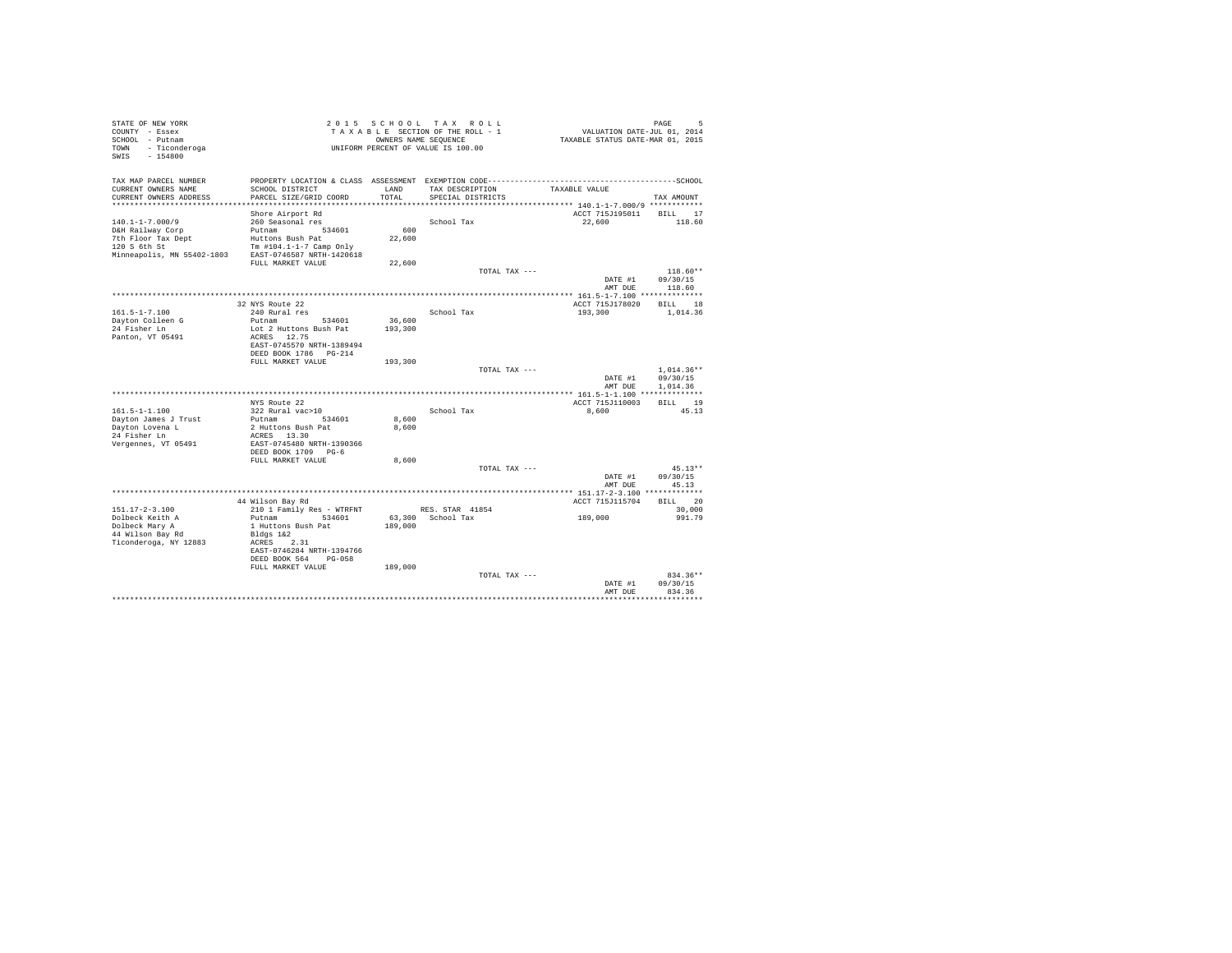| STATE OF NEW YORK<br>COUNTY - Essex   |                                             |         | 2015 SCHOOL TAX ROLL<br>TAXABLE SECTION OF THE ROLL - 1    | VALUATION DATE-JUL 01, 2014                            | PAGE<br>Б    |
|---------------------------------------|---------------------------------------------|---------|------------------------------------------------------------|--------------------------------------------------------|--------------|
| SCHOOL - Putnam<br>TOWN - Ticonderoga |                                             |         | OWNERS NAME SEQUENCE<br>UNIFORM PERCENT OF VALUE IS 100.00 | TAXABLE STATUS DATE-MAR 01, 2015                       |              |
| SWIS<br>$-154800$                     |                                             |         |                                                            |                                                        |              |
| TAX MAP PARCEL NUMBER                 |                                             |         |                                                            |                                                        |              |
| CURRENT OWNERS NAME                   | SCHOOL DISTRICT                             | LAND    | TAX DESCRIPTION                                            | TAXABLE VALUE                                          |              |
| CURRENT OWNERS ADDRESS                | PARCEL SIZE/GRID COORD                      | TOTAL   | SPECIAL DISTRICTS                                          | ************************** 140.1-1-7.000/9 *********** | TAX AMOUNT   |
|                                       | Shore Airport Rd                            |         |                                                            | ACCT 715J195011                                        | BILL 17      |
| $140.1 - 1 - 7.000/9$                 | 260 Seasonal res                            |         | School Tax                                                 | 22,600                                                 | 118.60       |
| D&H Railway Corp                      | Putnam<br>534601                            | 600     |                                                            |                                                        |              |
| 7th Floor Tax Dept<br>120 S 6th St    | Huttons Bush Pat<br>Tm #104.1-1-7 Camp Only | 22,600  |                                                            |                                                        |              |
| Minneapolis, MN 55402-1803            | EAST-0746587 NRTH-1420618                   |         |                                                            |                                                        |              |
|                                       | FULL MARKET VALUE                           | 22,600  |                                                            |                                                        | $118.60**$   |
|                                       |                                             |         | TOTAL TAX ---                                              | DATE #1                                                | 09/30/15     |
|                                       |                                             |         |                                                            | AMT DUE                                                | 118.60       |
|                                       |                                             |         |                                                            |                                                        |              |
|                                       | 32 NYS Route 22                             |         |                                                            | ACCT 715J178020                                        | BILL 18      |
| $161.5 - 1 - 7.100$                   | 240 Rural res                               |         | School Tax                                                 | 193,300                                                | 1,014.36     |
| Dayton Colleen G                      | Putnam<br>534601                            | 36,600  |                                                            |                                                        |              |
| 24 Fisher Ln                          | Lot 2 Huttons Bush Pat                      | 193,300 |                                                            |                                                        |              |
| Panton, VT 05491                      | ACRES 12.75                                 |         |                                                            |                                                        |              |
|                                       | EAST-0745570 NRTH-1389494                   |         |                                                            |                                                        |              |
|                                       | DEED BOOK 1786 PG-214<br>FULL MARKET VALUE  | 193,300 |                                                            |                                                        |              |
|                                       |                                             |         | TOTAL TAX ---                                              |                                                        | $1.014.36**$ |
|                                       |                                             |         |                                                            | DATE #1                                                | 09/30/15     |
|                                       |                                             |         |                                                            | AMT DUE                                                | 1,014.36     |
|                                       |                                             |         |                                                            |                                                        |              |
|                                       | NYS Route 22                                |         |                                                            | ACCT 715J110003                                        | BILL 19      |
| $161.5 - 1 - 1.100$                   | 322 Rural vac>10                            |         | School Tax                                                 | 8,600                                                  | 45.13        |
| Dayton James J Trust                  | Putnam<br>534601                            | 8,600   |                                                            |                                                        |              |
| Dayton Lovena L                       | 2 Huttons Bush Pat                          | 8,600   |                                                            |                                                        |              |
| 24 Fisher Ln                          | ACRES 13.30                                 |         |                                                            |                                                        |              |
| Vergennes, VT 05491                   | EAST-0745480 NRTH-1390366                   |         |                                                            |                                                        |              |
|                                       | DEED BOOK 1709 PG-6<br>FULL MARKET VALUE    | 8,600   |                                                            |                                                        |              |
|                                       |                                             |         | TOTAL TAX ---                                              |                                                        | $45.13**$    |
|                                       |                                             |         |                                                            | DATE #1                                                | 09/30/15     |
|                                       |                                             |         |                                                            | AMT DUE                                                | 45.13        |
|                                       |                                             |         |                                                            |                                                        |              |
|                                       | 44 Wilson Bay Rd                            |         |                                                            | ACCT 715J115704                                        | BILL 20      |
| $151.17 - 2 - 3.100$                  | 210 1 Family Res - WTRFNT                   |         | RES. STAR 41854                                            |                                                        | 30,000       |
| Dolbeck Keith A                       | Putnam<br>534601                            |         | 63.300 School Tax                                          | 189,000                                                | 991.79       |
| Dolbeck Mary A                        | 1 Huttons Bush Pat                          | 189,000 |                                                            |                                                        |              |
| 44 Wilson Bay Rd                      | Bldgs 1&2                                   |         |                                                            |                                                        |              |
| Ticonderoga, NY 12883                 | 2.31<br>ACRES                               |         |                                                            |                                                        |              |
|                                       | EAST-0746284 NRTH-1394766                   |         |                                                            |                                                        |              |
|                                       | DEED BOOK 564<br>$PG-058$                   |         |                                                            |                                                        |              |
|                                       | FULL MARKET VALUE                           | 189,000 | TOTAL TAX ---                                              |                                                        | 834.36**     |
|                                       |                                             |         |                                                            | DATE #1                                                | 09/30/15     |
|                                       |                                             |         |                                                            | AMT DUE                                                | 834.36       |
|                                       |                                             |         |                                                            |                                                        |              |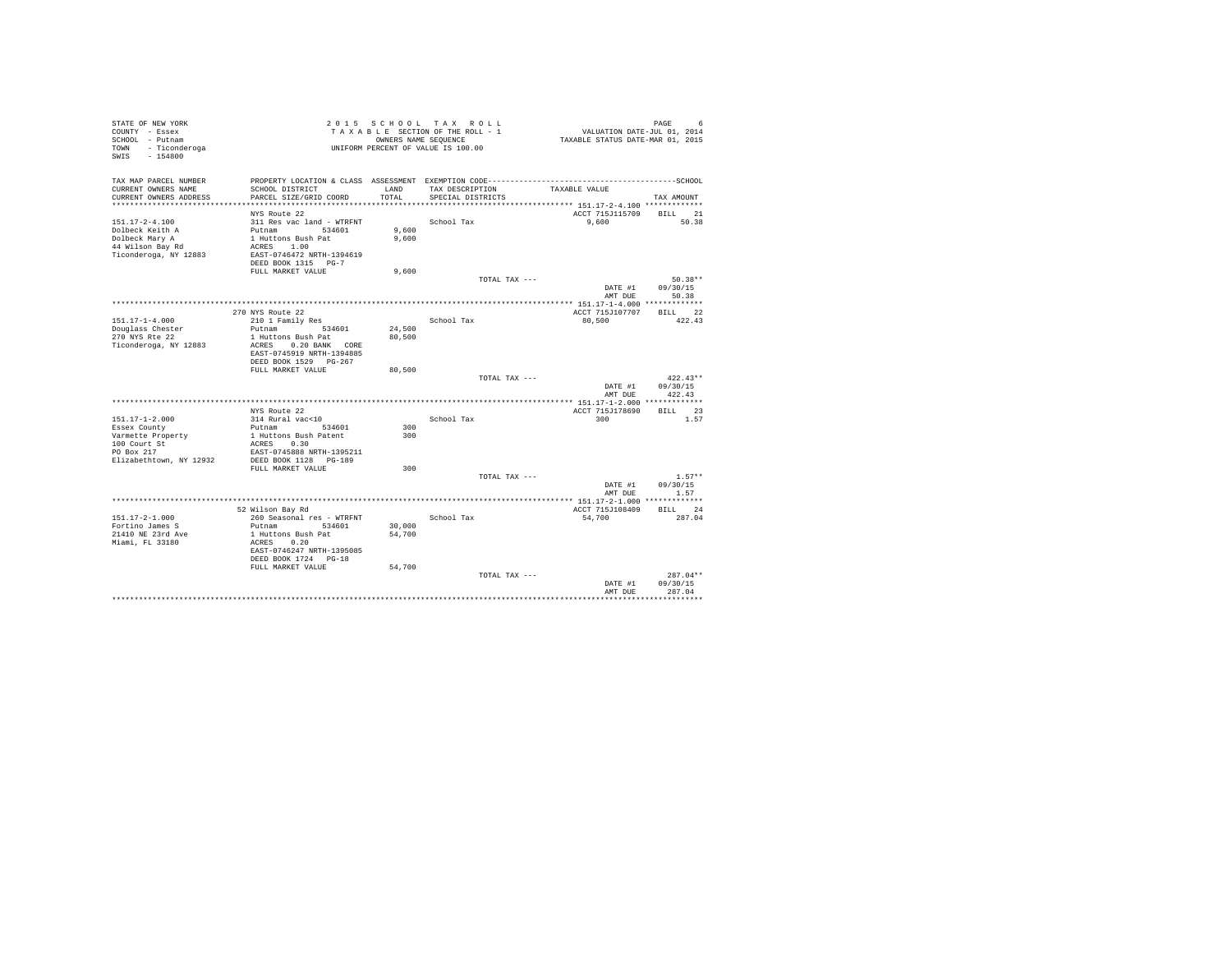| STATE OF NEW YORK<br>COUNTY - Essex<br>SCHOOL - Putnam<br>TOWN - Ticonderoga<br>$-154800$<br>SWIS |                                                   |        | 2015 SCHOOL TAX ROLL<br>TAXABLE SECTION OF THE ROLL - 1<br>OWNERS NAME SEQUENCE<br>UNIFORM PERCENT OF VALUE IS 100.00 | VALUATION DATE-JUL 01, 2014<br>TAXABLE STATUS DATE-MAR 01, 2015 | PAGE<br>6             |
|---------------------------------------------------------------------------------------------------|---------------------------------------------------|--------|-----------------------------------------------------------------------------------------------------------------------|-----------------------------------------------------------------|-----------------------|
| TAX MAP PARCEL NUMBER                                                                             |                                                   |        |                                                                                                                       |                                                                 |                       |
| CURRENT OWNERS NAME                                                                               | SCHOOL DISTRICT                                   | LAND   | TAX DESCRIPTION                                                                                                       | TAXABLE VALUE                                                   |                       |
| CURRENT OWNERS ADDRESS                                                                            | PARCEL SIZE/GRID COORD                            | TOTAL  | SPECIAL DISTRICTS                                                                                                     |                                                                 | TAX AMOUNT            |
|                                                                                                   | NYS Route 22                                      |        |                                                                                                                       | ACCT 715J115709                                                 | BILL 21               |
| 151.17-2-4.100                                                                                    | 311 Res vac land - WTRFNT                         |        | School Tax                                                                                                            | 9,600                                                           | 50.38                 |
| Dolbeck Keith A                                                                                   | Putnam 534601                                     | 9,600  |                                                                                                                       |                                                                 |                       |
| Dolbeck Mary A                                                                                    | 1 Huttons Bush Pat                                | 9,600  |                                                                                                                       |                                                                 |                       |
| 44 Wilson Bay Rd                                                                                  | ACRES 1.00                                        |        |                                                                                                                       |                                                                 |                       |
| Ticonderoga, NY 12883                                                                             | EAST-0746472 NRTH-1394619                         |        |                                                                                                                       |                                                                 |                       |
|                                                                                                   | DEED BOOK 1315 PG-7                               |        |                                                                                                                       |                                                                 |                       |
|                                                                                                   | FULL MARKET VALUE                                 | 9,600  |                                                                                                                       |                                                                 |                       |
|                                                                                                   |                                                   |        | TOTAL TAX ---                                                                                                         | DATE #1                                                         | $50.38**$<br>09/30/15 |
|                                                                                                   |                                                   |        |                                                                                                                       | AMT DUE                                                         | 50.38                 |
|                                                                                                   |                                                   |        |                                                                                                                       |                                                                 |                       |
|                                                                                                   | 270 NYS Route 22                                  |        |                                                                                                                       | ACCT 715J107707                                                 | BILL 22               |
| $151.17 - 1 - 4.000$                                                                              | 210 1 Family Res                                  |        | School Tax                                                                                                            | 80,500                                                          | 422.43                |
| Douglass Chester                                                                                  | Putnam<br>534601                                  | 24,500 |                                                                                                                       |                                                                 |                       |
| 270 NYS Rte 22                                                                                    | 1 Huttons Bush Pat                                | 80,500 |                                                                                                                       |                                                                 |                       |
| Ticonderoga, NY 12883                                                                             | ACRES 0.20 BANK CORE<br>EAST-0745919 NRTH-1394885 |        |                                                                                                                       |                                                                 |                       |
|                                                                                                   | DEED BOOK 1529 PG-267                             |        |                                                                                                                       |                                                                 |                       |
|                                                                                                   | FULL MARKET VALUE                                 | 80,500 |                                                                                                                       |                                                                 |                       |
|                                                                                                   |                                                   |        | TOTAL TAX ---                                                                                                         |                                                                 | $422.43**$            |
|                                                                                                   |                                                   |        |                                                                                                                       | DATE #1                                                         | 09/30/15              |
|                                                                                                   |                                                   |        |                                                                                                                       | AMT DUR                                                         | 422.43                |
|                                                                                                   |                                                   |        |                                                                                                                       |                                                                 |                       |
| $151.17 - 1 - 2.000$                                                                              | NYS Route 22<br>314 Rural vac<10                  |        |                                                                                                                       | ACCT 715J178690<br>300                                          | BILL 23<br>1.57       |
| Essex County                                                                                      | Putnam<br>534601                                  | 300    | School Tax                                                                                                            |                                                                 |                       |
| Varmette Property                                                                                 | 1 Huttons Bush Patent                             | 300    |                                                                                                                       |                                                                 |                       |
| 100 Court St                                                                                      | ACRES 0.30                                        |        |                                                                                                                       |                                                                 |                       |
| PO Box 217                                                                                        | EAST-0745888 NRTH-1395211                         |        |                                                                                                                       |                                                                 |                       |
| Elizabethtown, NY 12932                                                                           | DEED BOOK 1128 PG-189                             |        |                                                                                                                       |                                                                 |                       |
|                                                                                                   | FULL MARKET VALUE                                 | 300    |                                                                                                                       |                                                                 | $1.57**$              |
|                                                                                                   |                                                   |        | TOTAL TAX ---                                                                                                         | DATE #1                                                         | 09/30/15              |
|                                                                                                   |                                                   |        |                                                                                                                       | AMT DUE                                                         | 1.57                  |
|                                                                                                   |                                                   |        |                                                                                                                       |                                                                 |                       |
|                                                                                                   | 52 Wilson Bay Rd                                  |        |                                                                                                                       | ACCT 715J108409                                                 | BILL 24               |
| 151.17-2-1.000                                                                                    | 260 Seasonal res - WTRFNT                         |        | School Tax                                                                                                            | 54,700                                                          | 287.04                |
| Fortino James S                                                                                   | Putnam 534601                                     | 30,000 |                                                                                                                       |                                                                 |                       |
| 21410 NE 23rd Ave<br>Miami, FL 33180                                                              | 1 Huttons Bush Pat<br>ACRES 0.20                  | 54,700 |                                                                                                                       |                                                                 |                       |
|                                                                                                   | EAST-0746247 NRTH-1395085                         |        |                                                                                                                       |                                                                 |                       |
|                                                                                                   | DEED BOOK 1724 PG-18                              |        |                                                                                                                       |                                                                 |                       |
|                                                                                                   | FULL MARKET VALUE                                 | 54,700 |                                                                                                                       |                                                                 |                       |
|                                                                                                   |                                                   |        | TOTAL TAX ---                                                                                                         |                                                                 | $287.04**$            |
|                                                                                                   |                                                   |        |                                                                                                                       | DATE #1                                                         | 09/30/15              |
|                                                                                                   |                                                   |        |                                                                                                                       | AMT DUE                                                         | 287.04                |
|                                                                                                   |                                                   |        |                                                                                                                       |                                                                 |                       |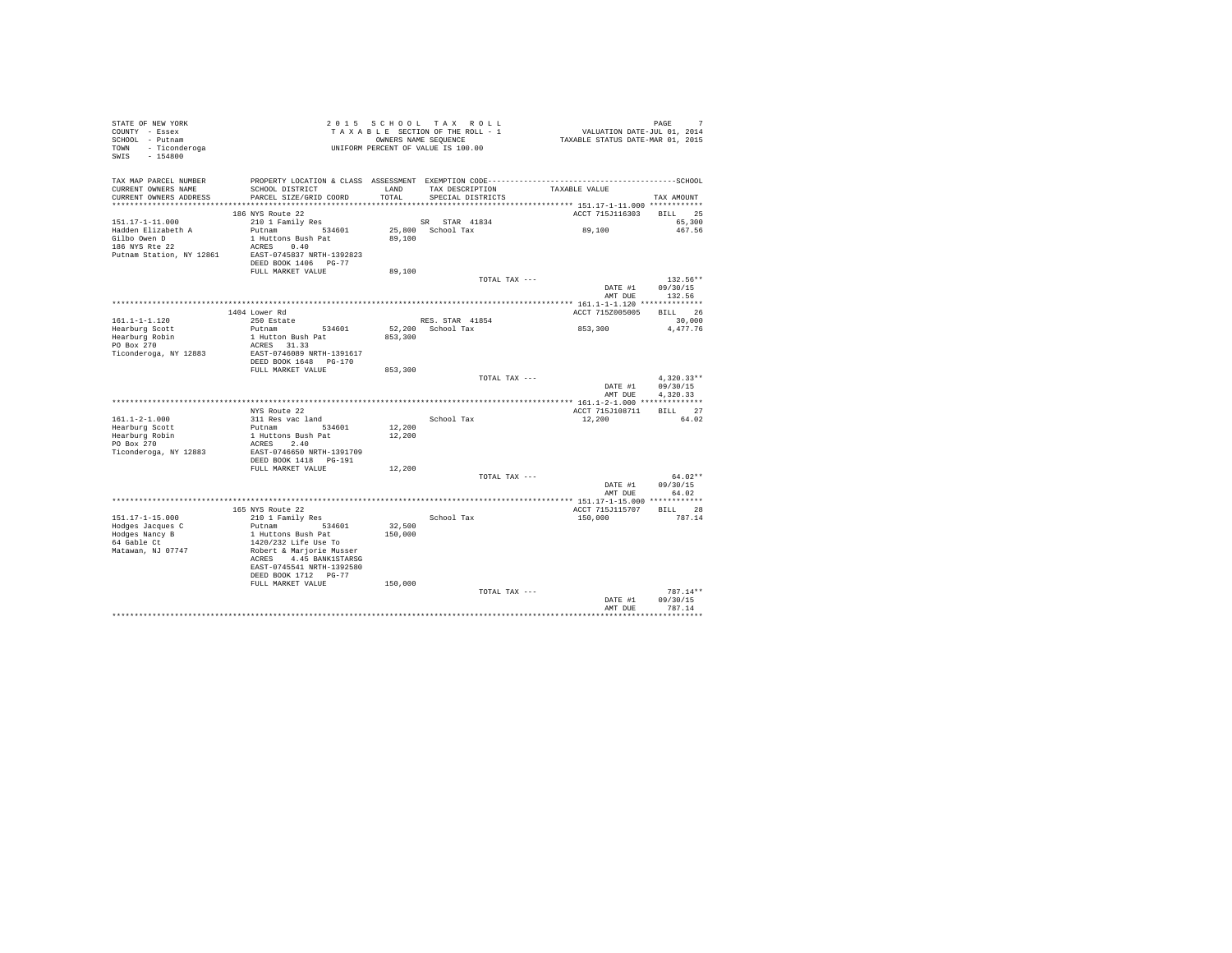| $\begin{tabular}{ccc} $\cdots$ & $\cdots$ & $\cdots$ & $\cdots$ & $\cdots$ \\ $\cdots$ & $\cdots$ & $\cdots$ & $\cdots$ \\ $TONN$ & $-$ & $Ticonderoga$ & $\cdots$ & $\cdots$ & $\cdots$ \\ $SWIS$ & $-$ & $154800$ & $\cdots$ & $\cdots$ \\ \end{tabular}$ |                                           |         | 2015 SCHOOL TAX ROLL<br>UNIFORM PERCENT OF VALUE IS 100.00 |                                    | PAGE<br>7    |
|-------------------------------------------------------------------------------------------------------------------------------------------------------------------------------------------------------------------------------------------------------------|-------------------------------------------|---------|------------------------------------------------------------|------------------------------------|--------------|
| TAX MAP PARCEL NUMBER<br>CURRENT OWNERS NAME                                                                                                                                                                                                                | SCHOOL DISTRICT                           |         |                                                            | LAND TAX DESCRIPTION TAXABLE VALUE |              |
| CURRENT OWNERS ADDRESS                                                                                                                                                                                                                                      | PARCEL SIZE/GRID COORD                    | TOTAL   | SPECIAL DISTRICTS                                          |                                    | TAX AMOUNT   |
|                                                                                                                                                                                                                                                             |                                           |         |                                                            |                                    |              |
|                                                                                                                                                                                                                                                             | 186 NYS Route 22                          |         |                                                            | ACCT 715J116303 BILL 25            |              |
| 151.17-1-11.000                                                                                                                                                                                                                                             | 210 1 Family Res<br>Putnam 534601         |         | SR STAR 41834<br>25,800 School Tax                         |                                    | 65,300       |
| Hadden Elizabeth A                                                                                                                                                                                                                                          |                                           |         |                                                            | 89,100                             | 467.56       |
| Gilbo Owen D<br>186 NYS Rte 22                                                                                                                                                                                                                              | 1 Huttons Bush Pat<br>ACRES 0.40          | 89,100  |                                                            |                                    |              |
| Putnam Station, NY 12861                                                                                                                                                                                                                                    | EAST-0745837 NRTH-1392823                 |         |                                                            |                                    |              |
|                                                                                                                                                                                                                                                             | DEED BOOK 1406 PG-77                      |         |                                                            |                                    |              |
|                                                                                                                                                                                                                                                             | FULL MARKET VALUE                         | 89,100  |                                                            |                                    |              |
|                                                                                                                                                                                                                                                             |                                           |         | TOTAL TAX ---                                              |                                    | $132.56**$   |
|                                                                                                                                                                                                                                                             |                                           |         |                                                            | DATE #1                            | 09/30/15     |
|                                                                                                                                                                                                                                                             |                                           |         |                                                            | AMT DUE                            | 132.56       |
|                                                                                                                                                                                                                                                             | 1404 Lower Rd                             |         |                                                            | ACCT 715Z005005 BILL 26            |              |
| $161.1 - 1 - 1.120$                                                                                                                                                                                                                                         | 250 Estate                                |         | RES. STAR 41854                                            |                                    | 30,000       |
| Hearburg Scott                                                                                                                                                                                                                                              | Putnam 534601                             |         | 52,200 School Tax                                          | 853,300                            | 4,477.76     |
| rang Robin<br>PO Box 270<br>Ticonder                                                                                                                                                                                                                        | 1 Hutton Bush Pat                         | 853,300 |                                                            |                                    |              |
|                                                                                                                                                                                                                                                             | ACRES 31.33                               |         |                                                            |                                    |              |
| Ticonderoga, NY 12883                                                                                                                                                                                                                                       | EAST-0746089 NRTH-1391617                 |         |                                                            |                                    |              |
|                                                                                                                                                                                                                                                             | DEED BOOK 1648 PG-170                     |         |                                                            |                                    |              |
|                                                                                                                                                                                                                                                             | FULL MARKET VALUE                         | 853,300 | TOTAL TAX ---                                              |                                    | $4.320.33**$ |
|                                                                                                                                                                                                                                                             |                                           |         |                                                            | DATE #1                            | 09/30/15     |
|                                                                                                                                                                                                                                                             |                                           |         |                                                            | AMT DUE                            | 4.320.33     |
|                                                                                                                                                                                                                                                             |                                           |         |                                                            |                                    |              |
|                                                                                                                                                                                                                                                             | NYS Route 22                              |         |                                                            | ACCT 715J108711 BILL 27            |              |
| $161.1 - 2 - 1.000$                                                                                                                                                                                                                                         | 311 Res vac land                          |         | School Tax                                                 | 12,200                             | 64.02        |
| Hearburg Scott                                                                                                                                                                                                                                              | Putnam 534601                             | 12,200  |                                                            |                                    |              |
| Hearburg Robin                                                                                                                                                                                                                                              | 1 Huttons Bush Pat<br>ACRES 2.40          | 12,200  |                                                            |                                    |              |
| PO Box 270<br>Ticonderoga, NY 12883                                                                                                                                                                                                                         | EAST-0746650 NRTH-1391709                 |         |                                                            |                                    |              |
|                                                                                                                                                                                                                                                             | DEED BOOK 1418    PG-191                  |         |                                                            |                                    |              |
|                                                                                                                                                                                                                                                             | FULL MARKET VALUE                         | 12,200  |                                                            |                                    |              |
|                                                                                                                                                                                                                                                             |                                           |         | TOTAL TAX ---                                              |                                    | $64.02**$    |
|                                                                                                                                                                                                                                                             |                                           |         |                                                            | DATE #1                            | 09/30/15     |
|                                                                                                                                                                                                                                                             |                                           |         |                                                            | AMT DUE                            | 64.02        |
|                                                                                                                                                                                                                                                             | 165 NYS Route 22                          |         |                                                            | ACCT 715J115707 BILL 28            |              |
| 151.17-1-15.000                                                                                                                                                                                                                                             | 210 1 Family Res                          |         | School Tax                                                 | 150,000                            | 787.14       |
| Hodges Jacques C                                                                                                                                                                                                                                            | Putnam 534601                             | 32,500  |                                                            |                                    |              |
| Hodges Nancy B                                                                                                                                                                                                                                              | 1 Huttons Bush Pat                        | 150,000 |                                                            |                                    |              |
| 64 Gable Ct                                                                                                                                                                                                                                                 | 1420/232 Life Use To                      |         |                                                            |                                    |              |
| Matawan, NJ 07747                                                                                                                                                                                                                                           | Robert & Marjorie Musser                  |         |                                                            |                                    |              |
|                                                                                                                                                                                                                                                             | ACRES 4.45 BANK1STARSG                    |         |                                                            |                                    |              |
|                                                                                                                                                                                                                                                             | EAST-0745541 NRTH-1392580                 |         |                                                            |                                    |              |
|                                                                                                                                                                                                                                                             | DEED BOOK 1712 PG-77<br>FULL MARKET VALUE | 150,000 |                                                            |                                    |              |
|                                                                                                                                                                                                                                                             |                                           |         | TOTAL TAX ---                                              |                                    | $787.14**$   |
|                                                                                                                                                                                                                                                             |                                           |         |                                                            | DATE #1                            | 09/30/15     |
|                                                                                                                                                                                                                                                             |                                           |         |                                                            | AMT DUE                            | 787.14       |
|                                                                                                                                                                                                                                                             |                                           |         |                                                            |                                    |              |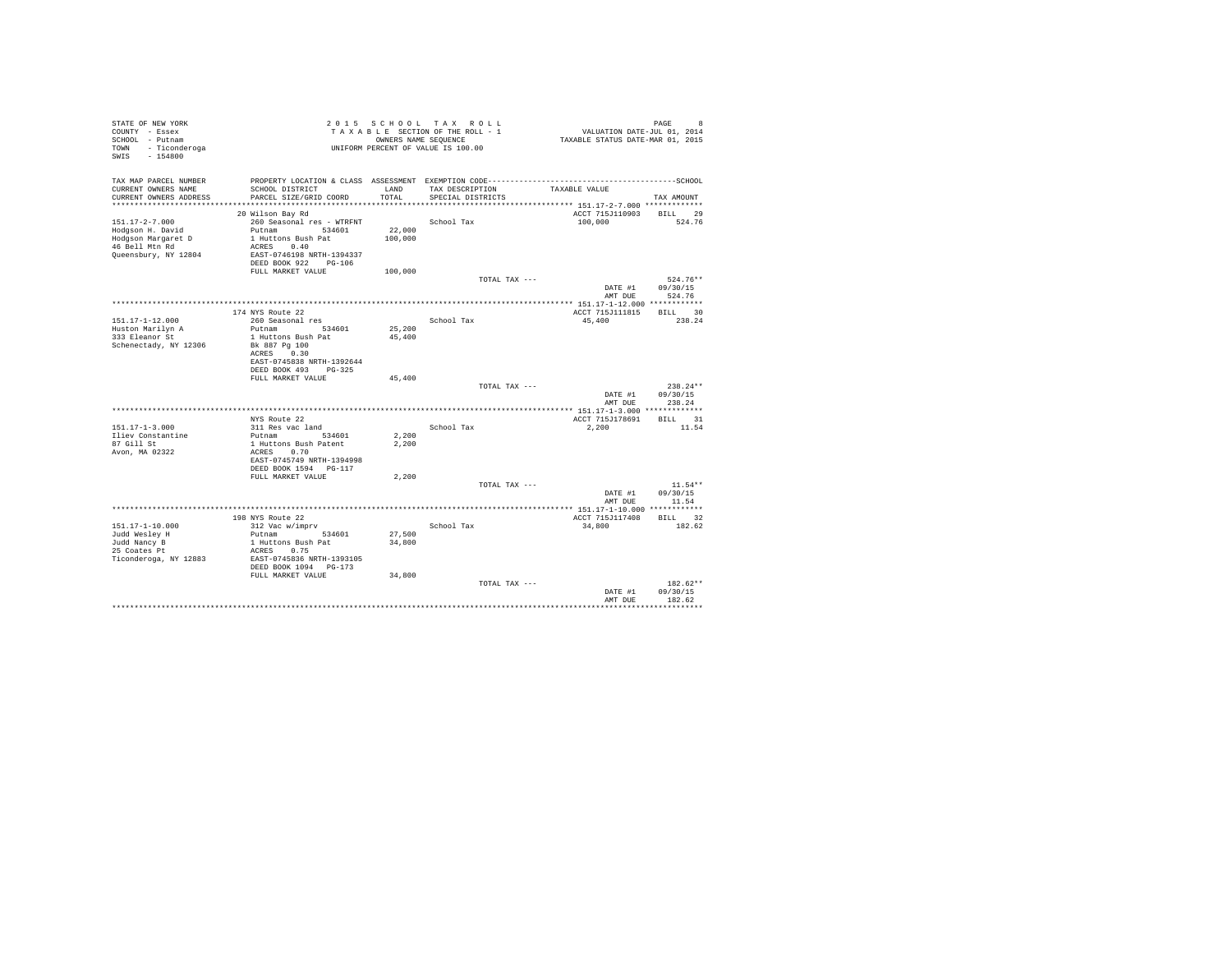| STATE OF NEW YORK<br>COUNTY - Essex<br>SCHOOL - Putnam<br>TOWN - Ticonderoga<br>SWIS - 154800            |                                                                                                                                                         |                   | 2015 SCHOOL TAX ROLL<br>TAXABLE SECTION OF THE ROLL - 1<br>OWNERS NAME SEQUENCE<br>UNIFORM PERCENT OF VALUE IS 100.00 | VALUATION DATE-JUL 01, 2014<br>TAXABLE STATUS DATE-MAR 01, 2015 | PAGE<br>8                      |
|----------------------------------------------------------------------------------------------------------|---------------------------------------------------------------------------------------------------------------------------------------------------------|-------------------|-----------------------------------------------------------------------------------------------------------------------|-----------------------------------------------------------------|--------------------------------|
| TAX MAP PARCEL NUMBER<br>CURRENT OWNERS NAME<br>CURRENT OWNERS ADDRESS                                   | SCHOOL DISTRICT<br>PARCEL SIZE/GRID COORD                                                                                                               | LAND<br>TOTAL     | TAX DESCRIPTION<br>SPECIAL DISTRICTS                                                                                  | TAXABLE VALUE                                                   | TAX AMOUNT                     |
|                                                                                                          |                                                                                                                                                         |                   |                                                                                                                       |                                                                 |                                |
| $151.17 - 2 - 7.000$<br>Hodgson H. David<br>Hodgson Margaret D<br>46 Bell Mtn Rd<br>Queensbury, NY 12804 | 20 Wilson Bay Rd<br>260 Seasonal res - WTRFNT<br>Putnam 534601<br>1 Huttons Bush Pat<br>ACRES 0.40<br>EAST-0746198 NRTH-1394337<br>DEED BOOK 922 PG-106 | 22,000<br>100,000 | School Tax                                                                                                            | ACCT 715J110903 BILL 29<br>100,000                              | 524.76                         |
|                                                                                                          | FULL MARKET VALUE                                                                                                                                       | 100,000           |                                                                                                                       |                                                                 |                                |
|                                                                                                          |                                                                                                                                                         |                   | TOTAL TAX ---                                                                                                         | DATE #1                                                         | $524.76**$<br>09/30/15         |
|                                                                                                          |                                                                                                                                                         |                   |                                                                                                                       | AMT DUE                                                         | 524.76                         |
|                                                                                                          | 174 NYS Route 22                                                                                                                                        |                   |                                                                                                                       | ACCT 715J111815                                                 | BILL 30                        |
| 151.17-1-12.000                                                                                          | 260 Seasonal res                                                                                                                                        |                   | School Tax                                                                                                            | 45,400                                                          | 238.24                         |
| Huston Marilyn A<br>333 Eleanor St                                                                       | Putnam 534601<br>1 Huttons Bush Pat                                                                                                                     | 25,200<br>45,400  |                                                                                                                       |                                                                 |                                |
| Schenectady, NY 12306                                                                                    | Bk 887 Pg 100<br>ACRES 0.30<br>EAST-0745838 NRTH-1392644                                                                                                |                   |                                                                                                                       |                                                                 |                                |
|                                                                                                          | DEED BOOK 493 PG-325                                                                                                                                    |                   |                                                                                                                       |                                                                 |                                |
|                                                                                                          | FULL MARKET VALUE                                                                                                                                       | 45,400            | TOTAL TAX ---                                                                                                         |                                                                 | $238.24**$                     |
|                                                                                                          |                                                                                                                                                         |                   |                                                                                                                       | DATE #1<br>AMT DUE                                              | 09/30/15<br>238.24             |
|                                                                                                          |                                                                                                                                                         |                   |                                                                                                                       |                                                                 |                                |
|                                                                                                          | NYS Route 22                                                                                                                                            |                   |                                                                                                                       | ACCT 715J178691                                                 | BILL 31                        |
| 151.17-1-3.000<br>Iliev Constantine                                                                      | 311 Res vac land<br>Putnam 534601                                                                                                                       | 2,200             | School Tax                                                                                                            | 2,200                                                           | 11.54                          |
| 87 Gill St                                                                                               | 1 Huttons Bush Patent                                                                                                                                   | 2,200             |                                                                                                                       |                                                                 |                                |
| Avon, MA 02322                                                                                           | ACRES 0.70<br>EAST-0745749 NRTH-1394998                                                                                                                 |                   |                                                                                                                       |                                                                 |                                |
|                                                                                                          | DEED BOOK 1594 PG-117                                                                                                                                   |                   |                                                                                                                       |                                                                 |                                |
|                                                                                                          | FULL MARKET VALUE                                                                                                                                       | 2,200             |                                                                                                                       |                                                                 |                                |
|                                                                                                          |                                                                                                                                                         |                   | TOTAL TAX ---                                                                                                         |                                                                 | $11.54**$                      |
|                                                                                                          |                                                                                                                                                         |                   |                                                                                                                       | DATE #1<br>AMT DUE                                              | 09/30/15<br>11.54              |
|                                                                                                          |                                                                                                                                                         |                   |                                                                                                                       | ***************** 151.17-1-10.000 ************                  |                                |
|                                                                                                          | 198 NYS Route 22                                                                                                                                        |                   |                                                                                                                       | ACCT 715J117408                                                 | BILL 32                        |
| 151.17-1-10.000                                                                                          | 312 Vac w/imprv                                                                                                                                         |                   | School Tax                                                                                                            | 34,800                                                          | 182.62                         |
| Judd Wesley H                                                                                            | Putnam 534601                                                                                                                                           | 27,500            |                                                                                                                       |                                                                 |                                |
| Judd Nancy B<br>25 Coates Pt                                                                             | 1 Huttons Bush Pat<br>ACRES 0.75                                                                                                                        | 34,800            |                                                                                                                       |                                                                 |                                |
| Ticonderoga, NY 12883                                                                                    | EAST-0745836 NRTH-1393105<br>DEED BOOK 1094 PG-173                                                                                                      |                   |                                                                                                                       |                                                                 |                                |
|                                                                                                          | FULL MARKET VALUE                                                                                                                                       | 34,800            |                                                                                                                       |                                                                 |                                |
|                                                                                                          |                                                                                                                                                         |                   | TOTAL TAX ---                                                                                                         | DATE #1<br>AMT DUE                                              | 182.62**<br>09/30/15<br>182.62 |
|                                                                                                          |                                                                                                                                                         |                   |                                                                                                                       |                                                                 |                                |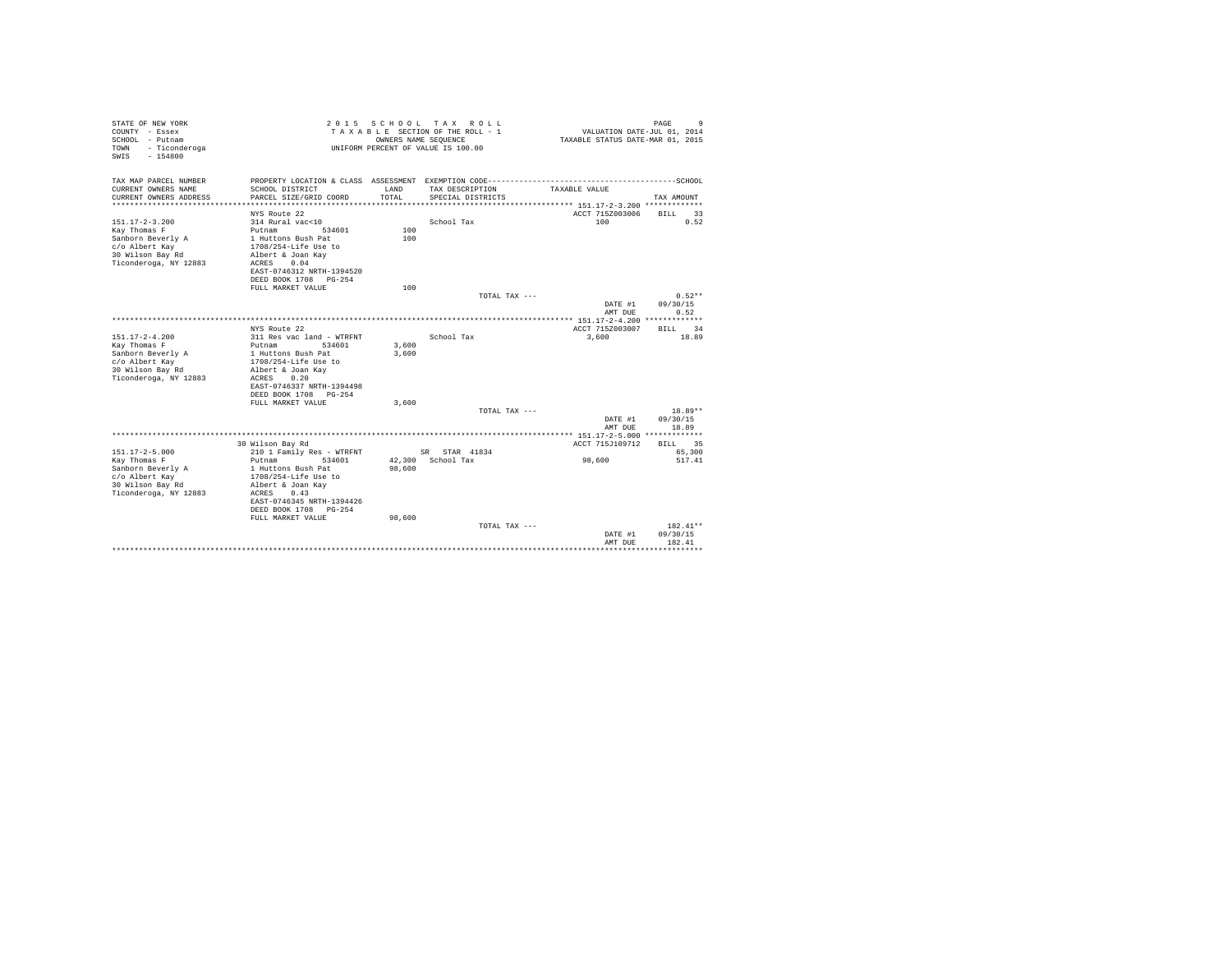| STATE OF NEW YORK<br>COUNTY - Essex<br>SCHOOL - Putnam<br>- Ticonderoga<br>TOWN<br>$-154800$<br>SWTS | 2 0 1 5                                                           | OWNERS NAME SEQUENCE | SCHOOL TAX ROLL<br>TAXABLE SECTION OF THE ROLL - 1<br>UNIFORM PERCENT OF VALUE IS 100.00 | VALUATION DATE-JUL 01, 2014<br>TAXABLE STATUS DATE-MAR 01, 2015 | 9<br>PAGE                |
|------------------------------------------------------------------------------------------------------|-------------------------------------------------------------------|----------------------|------------------------------------------------------------------------------------------|-----------------------------------------------------------------|--------------------------|
| TAX MAP PARCEL NUMBER                                                                                | PROPERTY LOCATION & CLASS ASSESSMENT EXEMPTION CODE-------------- |                      |                                                                                          |                                                                 | ------------------SCHOOL |
| CURRENT OWNERS NAME<br>CURRENT OWNERS ADDRESS                                                        | SCHOOL DISTRICT<br>PARCEL SIZE/GRID COORD                         | LAND<br>TOTAL        | TAX DESCRIPTION<br>SPECIAL DISTRICTS                                                     | TAXABLE VALUE                                                   | TAX AMOUNT               |
|                                                                                                      |                                                                   |                      |                                                                                          |                                                                 |                          |
|                                                                                                      | NYS Route 22                                                      |                      |                                                                                          | ACCT 715Z003006                                                 | <b>BILL</b><br>33        |
| $151.17 - 2 - 3.200$                                                                                 | 314 Rural vac<10                                                  |                      | School Tax                                                                               | 100                                                             | 0.52                     |
| Kay Thomas F                                                                                         | Putnam<br>534601                                                  | 100                  |                                                                                          |                                                                 |                          |
| Sanborn Beverly A<br>c/o Albert Kay                                                                  | 1 Huttons Bush Pat<br>1708/254-Life Use to                        | 100                  |                                                                                          |                                                                 |                          |
| 30 Wilson Bay Rd                                                                                     | Albert & Joan Kav                                                 |                      |                                                                                          |                                                                 |                          |
| Ticonderoga, NY 12883                                                                                | 0.04<br>ACRES                                                     |                      |                                                                                          |                                                                 |                          |
|                                                                                                      | EAST-0746312 NRTH-1394520                                         |                      |                                                                                          |                                                                 |                          |
|                                                                                                      | DEED BOOK 1708 PG-254                                             |                      |                                                                                          |                                                                 |                          |
|                                                                                                      | FULL MARKET VALUE                                                 | 100                  |                                                                                          |                                                                 |                          |
|                                                                                                      |                                                                   |                      | TOTAL TAX ---                                                                            |                                                                 | $0.52**$                 |
|                                                                                                      |                                                                   |                      |                                                                                          | DATE #1                                                         | 09/30/15                 |
|                                                                                                      |                                                                   |                      |                                                                                          | AMT DUE                                                         | 0.52                     |
|                                                                                                      |                                                                   |                      |                                                                                          |                                                                 |                          |
|                                                                                                      | NYS Route 22                                                      |                      |                                                                                          | ACCT 715Z003007                                                 | 34<br><b>BILL</b>        |
| $151.17 - 2 - 4.200$                                                                                 | 311 Res vac land - WTRFNT                                         |                      | School Tax                                                                               | 3,600                                                           | 18.89                    |
| Kay Thomas F                                                                                         | Putnam<br>534601                                                  | 3,600                |                                                                                          |                                                                 |                          |
| Sanborn Beverly A<br>c/o Albert Kay                                                                  | 1 Huttons Bush Pat<br>1708/254-Life Use to                        | 3,600                |                                                                                          |                                                                 |                          |
| 30 Wilson Bay Rd                                                                                     | Albert & Joan Kav                                                 |                      |                                                                                          |                                                                 |                          |
| Ticonderoga, NY 12883                                                                                | 0.20<br>ACRES                                                     |                      |                                                                                          |                                                                 |                          |
|                                                                                                      | EAST-0746337 NRTH-1394498                                         |                      |                                                                                          |                                                                 |                          |
|                                                                                                      | DEED BOOK 1708 PG-254                                             |                      |                                                                                          |                                                                 |                          |
|                                                                                                      | FULL MARKET VALUE                                                 | 3,600                |                                                                                          |                                                                 |                          |
|                                                                                                      |                                                                   |                      | TOTAL TAX ---                                                                            |                                                                 | 18.89**                  |
|                                                                                                      |                                                                   |                      |                                                                                          | DATE #1                                                         | 09/30/15                 |
|                                                                                                      |                                                                   |                      |                                                                                          | AMT DUE                                                         | 18.89                    |
|                                                                                                      |                                                                   |                      |                                                                                          |                                                                 |                          |
|                                                                                                      | 30 Wilson Bay Rd                                                  |                      |                                                                                          | ACCT 715J109712                                                 | 35<br><b>BILL</b>        |
| $151.17 - 2 - 5.000$                                                                                 | 210 1 Family Res - WTRFNT                                         |                      | SR STAR 41834                                                                            |                                                                 | 65,300                   |
| Kay Thomas F<br>Sanborn Beverly A                                                                    | Putnam<br>534601<br>1 Huttons Bush Pat                            | 98,600               | 42.300 School Tax                                                                        | 98,600                                                          | 517.41                   |
| c/o Albert Kay                                                                                       | 1708/254-Life Use to                                              |                      |                                                                                          |                                                                 |                          |
| 30 Wilson Bay Rd                                                                                     | Albert & Joan Kav                                                 |                      |                                                                                          |                                                                 |                          |
| Ticonderoga, NY 12883                                                                                | ACRES<br>0.43                                                     |                      |                                                                                          |                                                                 |                          |
|                                                                                                      | EAST-0746345 NRTH-1394426                                         |                      |                                                                                          |                                                                 |                          |
|                                                                                                      | DEED BOOK 1708 PG-254                                             |                      |                                                                                          |                                                                 |                          |
|                                                                                                      | FULL MARKET VALUE                                                 | 98,600               |                                                                                          |                                                                 |                          |
|                                                                                                      |                                                                   |                      | TOTAL TAX ---                                                                            |                                                                 | 182.41**                 |
|                                                                                                      |                                                                   |                      |                                                                                          | DATE #1                                                         | 09/30/15                 |
|                                                                                                      |                                                                   |                      |                                                                                          | AMT DUE                                                         | 182.41                   |
|                                                                                                      |                                                                   |                      |                                                                                          |                                                                 |                          |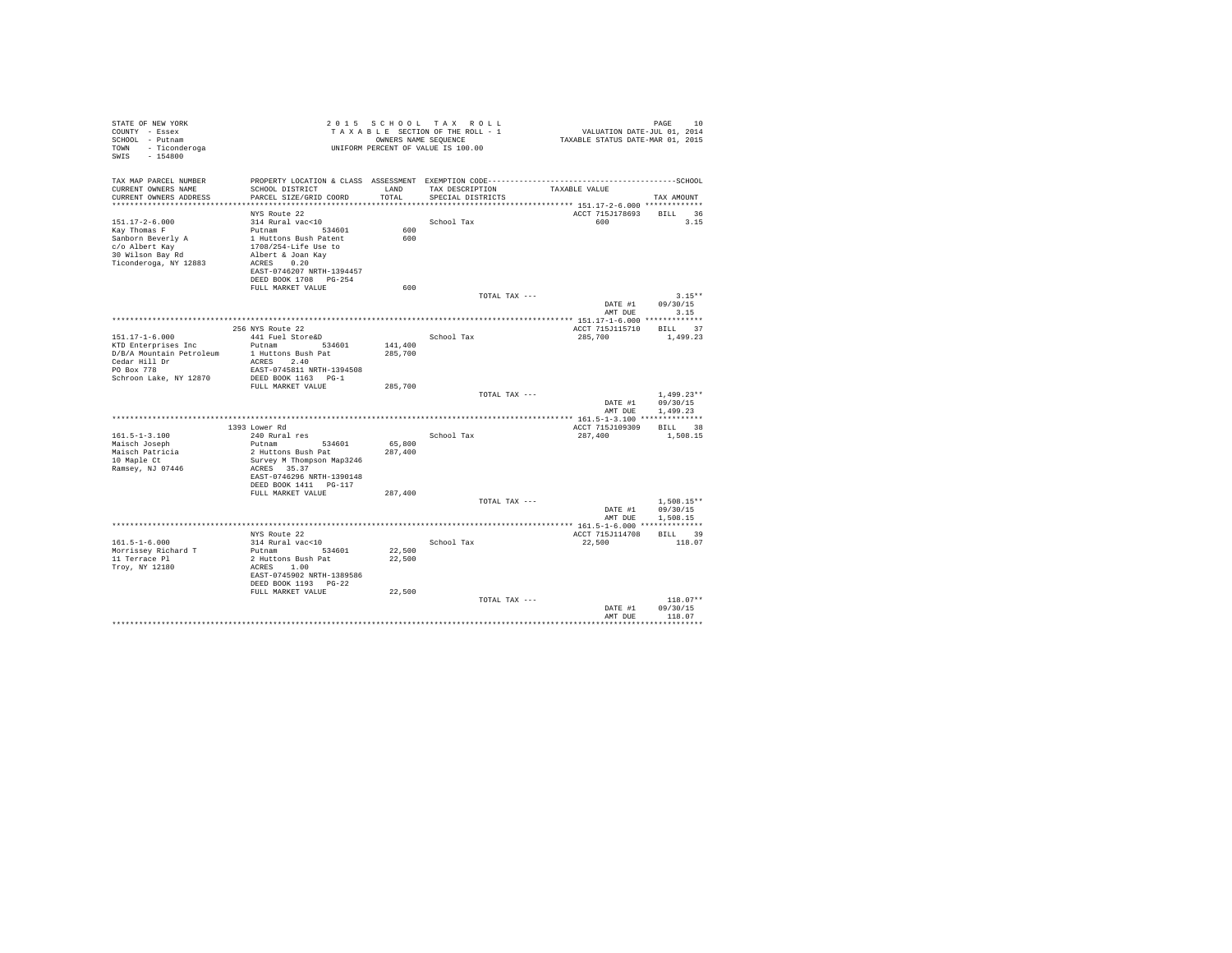| TAXABLE STATUS DATE-MAR 01, 2015<br>SCHOOL - Putnam<br>OWNERS NAME SEQUENCE<br>UNIFORM PERCENT OF VALUE IS 100.00<br>TOWN<br>- Ticonderoga<br>$-154800$<br>SWIS<br>TAX MAP PARCEL NUMBER<br>CURRENT OWNERS NAME<br>SCHOOL DISTRICT<br>LAND<br>TAX DESCRIPTION<br>TAXABLE VALUE<br>PARCEL SIZE/GRID COORD<br>TOTAL<br>CURRENT OWNERS ADDRESS<br>SPECIAL DISTRICTS<br>TAX AMOUNT<br>************************<br>ACCT 715J178693<br>BILL 36<br>NYS Route 22<br>$151.17 - 2 - 6.000$<br>314 Rural vac<10<br>School Tax<br>600<br>3.15<br>600<br>Kay Thomas F<br>Putnam 534601<br>Sanborn Beverly A<br>1 Huttons Bush Patent<br>600<br>1708/254-Life Use to<br>c/o Albert Kay<br>30 Wilson Bay Rd<br>Albert & Joan Kay<br>Ticonderoga, NY 12883<br>ACRES 0.20<br>EAST-0746207 NRTH-1394457<br>DEED BOOK 1708 PG-254<br>FULL MARKET VALUE<br>600<br>$3.15**$<br>TOTAL TAX ---<br>DATE #1<br>09/30/15<br>AMT DUE<br>3.15<br>256 NYS Route 22<br>ACCT 715J115710<br>BILL 37<br>$151.17 - 1 - 6.000$<br>441 Fuel Store&D<br>School Tax<br>285,700<br>1,499.23<br>Putnam 534601<br>141,400<br>D/B/A Mountain Petroleum<br>285,700<br>1 Huttons Bush Pat<br>Cedar Hill Dr<br>ACRES 2.40<br>PO Box 778<br>EAST-0745811 NRTH-1394508<br>Schroon Lake, NY 12870<br>DEED BOOK 1163 PG-1<br>FULL MARKET VALUE<br>285,700<br>TOTAL TAX ---<br>$1.499.23**$<br>09/30/15<br>DATE #1<br>1,499.23<br>AMT DUE<br>BILL 38<br>ACCT 715J109309<br>1393 Lower Rd<br>$161.5 - 1 - 3.100$<br>240 Rural res<br>School Tax<br>287,400<br>1,508.15<br>Putnam<br>65,800<br>Maisch Joseph<br>534601<br>Maisch Patricia<br>2 Huttons Bush Pat<br>287,400<br>10 Maple Ct<br>Survey M Thompson Map3246<br>ACRES 35.37<br>Ramsey, NJ 07446<br>EAST-0746296 NRTH-1390148<br>DEED BOOK 1411 PG-117<br>287,400<br>FULL MARKET VALUE<br>TOTAL TAX ---<br>$1.508.15**$<br>DATE #1<br>09/30/15<br>AMT DUE<br>1,508.15<br>BILL 39<br>ACCT 715J114708<br>NYS Route 22<br>$161.5 - 1 - 6.000$<br>314 Rural vac<10<br>School Tax<br>22,500<br>118.07<br>Morrissey Richard T<br>Putnam<br>534601<br>22,500<br>11 Terrace Pl<br>2 Huttons Bush Pat<br>22,500<br>Trov, NY 12180<br>ACRES 1.00<br>EAST-0745902 NRTH-1389586<br>DEED BOOK 1193 PG-22<br>FULL MARKET VALUE<br>22,500<br>$118.07**$<br>TOTAL TAX ---<br>DATE #1<br>09/30/15<br>AMT DUE<br>118.07<br>. | STATE OF NEW YORK<br>COUNTY - Essex |  | 2015 SCHOOL TAX ROLL<br>TAXABLE SECTION OF THE ROLL - 1 | VALUATION DATE-JUL 01, 2014 | PAGE<br>10 |
|-----------------------------------------------------------------------------------------------------------------------------------------------------------------------------------------------------------------------------------------------------------------------------------------------------------------------------------------------------------------------------------------------------------------------------------------------------------------------------------------------------------------------------------------------------------------------------------------------------------------------------------------------------------------------------------------------------------------------------------------------------------------------------------------------------------------------------------------------------------------------------------------------------------------------------------------------------------------------------------------------------------------------------------------------------------------------------------------------------------------------------------------------------------------------------------------------------------------------------------------------------------------------------------------------------------------------------------------------------------------------------------------------------------------------------------------------------------------------------------------------------------------------------------------------------------------------------------------------------------------------------------------------------------------------------------------------------------------------------------------------------------------------------------------------------------------------------------------------------------------------------------------------------------------------------------------------------------------------------------------------------------------------------------------------------------------------------------------------------------------------------------------------------------------------------------------------------------------------------------------------------------------------------------------------------------------|-------------------------------------|--|---------------------------------------------------------|-----------------------------|------------|
|                                                                                                                                                                                                                                                                                                                                                                                                                                                                                                                                                                                                                                                                                                                                                                                                                                                                                                                                                                                                                                                                                                                                                                                                                                                                                                                                                                                                                                                                                                                                                                                                                                                                                                                                                                                                                                                                                                                                                                                                                                                                                                                                                                                                                                                                                                                 |                                     |  |                                                         |                             |            |
|                                                                                                                                                                                                                                                                                                                                                                                                                                                                                                                                                                                                                                                                                                                                                                                                                                                                                                                                                                                                                                                                                                                                                                                                                                                                                                                                                                                                                                                                                                                                                                                                                                                                                                                                                                                                                                                                                                                                                                                                                                                                                                                                                                                                                                                                                                                 |                                     |  |                                                         |                             |            |
|                                                                                                                                                                                                                                                                                                                                                                                                                                                                                                                                                                                                                                                                                                                                                                                                                                                                                                                                                                                                                                                                                                                                                                                                                                                                                                                                                                                                                                                                                                                                                                                                                                                                                                                                                                                                                                                                                                                                                                                                                                                                                                                                                                                                                                                                                                                 |                                     |  |                                                         |                             |            |
|                                                                                                                                                                                                                                                                                                                                                                                                                                                                                                                                                                                                                                                                                                                                                                                                                                                                                                                                                                                                                                                                                                                                                                                                                                                                                                                                                                                                                                                                                                                                                                                                                                                                                                                                                                                                                                                                                                                                                                                                                                                                                                                                                                                                                                                                                                                 |                                     |  |                                                         |                             |            |
|                                                                                                                                                                                                                                                                                                                                                                                                                                                                                                                                                                                                                                                                                                                                                                                                                                                                                                                                                                                                                                                                                                                                                                                                                                                                                                                                                                                                                                                                                                                                                                                                                                                                                                                                                                                                                                                                                                                                                                                                                                                                                                                                                                                                                                                                                                                 |                                     |  |                                                         |                             |            |
|                                                                                                                                                                                                                                                                                                                                                                                                                                                                                                                                                                                                                                                                                                                                                                                                                                                                                                                                                                                                                                                                                                                                                                                                                                                                                                                                                                                                                                                                                                                                                                                                                                                                                                                                                                                                                                                                                                                                                                                                                                                                                                                                                                                                                                                                                                                 |                                     |  |                                                         |                             |            |
|                                                                                                                                                                                                                                                                                                                                                                                                                                                                                                                                                                                                                                                                                                                                                                                                                                                                                                                                                                                                                                                                                                                                                                                                                                                                                                                                                                                                                                                                                                                                                                                                                                                                                                                                                                                                                                                                                                                                                                                                                                                                                                                                                                                                                                                                                                                 |                                     |  |                                                         |                             |            |
|                                                                                                                                                                                                                                                                                                                                                                                                                                                                                                                                                                                                                                                                                                                                                                                                                                                                                                                                                                                                                                                                                                                                                                                                                                                                                                                                                                                                                                                                                                                                                                                                                                                                                                                                                                                                                                                                                                                                                                                                                                                                                                                                                                                                                                                                                                                 |                                     |  |                                                         |                             |            |
|                                                                                                                                                                                                                                                                                                                                                                                                                                                                                                                                                                                                                                                                                                                                                                                                                                                                                                                                                                                                                                                                                                                                                                                                                                                                                                                                                                                                                                                                                                                                                                                                                                                                                                                                                                                                                                                                                                                                                                                                                                                                                                                                                                                                                                                                                                                 |                                     |  |                                                         |                             |            |
|                                                                                                                                                                                                                                                                                                                                                                                                                                                                                                                                                                                                                                                                                                                                                                                                                                                                                                                                                                                                                                                                                                                                                                                                                                                                                                                                                                                                                                                                                                                                                                                                                                                                                                                                                                                                                                                                                                                                                                                                                                                                                                                                                                                                                                                                                                                 |                                     |  |                                                         |                             |            |
|                                                                                                                                                                                                                                                                                                                                                                                                                                                                                                                                                                                                                                                                                                                                                                                                                                                                                                                                                                                                                                                                                                                                                                                                                                                                                                                                                                                                                                                                                                                                                                                                                                                                                                                                                                                                                                                                                                                                                                                                                                                                                                                                                                                                                                                                                                                 |                                     |  |                                                         |                             |            |
|                                                                                                                                                                                                                                                                                                                                                                                                                                                                                                                                                                                                                                                                                                                                                                                                                                                                                                                                                                                                                                                                                                                                                                                                                                                                                                                                                                                                                                                                                                                                                                                                                                                                                                                                                                                                                                                                                                                                                                                                                                                                                                                                                                                                                                                                                                                 |                                     |  |                                                         |                             |            |
|                                                                                                                                                                                                                                                                                                                                                                                                                                                                                                                                                                                                                                                                                                                                                                                                                                                                                                                                                                                                                                                                                                                                                                                                                                                                                                                                                                                                                                                                                                                                                                                                                                                                                                                                                                                                                                                                                                                                                                                                                                                                                                                                                                                                                                                                                                                 |                                     |  |                                                         |                             |            |
|                                                                                                                                                                                                                                                                                                                                                                                                                                                                                                                                                                                                                                                                                                                                                                                                                                                                                                                                                                                                                                                                                                                                                                                                                                                                                                                                                                                                                                                                                                                                                                                                                                                                                                                                                                                                                                                                                                                                                                                                                                                                                                                                                                                                                                                                                                                 |                                     |  |                                                         |                             |            |
|                                                                                                                                                                                                                                                                                                                                                                                                                                                                                                                                                                                                                                                                                                                                                                                                                                                                                                                                                                                                                                                                                                                                                                                                                                                                                                                                                                                                                                                                                                                                                                                                                                                                                                                                                                                                                                                                                                                                                                                                                                                                                                                                                                                                                                                                                                                 |                                     |  |                                                         |                             |            |
|                                                                                                                                                                                                                                                                                                                                                                                                                                                                                                                                                                                                                                                                                                                                                                                                                                                                                                                                                                                                                                                                                                                                                                                                                                                                                                                                                                                                                                                                                                                                                                                                                                                                                                                                                                                                                                                                                                                                                                                                                                                                                                                                                                                                                                                                                                                 |                                     |  |                                                         |                             |            |
|                                                                                                                                                                                                                                                                                                                                                                                                                                                                                                                                                                                                                                                                                                                                                                                                                                                                                                                                                                                                                                                                                                                                                                                                                                                                                                                                                                                                                                                                                                                                                                                                                                                                                                                                                                                                                                                                                                                                                                                                                                                                                                                                                                                                                                                                                                                 |                                     |  |                                                         |                             |            |
|                                                                                                                                                                                                                                                                                                                                                                                                                                                                                                                                                                                                                                                                                                                                                                                                                                                                                                                                                                                                                                                                                                                                                                                                                                                                                                                                                                                                                                                                                                                                                                                                                                                                                                                                                                                                                                                                                                                                                                                                                                                                                                                                                                                                                                                                                                                 |                                     |  |                                                         |                             |            |
|                                                                                                                                                                                                                                                                                                                                                                                                                                                                                                                                                                                                                                                                                                                                                                                                                                                                                                                                                                                                                                                                                                                                                                                                                                                                                                                                                                                                                                                                                                                                                                                                                                                                                                                                                                                                                                                                                                                                                                                                                                                                                                                                                                                                                                                                                                                 |                                     |  |                                                         |                             |            |
|                                                                                                                                                                                                                                                                                                                                                                                                                                                                                                                                                                                                                                                                                                                                                                                                                                                                                                                                                                                                                                                                                                                                                                                                                                                                                                                                                                                                                                                                                                                                                                                                                                                                                                                                                                                                                                                                                                                                                                                                                                                                                                                                                                                                                                                                                                                 |                                     |  |                                                         |                             |            |
|                                                                                                                                                                                                                                                                                                                                                                                                                                                                                                                                                                                                                                                                                                                                                                                                                                                                                                                                                                                                                                                                                                                                                                                                                                                                                                                                                                                                                                                                                                                                                                                                                                                                                                                                                                                                                                                                                                                                                                                                                                                                                                                                                                                                                                                                                                                 |                                     |  |                                                         |                             |            |
|                                                                                                                                                                                                                                                                                                                                                                                                                                                                                                                                                                                                                                                                                                                                                                                                                                                                                                                                                                                                                                                                                                                                                                                                                                                                                                                                                                                                                                                                                                                                                                                                                                                                                                                                                                                                                                                                                                                                                                                                                                                                                                                                                                                                                                                                                                                 |                                     |  |                                                         |                             |            |
|                                                                                                                                                                                                                                                                                                                                                                                                                                                                                                                                                                                                                                                                                                                                                                                                                                                                                                                                                                                                                                                                                                                                                                                                                                                                                                                                                                                                                                                                                                                                                                                                                                                                                                                                                                                                                                                                                                                                                                                                                                                                                                                                                                                                                                                                                                                 |                                     |  |                                                         |                             |            |
|                                                                                                                                                                                                                                                                                                                                                                                                                                                                                                                                                                                                                                                                                                                                                                                                                                                                                                                                                                                                                                                                                                                                                                                                                                                                                                                                                                                                                                                                                                                                                                                                                                                                                                                                                                                                                                                                                                                                                                                                                                                                                                                                                                                                                                                                                                                 |                                     |  |                                                         |                             |            |
|                                                                                                                                                                                                                                                                                                                                                                                                                                                                                                                                                                                                                                                                                                                                                                                                                                                                                                                                                                                                                                                                                                                                                                                                                                                                                                                                                                                                                                                                                                                                                                                                                                                                                                                                                                                                                                                                                                                                                                                                                                                                                                                                                                                                                                                                                                                 | KTD Enterprises Inc                 |  |                                                         |                             |            |
|                                                                                                                                                                                                                                                                                                                                                                                                                                                                                                                                                                                                                                                                                                                                                                                                                                                                                                                                                                                                                                                                                                                                                                                                                                                                                                                                                                                                                                                                                                                                                                                                                                                                                                                                                                                                                                                                                                                                                                                                                                                                                                                                                                                                                                                                                                                 |                                     |  |                                                         |                             |            |
|                                                                                                                                                                                                                                                                                                                                                                                                                                                                                                                                                                                                                                                                                                                                                                                                                                                                                                                                                                                                                                                                                                                                                                                                                                                                                                                                                                                                                                                                                                                                                                                                                                                                                                                                                                                                                                                                                                                                                                                                                                                                                                                                                                                                                                                                                                                 |                                     |  |                                                         |                             |            |
|                                                                                                                                                                                                                                                                                                                                                                                                                                                                                                                                                                                                                                                                                                                                                                                                                                                                                                                                                                                                                                                                                                                                                                                                                                                                                                                                                                                                                                                                                                                                                                                                                                                                                                                                                                                                                                                                                                                                                                                                                                                                                                                                                                                                                                                                                                                 |                                     |  |                                                         |                             |            |
|                                                                                                                                                                                                                                                                                                                                                                                                                                                                                                                                                                                                                                                                                                                                                                                                                                                                                                                                                                                                                                                                                                                                                                                                                                                                                                                                                                                                                                                                                                                                                                                                                                                                                                                                                                                                                                                                                                                                                                                                                                                                                                                                                                                                                                                                                                                 |                                     |  |                                                         |                             |            |
|                                                                                                                                                                                                                                                                                                                                                                                                                                                                                                                                                                                                                                                                                                                                                                                                                                                                                                                                                                                                                                                                                                                                                                                                                                                                                                                                                                                                                                                                                                                                                                                                                                                                                                                                                                                                                                                                                                                                                                                                                                                                                                                                                                                                                                                                                                                 |                                     |  |                                                         |                             |            |
|                                                                                                                                                                                                                                                                                                                                                                                                                                                                                                                                                                                                                                                                                                                                                                                                                                                                                                                                                                                                                                                                                                                                                                                                                                                                                                                                                                                                                                                                                                                                                                                                                                                                                                                                                                                                                                                                                                                                                                                                                                                                                                                                                                                                                                                                                                                 |                                     |  |                                                         |                             |            |
|                                                                                                                                                                                                                                                                                                                                                                                                                                                                                                                                                                                                                                                                                                                                                                                                                                                                                                                                                                                                                                                                                                                                                                                                                                                                                                                                                                                                                                                                                                                                                                                                                                                                                                                                                                                                                                                                                                                                                                                                                                                                                                                                                                                                                                                                                                                 |                                     |  |                                                         |                             |            |
|                                                                                                                                                                                                                                                                                                                                                                                                                                                                                                                                                                                                                                                                                                                                                                                                                                                                                                                                                                                                                                                                                                                                                                                                                                                                                                                                                                                                                                                                                                                                                                                                                                                                                                                                                                                                                                                                                                                                                                                                                                                                                                                                                                                                                                                                                                                 |                                     |  |                                                         |                             |            |
|                                                                                                                                                                                                                                                                                                                                                                                                                                                                                                                                                                                                                                                                                                                                                                                                                                                                                                                                                                                                                                                                                                                                                                                                                                                                                                                                                                                                                                                                                                                                                                                                                                                                                                                                                                                                                                                                                                                                                                                                                                                                                                                                                                                                                                                                                                                 |                                     |  |                                                         |                             |            |
|                                                                                                                                                                                                                                                                                                                                                                                                                                                                                                                                                                                                                                                                                                                                                                                                                                                                                                                                                                                                                                                                                                                                                                                                                                                                                                                                                                                                                                                                                                                                                                                                                                                                                                                                                                                                                                                                                                                                                                                                                                                                                                                                                                                                                                                                                                                 |                                     |  |                                                         |                             |            |
|                                                                                                                                                                                                                                                                                                                                                                                                                                                                                                                                                                                                                                                                                                                                                                                                                                                                                                                                                                                                                                                                                                                                                                                                                                                                                                                                                                                                                                                                                                                                                                                                                                                                                                                                                                                                                                                                                                                                                                                                                                                                                                                                                                                                                                                                                                                 |                                     |  |                                                         |                             |            |
|                                                                                                                                                                                                                                                                                                                                                                                                                                                                                                                                                                                                                                                                                                                                                                                                                                                                                                                                                                                                                                                                                                                                                                                                                                                                                                                                                                                                                                                                                                                                                                                                                                                                                                                                                                                                                                                                                                                                                                                                                                                                                                                                                                                                                                                                                                                 |                                     |  |                                                         |                             |            |
|                                                                                                                                                                                                                                                                                                                                                                                                                                                                                                                                                                                                                                                                                                                                                                                                                                                                                                                                                                                                                                                                                                                                                                                                                                                                                                                                                                                                                                                                                                                                                                                                                                                                                                                                                                                                                                                                                                                                                                                                                                                                                                                                                                                                                                                                                                                 |                                     |  |                                                         |                             |            |
|                                                                                                                                                                                                                                                                                                                                                                                                                                                                                                                                                                                                                                                                                                                                                                                                                                                                                                                                                                                                                                                                                                                                                                                                                                                                                                                                                                                                                                                                                                                                                                                                                                                                                                                                                                                                                                                                                                                                                                                                                                                                                                                                                                                                                                                                                                                 |                                     |  |                                                         |                             |            |
|                                                                                                                                                                                                                                                                                                                                                                                                                                                                                                                                                                                                                                                                                                                                                                                                                                                                                                                                                                                                                                                                                                                                                                                                                                                                                                                                                                                                                                                                                                                                                                                                                                                                                                                                                                                                                                                                                                                                                                                                                                                                                                                                                                                                                                                                                                                 |                                     |  |                                                         |                             |            |
|                                                                                                                                                                                                                                                                                                                                                                                                                                                                                                                                                                                                                                                                                                                                                                                                                                                                                                                                                                                                                                                                                                                                                                                                                                                                                                                                                                                                                                                                                                                                                                                                                                                                                                                                                                                                                                                                                                                                                                                                                                                                                                                                                                                                                                                                                                                 |                                     |  |                                                         |                             |            |
|                                                                                                                                                                                                                                                                                                                                                                                                                                                                                                                                                                                                                                                                                                                                                                                                                                                                                                                                                                                                                                                                                                                                                                                                                                                                                                                                                                                                                                                                                                                                                                                                                                                                                                                                                                                                                                                                                                                                                                                                                                                                                                                                                                                                                                                                                                                 |                                     |  |                                                         |                             |            |
|                                                                                                                                                                                                                                                                                                                                                                                                                                                                                                                                                                                                                                                                                                                                                                                                                                                                                                                                                                                                                                                                                                                                                                                                                                                                                                                                                                                                                                                                                                                                                                                                                                                                                                                                                                                                                                                                                                                                                                                                                                                                                                                                                                                                                                                                                                                 |                                     |  |                                                         |                             |            |
|                                                                                                                                                                                                                                                                                                                                                                                                                                                                                                                                                                                                                                                                                                                                                                                                                                                                                                                                                                                                                                                                                                                                                                                                                                                                                                                                                                                                                                                                                                                                                                                                                                                                                                                                                                                                                                                                                                                                                                                                                                                                                                                                                                                                                                                                                                                 |                                     |  |                                                         |                             |            |
|                                                                                                                                                                                                                                                                                                                                                                                                                                                                                                                                                                                                                                                                                                                                                                                                                                                                                                                                                                                                                                                                                                                                                                                                                                                                                                                                                                                                                                                                                                                                                                                                                                                                                                                                                                                                                                                                                                                                                                                                                                                                                                                                                                                                                                                                                                                 |                                     |  |                                                         |                             |            |
|                                                                                                                                                                                                                                                                                                                                                                                                                                                                                                                                                                                                                                                                                                                                                                                                                                                                                                                                                                                                                                                                                                                                                                                                                                                                                                                                                                                                                                                                                                                                                                                                                                                                                                                                                                                                                                                                                                                                                                                                                                                                                                                                                                                                                                                                                                                 |                                     |  |                                                         |                             |            |
|                                                                                                                                                                                                                                                                                                                                                                                                                                                                                                                                                                                                                                                                                                                                                                                                                                                                                                                                                                                                                                                                                                                                                                                                                                                                                                                                                                                                                                                                                                                                                                                                                                                                                                                                                                                                                                                                                                                                                                                                                                                                                                                                                                                                                                                                                                                 |                                     |  |                                                         |                             |            |
|                                                                                                                                                                                                                                                                                                                                                                                                                                                                                                                                                                                                                                                                                                                                                                                                                                                                                                                                                                                                                                                                                                                                                                                                                                                                                                                                                                                                                                                                                                                                                                                                                                                                                                                                                                                                                                                                                                                                                                                                                                                                                                                                                                                                                                                                                                                 |                                     |  |                                                         |                             |            |
|                                                                                                                                                                                                                                                                                                                                                                                                                                                                                                                                                                                                                                                                                                                                                                                                                                                                                                                                                                                                                                                                                                                                                                                                                                                                                                                                                                                                                                                                                                                                                                                                                                                                                                                                                                                                                                                                                                                                                                                                                                                                                                                                                                                                                                                                                                                 |                                     |  |                                                         |                             |            |
|                                                                                                                                                                                                                                                                                                                                                                                                                                                                                                                                                                                                                                                                                                                                                                                                                                                                                                                                                                                                                                                                                                                                                                                                                                                                                                                                                                                                                                                                                                                                                                                                                                                                                                                                                                                                                                                                                                                                                                                                                                                                                                                                                                                                                                                                                                                 |                                     |  |                                                         |                             |            |
|                                                                                                                                                                                                                                                                                                                                                                                                                                                                                                                                                                                                                                                                                                                                                                                                                                                                                                                                                                                                                                                                                                                                                                                                                                                                                                                                                                                                                                                                                                                                                                                                                                                                                                                                                                                                                                                                                                                                                                                                                                                                                                                                                                                                                                                                                                                 |                                     |  |                                                         |                             |            |
|                                                                                                                                                                                                                                                                                                                                                                                                                                                                                                                                                                                                                                                                                                                                                                                                                                                                                                                                                                                                                                                                                                                                                                                                                                                                                                                                                                                                                                                                                                                                                                                                                                                                                                                                                                                                                                                                                                                                                                                                                                                                                                                                                                                                                                                                                                                 |                                     |  |                                                         |                             |            |
|                                                                                                                                                                                                                                                                                                                                                                                                                                                                                                                                                                                                                                                                                                                                                                                                                                                                                                                                                                                                                                                                                                                                                                                                                                                                                                                                                                                                                                                                                                                                                                                                                                                                                                                                                                                                                                                                                                                                                                                                                                                                                                                                                                                                                                                                                                                 |                                     |  |                                                         |                             |            |
|                                                                                                                                                                                                                                                                                                                                                                                                                                                                                                                                                                                                                                                                                                                                                                                                                                                                                                                                                                                                                                                                                                                                                                                                                                                                                                                                                                                                                                                                                                                                                                                                                                                                                                                                                                                                                                                                                                                                                                                                                                                                                                                                                                                                                                                                                                                 |                                     |  |                                                         |                             |            |
|                                                                                                                                                                                                                                                                                                                                                                                                                                                                                                                                                                                                                                                                                                                                                                                                                                                                                                                                                                                                                                                                                                                                                                                                                                                                                                                                                                                                                                                                                                                                                                                                                                                                                                                                                                                                                                                                                                                                                                                                                                                                                                                                                                                                                                                                                                                 |                                     |  |                                                         |                             |            |
|                                                                                                                                                                                                                                                                                                                                                                                                                                                                                                                                                                                                                                                                                                                                                                                                                                                                                                                                                                                                                                                                                                                                                                                                                                                                                                                                                                                                                                                                                                                                                                                                                                                                                                                                                                                                                                                                                                                                                                                                                                                                                                                                                                                                                                                                                                                 |                                     |  |                                                         |                             |            |
|                                                                                                                                                                                                                                                                                                                                                                                                                                                                                                                                                                                                                                                                                                                                                                                                                                                                                                                                                                                                                                                                                                                                                                                                                                                                                                                                                                                                                                                                                                                                                                                                                                                                                                                                                                                                                                                                                                                                                                                                                                                                                                                                                                                                                                                                                                                 |                                     |  |                                                         |                             |            |
|                                                                                                                                                                                                                                                                                                                                                                                                                                                                                                                                                                                                                                                                                                                                                                                                                                                                                                                                                                                                                                                                                                                                                                                                                                                                                                                                                                                                                                                                                                                                                                                                                                                                                                                                                                                                                                                                                                                                                                                                                                                                                                                                                                                                                                                                                                                 |                                     |  |                                                         |                             |            |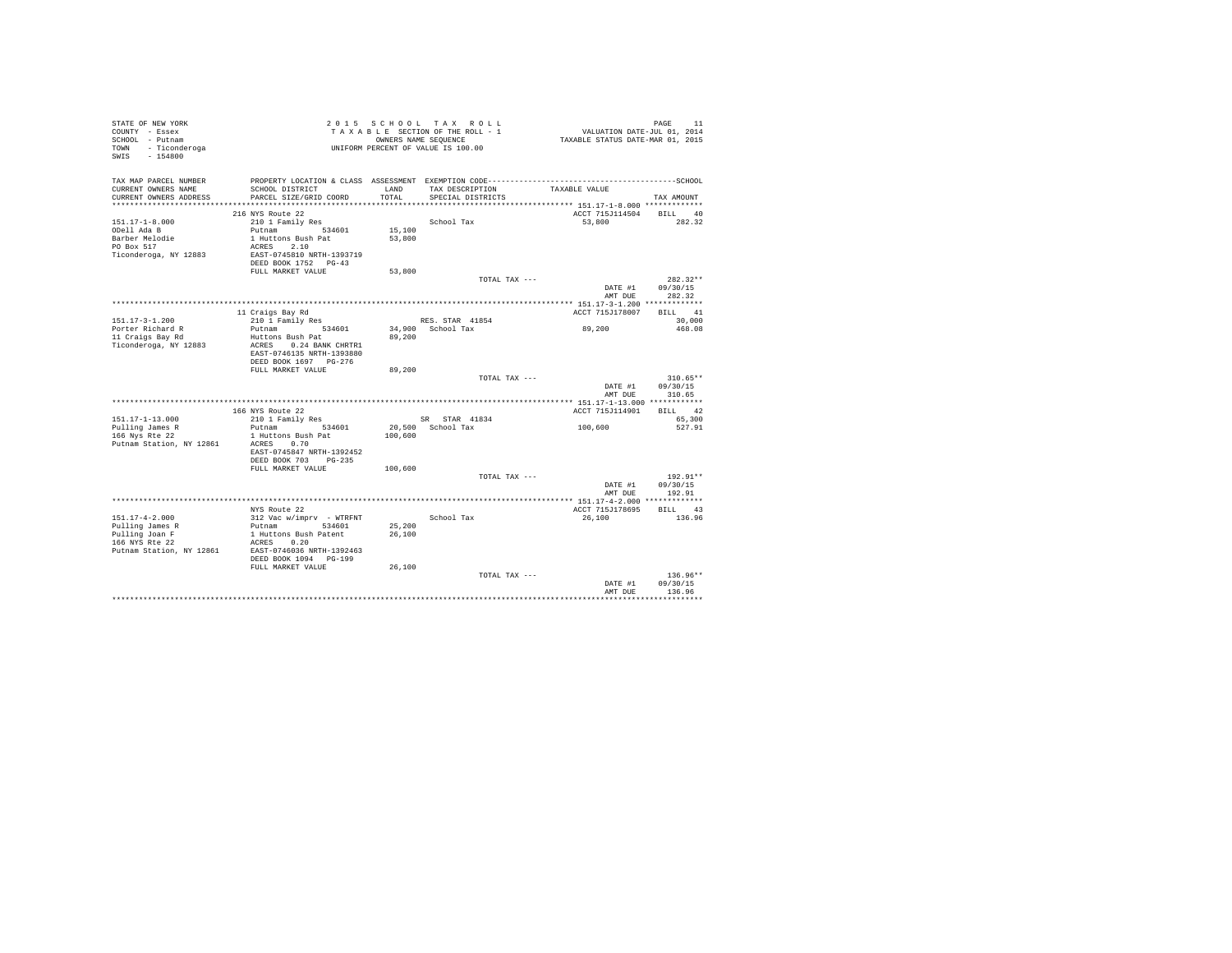| STATE OF NEW YORK<br>COUNTY - Essex<br>SCHOOL - Putnam<br>TOWN - Ticonderoga<br>$-154800$<br>SWIS       |                                                                                                                                                             |                            | 2015 SCHOOL TAX ROLL<br>TAXABLE SECTION OF THE ROLL - 1<br>OWNERS NAME SEQUENCE<br>UNIFORM PERCENT OF VALUE IS 100.00 | PAGE 11<br>VALUATION DATE-JUL 01, 2014<br>TAXABLE STATUS DATE-MAR 01, 2015 |                                  |
|---------------------------------------------------------------------------------------------------------|-------------------------------------------------------------------------------------------------------------------------------------------------------------|----------------------------|-----------------------------------------------------------------------------------------------------------------------|----------------------------------------------------------------------------|----------------------------------|
| TAX MAP PARCEL NUMBER<br>CURRENT OWNERS NAME<br>CURRENT OWNERS ADDRESS                                  | SCHOOL DISTRICT<br>PARCEL SIZE/GRID COORD                                                                                                                   | LAND<br>TOTAL              | TAX DESCRIPTION<br>SPECIAL DISTRICTS                                                                                  | TAXABLE VALUE                                                              |                                  |
|                                                                                                         |                                                                                                                                                             |                            |                                                                                                                       |                                                                            | TAX AMOUNT                       |
|                                                                                                         | 216 NYS Route 22                                                                                                                                            |                            |                                                                                                                       | ACCT 715J114504                                                            | BILL 40                          |
| $151.17 - 1 - 8.000$<br>ODell Ada B<br>Barber Melodie<br>PO Box 517<br>Ticonderoga, NY 12883            | 210 1 Family Res<br>Putnam 534601<br>1 Huttons Bush Pat<br>ACRES 2.10<br>EAST-0745810 NRTH-1393719                                                          | 15,100<br>53,800           | School Tax                                                                                                            | 53,800                                                                     | 282.32                           |
|                                                                                                         | DEED BOOK 1752 PG-43<br>FULL MARKET VALUE                                                                                                                   | 53,800                     |                                                                                                                       |                                                                            |                                  |
|                                                                                                         |                                                                                                                                                             |                            | TOTAL TAX ---                                                                                                         |                                                                            | $282.32**$                       |
|                                                                                                         |                                                                                                                                                             |                            |                                                                                                                       | DATE #1<br>AMT DUE                                                         | 09/30/15<br>282.32               |
|                                                                                                         |                                                                                                                                                             |                            |                                                                                                                       |                                                                            |                                  |
|                                                                                                         | 11 Craigs Bay Rd                                                                                                                                            |                            |                                                                                                                       | ACCT 715J178007                                                            | BILL 41                          |
| $151.17 - 3 - 1.200$                                                                                    | 210 1 Family Res                                                                                                                                            |                            | RES. STAR 41854                                                                                                       |                                                                            | 30,000                           |
| Porter Richard R                                                                                        | Putnam 534601                                                                                                                                               |                            | 34,900 School Tax                                                                                                     | 89,200                                                                     | 468.08                           |
| 11 Craigs Bay Rd<br>Ticonderoga, NY 12883                                                               | Huttons Bush Pat<br>ACRES 0.24 BANK CHRTR1<br>EAST-0746135 NRTH-1393880<br>DEED BOOK 1697 PG-276                                                            | 89,200                     |                                                                                                                       |                                                                            |                                  |
|                                                                                                         | FULL MARKET VALUE                                                                                                                                           | 89,200                     |                                                                                                                       |                                                                            |                                  |
|                                                                                                         |                                                                                                                                                             |                            | TOTAL TAX ---                                                                                                         | DATE #1<br>AMT DUE                                                         | $310.65**$<br>09/30/15<br>310.65 |
|                                                                                                         |                                                                                                                                                             |                            |                                                                                                                       |                                                                            |                                  |
|                                                                                                         | 166 NYS Route 22                                                                                                                                            |                            |                                                                                                                       | ACCT 715J114901                                                            | BILL 42                          |
| 151.17-1-13.000                                                                                         | 210 1 Family Res                                                                                                                                            |                            | SR STAR 41834                                                                                                         |                                                                            | 65,300                           |
| Pulling James R<br>166 Nys Rte 22<br>Putnam Station, NY 12861                                           | Putnam<br>534601<br>1 Huttons Bush Pat<br>ACRES 0.70                                                                                                        | 100,600                    | 20.500 School Tax                                                                                                     | 100,600                                                                    | 527.91                           |
|                                                                                                         | EAST-0745847 NRTH-1392452<br>DEED BOOK 703 PG-235                                                                                                           |                            |                                                                                                                       |                                                                            |                                  |
|                                                                                                         | FULL MARKET VALUE                                                                                                                                           | 100,600                    |                                                                                                                       |                                                                            |                                  |
|                                                                                                         |                                                                                                                                                             |                            | TOTAL TAX ---                                                                                                         |                                                                            | $192.91**$                       |
|                                                                                                         |                                                                                                                                                             |                            |                                                                                                                       | DATE #1<br>AMT DUE                                                         | 09/30/15<br>192.91               |
|                                                                                                         |                                                                                                                                                             |                            |                                                                                                                       |                                                                            |                                  |
|                                                                                                         | NYS Route 22                                                                                                                                                |                            |                                                                                                                       | ACCT 715J178695                                                            | BILL 43                          |
| $151.17 - 4 - 2.000$<br>Pulling James R<br>Pulling Joan F<br>166 NYS Rte 22<br>Putnam Station, NY 12861 | 312 Vac w/imprv - WTRFNT<br>Putnam 534601<br>1 Huttons Bush Patent<br>ACRES 0.20<br>EAST-0746036 NRTH-1392463<br>DEED BOOK 1094 PG-199<br>FULL MARKET VALUE | 25,200<br>26,100<br>26,100 | School Tax                                                                                                            | 26,100                                                                     | 136.96                           |
|                                                                                                         |                                                                                                                                                             |                            | TOTAL TAX ---                                                                                                         |                                                                            | $136.96**$                       |
|                                                                                                         |                                                                                                                                                             |                            |                                                                                                                       | DATE #1<br>AMT DUE                                                         | 09/30/15<br>136.96               |
|                                                                                                         |                                                                                                                                                             |                            |                                                                                                                       |                                                                            |                                  |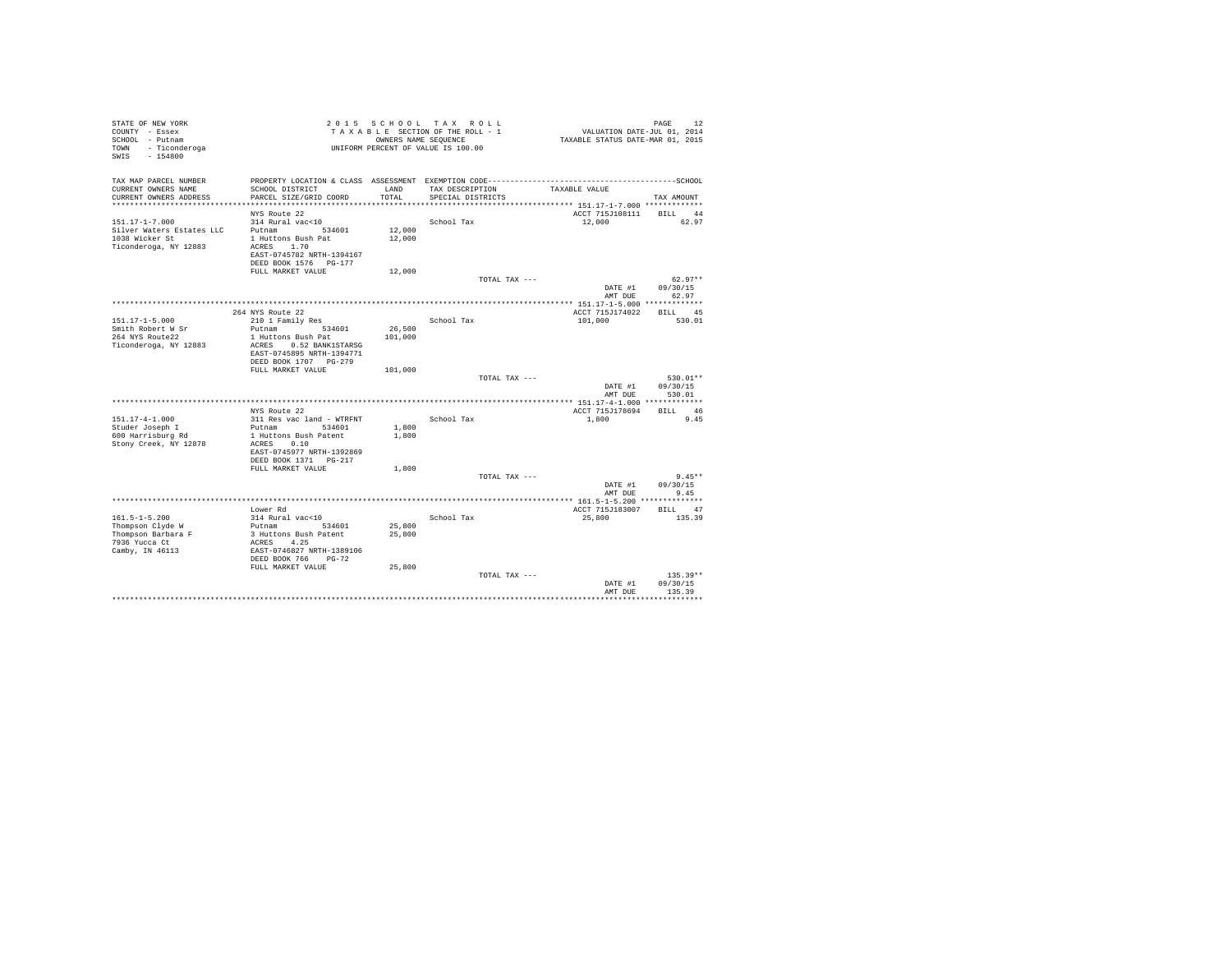| STATE OF NEW YORK<br>COUNTY - Essex<br>SCHOOL - Putnam<br>TOWN - Ticonderoga<br>SWIS - 154800 |                                                     |               | 2015 SCHOOL TAX ROLL<br>TAXABLE SECTION OF THE ROLL - 1<br>OWNERS NAME SEQUENCE<br>UNIFORM PERCENT OF VALUE IS 100.00 | VALUATION DATE-JUL 01, 2014<br>TAXABLE STATUS DATE-MAR 01, 2015 | PAGE<br>12        |  |
|-----------------------------------------------------------------------------------------------|-----------------------------------------------------|---------------|-----------------------------------------------------------------------------------------------------------------------|-----------------------------------------------------------------|-------------------|--|
| TAX MAP PARCEL NUMBER                                                                         |                                                     |               |                                                                                                                       |                                                                 |                   |  |
| CURRENT OWNERS NAME<br>CURRENT OWNERS ADDRESS                                                 | SCHOOL DISTRICT<br>PARCEL SIZE/GRID COORD           | LAND<br>TOTAL | TAX DESCRIPTION<br>SPECIAL DISTRICTS                                                                                  | TAXABLE VALUE                                                   | TAX AMOUNT        |  |
|                                                                                               |                                                     |               |                                                                                                                       | *************************** 151.17-1-7.000 *************        |                   |  |
|                                                                                               | NYS Route 22                                        |               |                                                                                                                       | ACCT 715J108111 BILL 44                                         |                   |  |
| $151.17 - 1 - 7.000$                                                                          | 314 Rural vac<10                                    |               | School Tax                                                                                                            | 12,000                                                          | 62.97             |  |
| Silver Waters Estates LLC                                                                     | Putnam<br>534601                                    | 12,000        |                                                                                                                       |                                                                 |                   |  |
| 1038 Wicker St<br>Ticonderoga, NY 12883                                                       | 1 Huttons Bush Pat<br>ACRES 1.70                    | 12,000        |                                                                                                                       |                                                                 |                   |  |
|                                                                                               | EAST-0745782 NRTH-1394167                           |               |                                                                                                                       |                                                                 |                   |  |
|                                                                                               | DEED BOOK 1576 PG-177                               |               |                                                                                                                       |                                                                 |                   |  |
|                                                                                               | FULL MARKET VALUE                                   | 12,000        |                                                                                                                       |                                                                 |                   |  |
|                                                                                               |                                                     |               | TOTAL TAX ---                                                                                                         |                                                                 | $62.97**$         |  |
|                                                                                               |                                                     |               |                                                                                                                       | DATE #1<br>AMT DUE                                              | 09/30/15<br>62.97 |  |
|                                                                                               |                                                     |               |                                                                                                                       |                                                                 |                   |  |
|                                                                                               | 264 NYS Route 22                                    |               |                                                                                                                       | ACCT 715J174022                                                 | BILL 45           |  |
| $151.17 - 1 - 5.000$                                                                          | 210 1 Family Res                                    |               | School Tax                                                                                                            | 101,000                                                         | 530.01            |  |
| Smith Robert W Sr                                                                             | Putnam<br>534601                                    | 26,500        |                                                                                                                       |                                                                 |                   |  |
| 264 NYS Route22                                                                               | 1 Huttons Bush Pat                                  | 101,000       |                                                                                                                       |                                                                 |                   |  |
| Ticonderoga, NY 12883                                                                         | ACRES 0.52 BANK1STARSG<br>EAST-0745895 NRTH-1394771 |               |                                                                                                                       |                                                                 |                   |  |
|                                                                                               | DEED BOOK 1707 PG-279                               |               |                                                                                                                       |                                                                 |                   |  |
|                                                                                               | FULL MARKET VALUE                                   | 101,000       |                                                                                                                       |                                                                 |                   |  |
|                                                                                               |                                                     |               | TOTAL TAX ---                                                                                                         |                                                                 | $530.01**$        |  |
|                                                                                               |                                                     |               |                                                                                                                       | DATE #1                                                         | 09/30/15          |  |
|                                                                                               |                                                     |               |                                                                                                                       | AMT DUE                                                         | 530.01            |  |
|                                                                                               | NYS Route 22                                        |               |                                                                                                                       | ACCT 715J178694                                                 | BILL 46           |  |
| $151.17 - 4 - 1.000$                                                                          | 311 Res vac land - WTRFNT                           |               | School Tax                                                                                                            | 1,800                                                           | 9.45              |  |
| Studer Joseph I                                                                               | Putnam 534601                                       | 1,800         |                                                                                                                       |                                                                 |                   |  |
| 600 Harrisburg Rd                                                                             | 1 Huttons Bush Patent                               | 1,800         |                                                                                                                       |                                                                 |                   |  |
| Stony Creek, NY 12878                                                                         | ACRES 0.10                                          |               |                                                                                                                       |                                                                 |                   |  |
|                                                                                               | EAST-0745977 NRTH-1392869                           |               |                                                                                                                       |                                                                 |                   |  |
|                                                                                               | DEED BOOK 1371    PG-217<br>FULL MARKET VALUE       | 1,800         |                                                                                                                       |                                                                 |                   |  |
|                                                                                               |                                                     |               | TOTAL TAX ---                                                                                                         |                                                                 | $9.45**$          |  |
|                                                                                               |                                                     |               |                                                                                                                       | DATE #1                                                         | 09/30/15          |  |
|                                                                                               |                                                     |               |                                                                                                                       | AMT DUE                                                         | 9.45              |  |
|                                                                                               |                                                     |               |                                                                                                                       |                                                                 |                   |  |
| $161.5 - 1 - 5.200$                                                                           | Lower Rd<br>314 Rural vac<10                        |               | School Tax                                                                                                            | ACCT 715J183007<br>25,800                                       | BILL 47<br>135.39 |  |
| Thompson Clyde W                                                                              | Putnam 534601                                       | 25,800        |                                                                                                                       |                                                                 |                   |  |
| Thompson Barbara F                                                                            | 3 Huttons Bush Patent                               | 25,800        |                                                                                                                       |                                                                 |                   |  |
| 7936 Yucca Ct                                                                                 | ACRES 4.25                                          |               |                                                                                                                       |                                                                 |                   |  |
| Camby, IN 46113                                                                               | EAST-0746827 NRTH-1389106                           |               |                                                                                                                       |                                                                 |                   |  |
|                                                                                               | DEED BOOK 766 PG-72                                 |               |                                                                                                                       |                                                                 |                   |  |
|                                                                                               | FULL MARKET VALUE                                   | 25,800        |                                                                                                                       |                                                                 | $135.39**$        |  |
|                                                                                               |                                                     |               | TOTAL TAX ---                                                                                                         | DATE #1                                                         | 09/30/15          |  |
|                                                                                               |                                                     |               |                                                                                                                       | AMT DUE                                                         | 135.39            |  |
|                                                                                               |                                                     |               |                                                                                                                       |                                                                 |                   |  |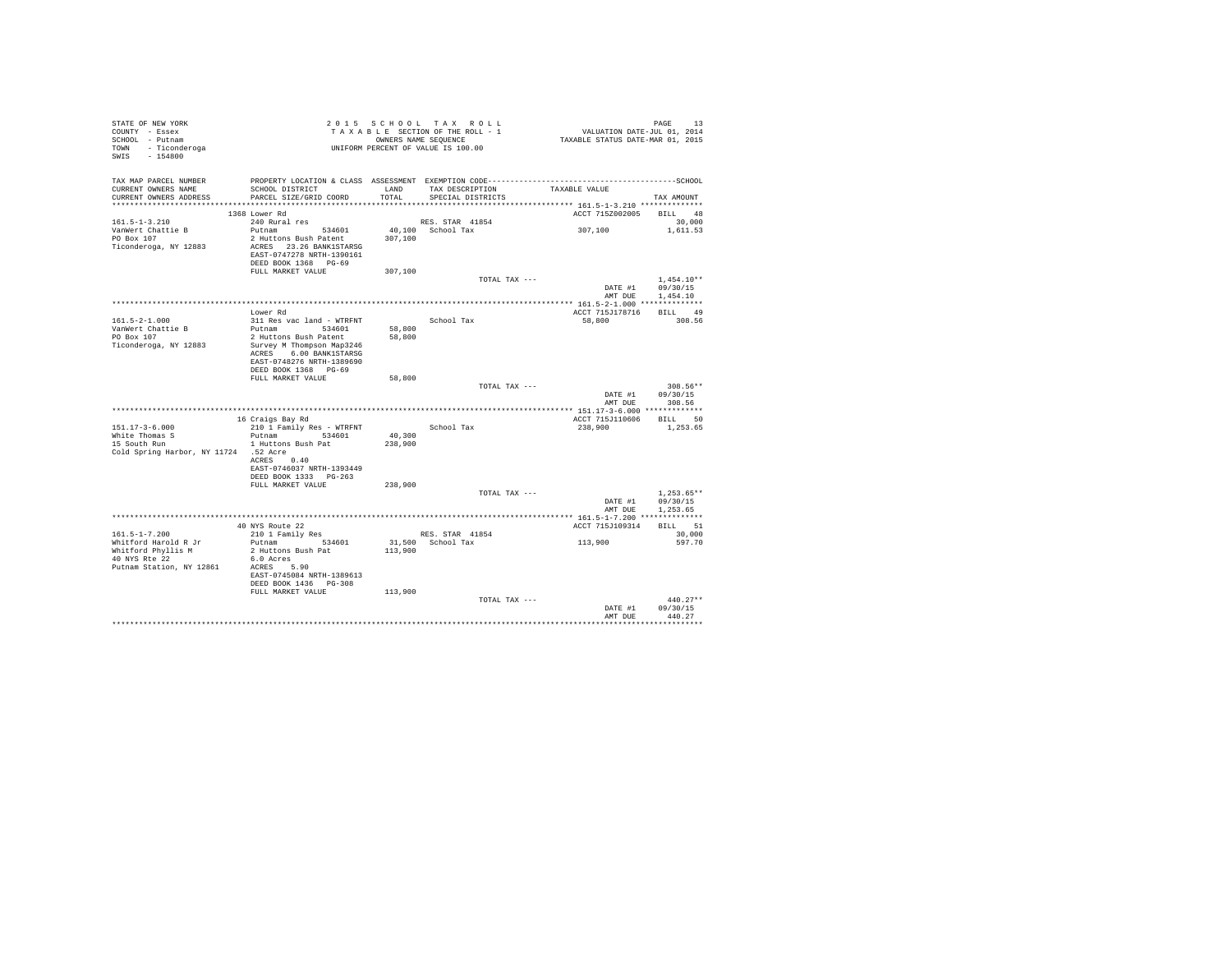| STATE OF NEW YORK<br>COUNTY - Essex<br>SCHOOL - Putnam<br>TOWN - Ticonderoga<br>SWIS - 154800                  | TAXABLE NOW SEQUENCE<br>UNIFORM PERCENT OF VALUE IS 100.00                                                             |         | 2015 SCHOOL TAX ROLL<br>TAXABLE SECTION OF THE ROLL - 1<br>OWNERS NAME SEQUENCE | دء به سمجھ<br>2014 -VALUATION DATE-JUL<br>TAXABLE STATUS DATE-MAR 01, 2015 | PAGE<br>13                           |
|----------------------------------------------------------------------------------------------------------------|------------------------------------------------------------------------------------------------------------------------|---------|---------------------------------------------------------------------------------|----------------------------------------------------------------------------|--------------------------------------|
| TAX MAP PARCEL NUMBER<br>CURRENT OWNERS NAME<br>CURRENT OWNERS ADDRESS                                         | SCHOOL DISTRICT<br>PARCEL SIZE/GRID COORD                                                                              | TOTAL   | LAND TAX DESCRIPTION<br>SPECIAL DISTRICTS                                       | TAXABLE VALUE                                                              | TAX AMOUNT                           |
|                                                                                                                | 1368 Lower Rd                                                                                                          |         |                                                                                 | ACCT 715Z002005 BILL 48                                                    |                                      |
| $161.5 - 1 - 3.210$                                                                                            | 240 Rural res                                                                                                          |         | RES. STAR 41854                                                                 |                                                                            | 30,000                               |
| VanWert Chattie B<br>PO Box 107<br>Ticonderoga, NY 12883                                                       | Putnam 534601<br>2 Huttons Bush Patent<br>ACRES 23.26 BANK1STARSG<br>EAST-0747278 NRTH-1390161<br>DEED BOOK 1368 PG-69 | 307,100 | 40.100 School Tax                                                               | 307,100                                                                    | 1,611.53                             |
|                                                                                                                | FULL MARKET VALUE                                                                                                      | 307,100 |                                                                                 |                                                                            |                                      |
|                                                                                                                |                                                                                                                        |         | TOTAL TAX ---                                                                   | AMT DUE                                                                    | $1.454.10**$<br>DATE #1 09/30/15     |
|                                                                                                                |                                                                                                                        |         |                                                                                 |                                                                            | 1,454.10                             |
|                                                                                                                | Lower Rd                                                                                                               |         |                                                                                 | ACCT 715J178716                                                            | BILL 49                              |
| $161.5 - 2 - 1.000$                                                                                            | 311 Res vac land - WTRFNT                                                                                              |         | School Tax                                                                      | 58,800                                                                     | 308.56                               |
| VanWert Chattie B                                                                                              | Putnam 534601                                                                                                          | 58,800  |                                                                                 |                                                                            |                                      |
| PO Box 107<br>Ticonderoga, NY 12883                                                                            | 2 Huttons Bush Patent<br>Survey M Thompson Map3246<br>ACRES 6.00 BANK1STARSG<br>EAST-0748276 NRTH-1389690              | 58,800  |                                                                                 |                                                                            |                                      |
|                                                                                                                | DEED BOOK 1368 PG-69                                                                                                   |         |                                                                                 |                                                                            |                                      |
|                                                                                                                | FULL MARKET VALUE                                                                                                      | 58,800  | TOTAL TAX ---                                                                   | DATE #1<br>AMT DUE                                                         | $308.56**$<br>09/30/15<br>308.56     |
|                                                                                                                |                                                                                                                        |         |                                                                                 |                                                                            |                                      |
|                                                                                                                | 16 Craigs Bay Rd                                                                                                       |         |                                                                                 | ACCT 715J110606 BILL 50                                                    |                                      |
| $151.17 - 3 - 6.000$                                                                                           | 210 1 Family Res - WTRFNT                                                                                              |         | School Tax                                                                      | 238,900                                                                    | 1,253.65                             |
| White Thomas S                                                                                                 | Putnam 534601                                                                                                          | 40,300  |                                                                                 |                                                                            |                                      |
| 15 South Run<br>Cold Spring Harbor, NY 11724 .52 Acre                                                          | 1 Huttons Bush Pat<br>ACRES 0.40                                                                                       | 238,900 |                                                                                 |                                                                            |                                      |
|                                                                                                                | EAST-0746037 NRTH-1393449<br>DEED BOOK 1333 PG-263                                                                     |         |                                                                                 |                                                                            |                                      |
|                                                                                                                | FULL MARKET VALUE                                                                                                      | 238,900 |                                                                                 |                                                                            |                                      |
|                                                                                                                |                                                                                                                        |         | TOTAL TAX ---                                                                   | DATE #1<br>AMT DUE                                                         | $1.253.65**$<br>09/30/15<br>1,253.65 |
|                                                                                                                |                                                                                                                        |         |                                                                                 |                                                                            |                                      |
|                                                                                                                | 40 NYS Route 22                                                                                                        |         |                                                                                 | ACCT 715J109314                                                            | BILL 51                              |
| $161.5 - 1 - 7.200$<br>Whitford Harold R Jr<br>Whitford Phyllis M<br>40 NYS Rte 22<br>Putnam Station, NY 12861 | 210 1 Family Res<br>Putnam 534601<br>2 Huttons Bush Pat<br>6.0 Acres<br>ACRES 5.90<br>EAST-0745084 NRTH-1389613        | 113,900 | RES. STAR 41854<br>31,500 School Tax                                            | 113,900                                                                    | 30,000<br>597.70                     |
|                                                                                                                | DEED BOOK 1436    PG-308                                                                                               |         |                                                                                 |                                                                            |                                      |
|                                                                                                                | FULL MARKET VALUE                                                                                                      | 113,900 | TOTAL TAX ---                                                                   | DATE #1                                                                    | $440.27**$<br>09/30/15               |
|                                                                                                                |                                                                                                                        |         |                                                                                 | AMT DUE                                                                    | 440.27                               |
|                                                                                                                |                                                                                                                        |         |                                                                                 |                                                                            | .                                    |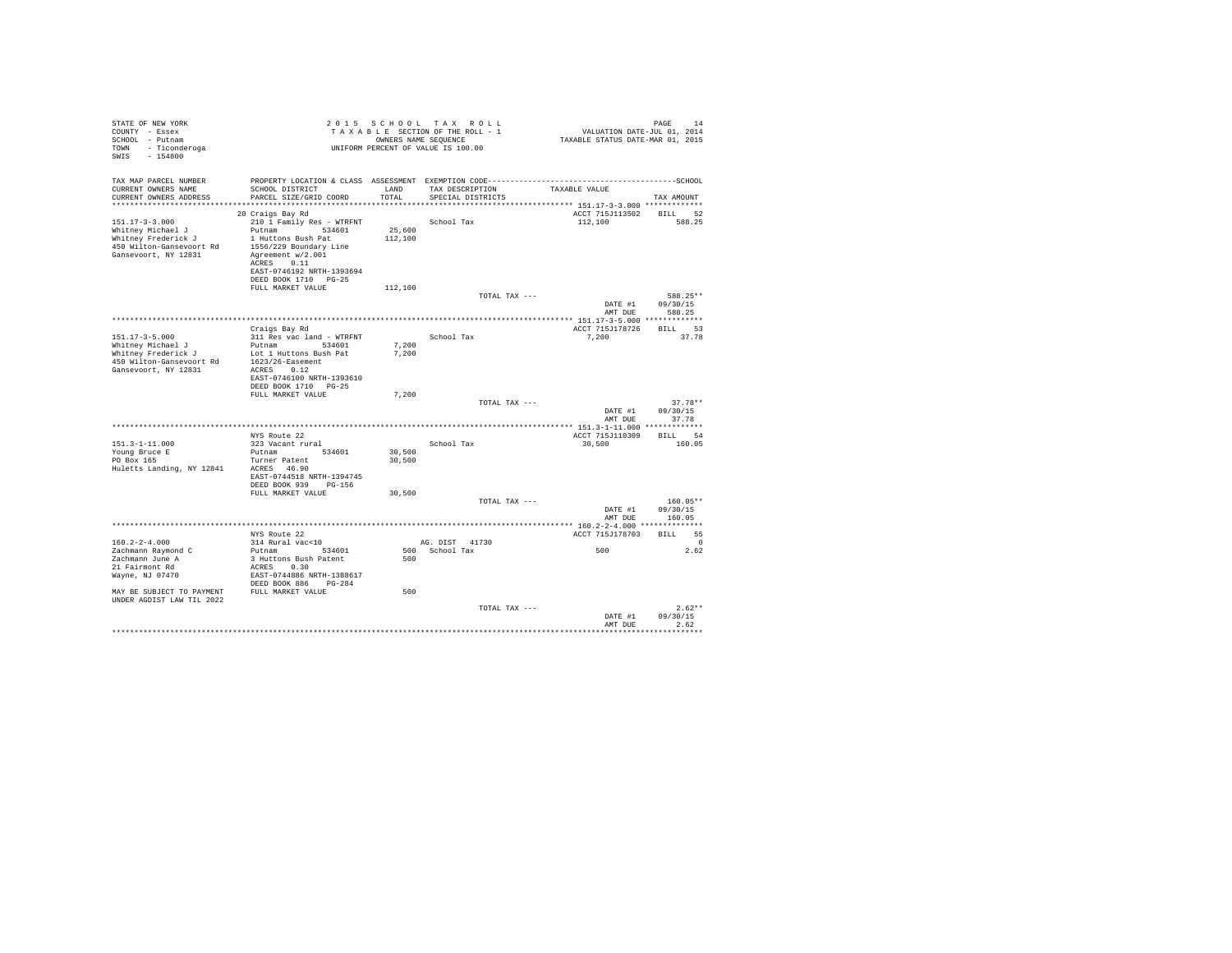| STATE OF NEW YORK<br>COUNTY - Essex<br>SCHOOL - Putnam<br>- Ticonderoga<br>TOWN<br>SWIS<br>$-154800$                                                        |                                                                                                                                                                                                        |                            | 2015 SCHOOL TAX ROLL<br>TAXABLE SECTION OF THE ROLL - 1<br>OWNERS NAME SEOUENCE<br>UNIFORM PERCENT OF VALUE IS 100.00 | VALUATION DATE-JUL 01, 2014<br>TAXABLE STATUS DATE-MAR 01, 2015 | PAGE<br>14                          |
|-------------------------------------------------------------------------------------------------------------------------------------------------------------|--------------------------------------------------------------------------------------------------------------------------------------------------------------------------------------------------------|----------------------------|-----------------------------------------------------------------------------------------------------------------------|-----------------------------------------------------------------|-------------------------------------|
| TAX MAP PARCEL NUMBER<br>CURRENT OWNERS NAME<br>CURRENT OWNERS ADDRESS                                                                                      | SCHOOL DISTRICT<br>PARCEL SIZE/GRID COORD                                                                                                                                                              | LAND<br>TOTAL.             | TAX DESCRIPTION<br>SPECIAL DISTRICTS                                                                                  | TAXABLE VALUE                                                   | TAX AMOUNT                          |
| $151.17 - 3 - 3.000$<br>Whitney Michael J<br>Whitney Frederick J<br>450 Wilton-Gansevoort Rd<br>Gansevoort, NY 12831                                        | 20 Craigs Bay Rd<br>210 1 Family Res - WTRFNT<br>Putnam 534601<br>1 Huttons Bush Pat<br>1556/229 Boundary Line<br>Agreement w/2.001<br>ACRES 0.11<br>EAST-0746192 NRTH-1393694<br>DEED BOOK 1710 PG-25 | 25,600<br>112,100          | School Tax                                                                                                            | ACCT 715J113502 BILL<br>112,100                                 | 52<br>588.25                        |
|                                                                                                                                                             | FULL MARKET VALUE                                                                                                                                                                                      | 112,100                    | TOTAL TAX ---                                                                                                         | DATE #1                                                         | 588.25**<br>09/30/15                |
|                                                                                                                                                             | Craigs Bay Rd                                                                                                                                                                                          |                            |                                                                                                                       | AMT DUE<br>ACCT 715J178726                                      | 588.25<br>BILL 53                   |
| $151.17 - 3 - 5.000$<br>Whitney Michael J<br>Whitney Frederick J<br>450 Wilton-Gansevoort Rd<br>Gansevoort, NY 12831                                        | 311 Res vac land - WTRFNT<br>Putnam 534601<br>Lot 1 Huttons Bush Pat<br>$1623/26$ -Easement<br>ACRES 0.12<br>EAST-0746100 NRTH-1393610<br>DEED BOOK 1710 PG-25                                         | 7,200<br>7.200             | School Tax                                                                                                            | 7,200                                                           | 37.78                               |
|                                                                                                                                                             | FULL MARKET VALUE                                                                                                                                                                                      | 7.200                      | TOTAL TAX ---                                                                                                         | DATE #1                                                         | $37.78**$<br>09/30/15               |
|                                                                                                                                                             |                                                                                                                                                                                                        |                            |                                                                                                                       | AMT DUE                                                         | 37.78                               |
| $151.3 - 1 - 11.000$<br>Young Bruce E<br>PO Box 165<br>Huletts Landing, NY 12841                                                                            | NYS Route 22<br>323 Vacant rural<br>Putnam 534601<br>Turner Patent<br>ACRES 46.90<br>EAST-0744518 NRTH-1394745<br>DEED BOOK 939 PG-156<br>FULL MARKET VALUE                                            | 30,500<br>30,500<br>30,500 | School Tax                                                                                                            | ACCT 715J110309<br>30,500                                       | BTLL 54<br>160.05                   |
|                                                                                                                                                             |                                                                                                                                                                                                        |                            | TOTAL TAX ---                                                                                                         | DATE #1                                                         | $160.05**$<br>09/30/15              |
|                                                                                                                                                             |                                                                                                                                                                                                        |                            |                                                                                                                       | AMT DUE                                                         | 160.05                              |
| $160.2 - 2 - 4.000$<br>Zachmann Raymond C<br>Zachmann June A<br>21 Fairmont Rd<br>Wayne, NJ 07470<br>MAY BE SUBJECT TO PAYMENT<br>UNDER AGDIST LAW TIL 2022 | NYS Route 22<br>314 Rural vac<10<br>Putnam<br>534601<br>3 Huttons Bush Patent<br>ACRES 0.30<br>EAST-0744886 NRTH-1388617<br>DEED BOOK 886 PG-284<br>FULL MARKET VALUE                                  | 500<br>500                 | AG. DIST 41730<br>500 School Tax                                                                                      | ACCT 715J178703<br>500                                          | 55<br><b>BILL</b><br>$\cap$<br>2.62 |
|                                                                                                                                                             |                                                                                                                                                                                                        |                            | TOTAL TAX ---                                                                                                         | DATE #1<br>AMT DUE                                              | $2.62**$<br>09/30/15<br>2.62        |
|                                                                                                                                                             |                                                                                                                                                                                                        |                            |                                                                                                                       |                                                                 |                                     |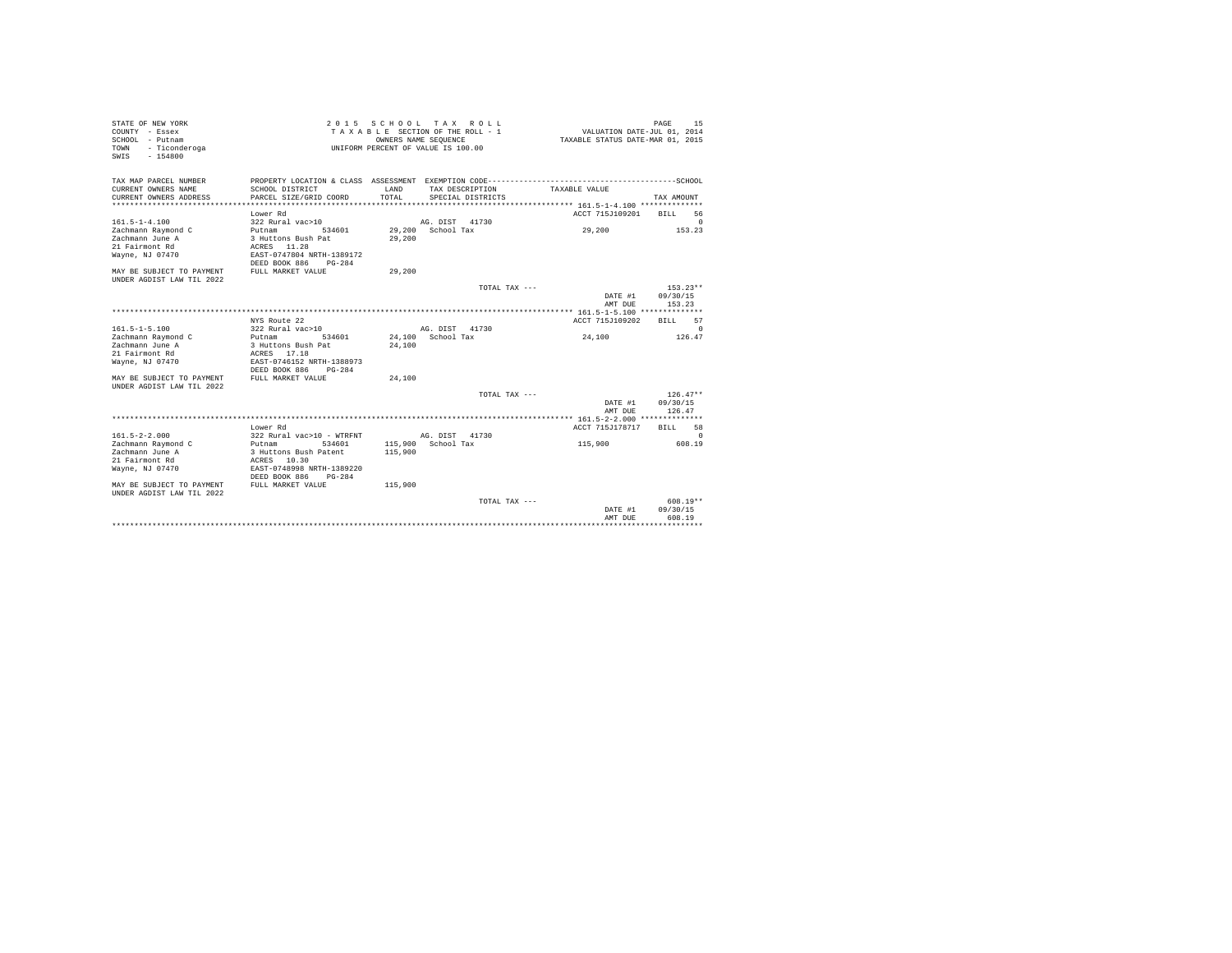| STATE OF NEW YORK<br>COUNTY - Essex<br>SCHOOL - Putnam<br>- Ticonderoga<br>TOWN<br>$-154800$<br>SWIS                                                  |                                                                                                                                                                                                            |                         | 2015 SCHOOL TAX ROLL<br>TAXABLE SECTION OF THE ROLL - 1<br>OWNERS NAME SEQUENCE<br>UNIFORM PERCENT OF VALUE IS 100.00 | TAXABLE STATUS DATE-MAR 01, 2015           | 15<br>PAGE<br>VALUATION DATE-JUL 01, 2014                                     |  |
|-------------------------------------------------------------------------------------------------------------------------------------------------------|------------------------------------------------------------------------------------------------------------------------------------------------------------------------------------------------------------|-------------------------|-----------------------------------------------------------------------------------------------------------------------|--------------------------------------------|-------------------------------------------------------------------------------|--|
| TAX MAP PARCEL NUMBER<br>CURRENT OWNERS NAME<br>CURRENT OWNERS ADDRESS<br>******************************<br>$161.5 - 1 - 4.100$<br>Zachmann Raymond C | PROPERTY LOCATION & CLASS ASSESSMENT EXEMPTION CODE----------------------<br>SCHOOL DISTRICT<br>PARCEL SIZE/GRID COORD<br>****************************<br>Lower Rd<br>322 Rural vac>10<br>Putnam<br>534601 | LAND<br>TOTAL<br>29,200 | TAX DESCRIPTION<br>SPECIAL DISTRICTS<br>AG. DIST 41730<br>School Tax                                                  | TAXABLE VALUE<br>ACCT 715J109201<br>29,200 | --------------SCHOOL<br>TAX AMOUNT<br>56<br><b>BILL</b><br>$\Omega$<br>153.23 |  |
| Zachmann June A<br>21 Fairmont Rd<br>Wayne, NJ 07470<br>MAY BE SUBJECT TO PAYMENT<br>UNDER AGDIST LAW TIL 2022                                        | 3 Huttons Bush Pat<br>ACRES 11.28<br>EAST-0747804 NRTH-1389172<br>DEED BOOK 886<br>$PG-284$<br>FULL MARKET VALUE                                                                                           | 29,200<br>29,200        |                                                                                                                       |                                            |                                                                               |  |
|                                                                                                                                                       |                                                                                                                                                                                                            |                         |                                                                                                                       | TOTAL TAX ---<br>DATE #1<br>AMT DUE        | $153.23**$<br>09/30/15<br>153.23                                              |  |
|                                                                                                                                                       | NYS Route 22                                                                                                                                                                                               |                         |                                                                                                                       | ACCT 715J109202                            | 57<br><b>BILL</b>                                                             |  |
| $161.5 - 1 - 5.100$<br>Zachmann Raymond C<br>Zachmann June A<br>21 Fairmont Rd<br>Wayne, NJ 07470                                                     | 322 Rural vac>10<br>534601<br>Putnam<br>3 Huttons Bush Pat<br>ACRES 17.18<br>EAST-0746152 NRTH-1388973<br>DEED BOOK 886<br>$PG-284$                                                                        | 24,100                  | AG. DIST 41730<br>24.100 School Tax                                                                                   | 24,100                                     | $\Omega$<br>126.47                                                            |  |
| MAY BE SUBJECT TO PAYMENT<br>UNDER AGDIST LAW TIL 2022                                                                                                | FULL MARKET VALUE                                                                                                                                                                                          | 24,100                  |                                                                                                                       |                                            |                                                                               |  |
|                                                                                                                                                       |                                                                                                                                                                                                            |                         |                                                                                                                       | TOTAL TAX ---<br>DATE #1<br>AMT DUE        | $126.47**$<br>09/30/15<br>126.47                                              |  |
|                                                                                                                                                       |                                                                                                                                                                                                            |                         |                                                                                                                       |                                            |                                                                               |  |
|                                                                                                                                                       | Lower Rd                                                                                                                                                                                                   |                         |                                                                                                                       | ACCT 715J178717                            | 58<br><b>BILL</b>                                                             |  |
| $161.5 - 2 - 2.000$<br>Zachmann Raymond C<br>Zachmann June A<br>21 Fairmont Rd<br>Wayne, NJ 07470                                                     | 322 Rural vac>10 - WTRFNT<br>534601<br>Putnam<br>3 Huttons Bush Patent<br>ACRES 10.30<br>EAST-0748998 NRTH-1389220<br>DEED BOOK 886<br>$PG-284$                                                            | 115,900                 | AG. DIST 41730<br>115,900 School Tax                                                                                  | 115,900                                    | $\Omega$<br>608.19                                                            |  |
| MAY BE SUBJECT TO PAYMENT<br>UNDER AGDIST LAW TIL 2022                                                                                                | FULL MARKET VALUE                                                                                                                                                                                          | 115,900                 |                                                                                                                       |                                            |                                                                               |  |
|                                                                                                                                                       |                                                                                                                                                                                                            |                         |                                                                                                                       | TOTAL TAX ---<br>DATE #1<br>AMT DUE        | $608.19**$<br>09/30/15<br>608.19                                              |  |
|                                                                                                                                                       |                                                                                                                                                                                                            |                         |                                                                                                                       |                                            |                                                                               |  |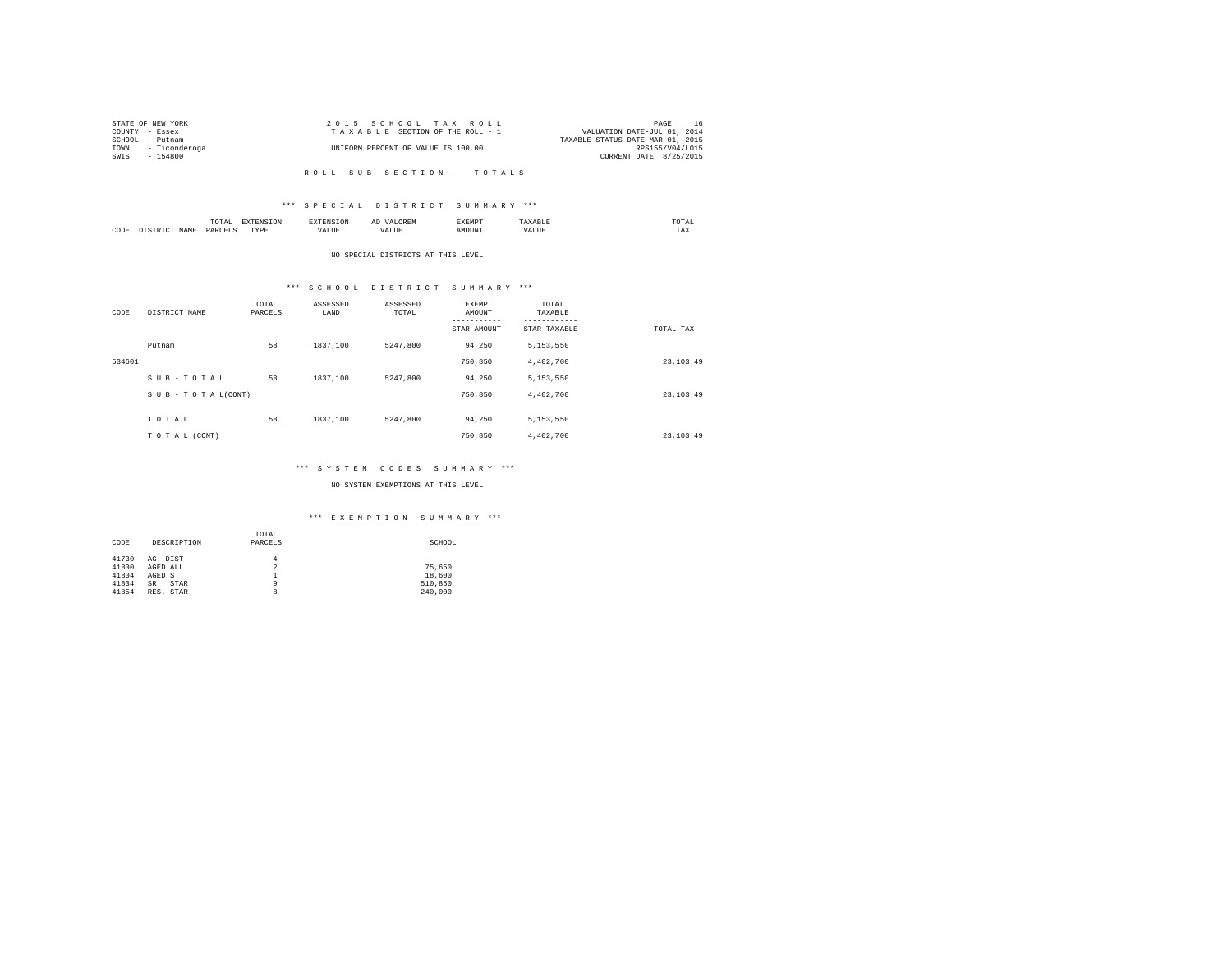|      | STATE OF NEW YORK  | 2015 SCHOOL TAX ROLL               | PAGE                             | -16 |
|------|--------------------|------------------------------------|----------------------------------|-----|
|      | COUNTY - Essex     | TAXABLE SECTION OF THE ROLL - 1    | VALUATION DATE-JUL 01, 2014      |     |
|      | SCHOOL - Putnam    |                                    | TAXABLE STATUS DATE-MAR 01, 2015 |     |
|      | TOWN - Ticonderoga | UNIFORM PERCENT OF VALUE IS 100.00 | RPS155/V04/L015                  |     |
| SWIS | - 154800           |                                    | CURRENT DATE 8/25/2015           |     |
|      |                    |                                    |                                  |     |

# \*\*\* S P E C I A L D I S T R I C T S U M M A R Y \*\*\*

|      | .<br>the contract of the contract of the contract of | the contract of the contract of the contract of the contract of the contract of |         | ▵<br>a. |              |     | the contract of the contract of the contract of |
|------|------------------------------------------------------|---------------------------------------------------------------------------------|---------|---------|--------------|-----|-------------------------------------------------|
| CODE | DARCEL'<br>.                                         | $- - - -$<br>.                                                                  | ''Alili |         | <b>NETNE</b> | $-$ | ---<br>1'A.X                                    |

#### NO SPECIAL DISTRICTS AT THIS LEVEL

# \*\*\* S C H O O L D I S T R I C T S U M M A R Y \*\*\*

| CODE   | DISTRICT NAME   | TOTAL<br>PARCELS | ASSESSED<br>LAND | ASSESSED<br>TOTAL | EXEMPT<br>AMOUNT<br>STAR AMOUNT | TOTAL<br>TAXABLE<br>STAR TAXABLE | TOTAL TAX   |
|--------|-----------------|------------------|------------------|-------------------|---------------------------------|----------------------------------|-------------|
|        | Putnam          | 58               | 1837,100         | 5247.800          | 94,250                          | 5,153,550                        |             |
| 534601 |                 |                  |                  |                   | 750,850                         | 4,402,700                        | 23, 103, 49 |
|        | SUB-TOTAL       | 58               | 1837,100         | 5247.800          | 94,250                          | 5,153,550                        |             |
|        | SUB-TOTAL(CONT) |                  |                  |                   | 750,850                         | 4,402,700                        | 23, 103, 49 |
|        |                 |                  |                  |                   |                                 |                                  |             |
|        | TOTAL           | 58               | 1837,100         | 5247.800          | 94,250                          | 5,153,550                        |             |
|        | TO TAL (CONT)   |                  |                  |                   | 750,850                         | 4,402,700                        | 23, 103.49  |

# \*\*\* S Y S T E M C O D E S S U M M A R Y \*\*\*

# NO SYSTEM EXEMPTIONS AT THIS LEVEL

# \*\*\* E X E M P T I O N S U M M A R Y \*\*\*

| CODE  | DESCRIPTION       | TOTAL<br>PARCELS | SCHOOL  |
|-------|-------------------|------------------|---------|
| 41730 | AG. DIST          | 4                |         |
| 41800 | AGED ALL          | 2                | 75.650  |
| 41804 | AGED S            |                  | 18,600  |
| 41834 | <b>SR</b><br>STAR | ٩                | 510,850 |
| 41854 | RES. STAR         | 8                | 240,000 |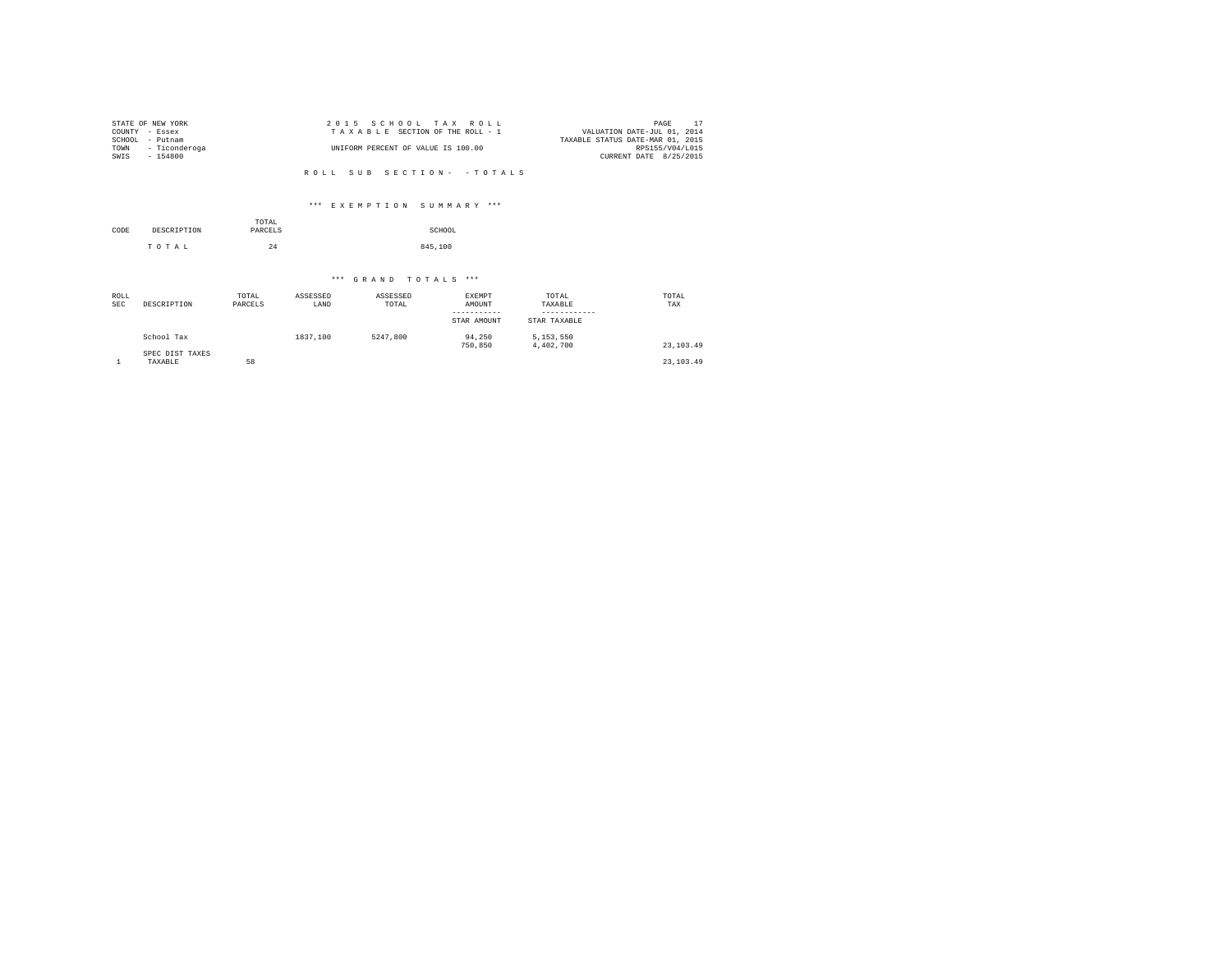|        | STATE OF NEW YORK | 2015 SCHOOL TAX ROLL               | PAGE                             |  |
|--------|-------------------|------------------------------------|----------------------------------|--|
|        | COUNTY - Essex    | TAXABLE SECTION OF THE ROLL - 1    | VALUATION DATE-JUL 01, 2014      |  |
| SCHOOL | - Putnam          |                                    | TAXABLE STATUS DATE-MAR 01, 2015 |  |
| TOWN   | - Ticonderoga     | UNIFORM PERCENT OF VALUE IS 100.00 | RPS155/V04/L015                  |  |
| SWIS   | $-154800$         |                                    | CURRENT DATE 8/25/2015           |  |
|        |                   |                                    |                                  |  |

# \*\*\* E X E M P T I O N S U M M A R Y \*\*\*

|      |             | TOTAL   |         |
|------|-------------|---------|---------|
| CODE | DESCRIPTION | PARCELS | SCHOOL  |
|      | TOTAL       | 24      | 845,100 |

| ROLL<br><b>SEC</b> | DESCRIPTION                | TOTAL<br>PARCELS | ASSESSED<br>LAND | ASSESSED<br>TOTAL | EXEMPT<br>AMOUNT<br>STAR AMOUNT | TOTAL<br>TAXABLE<br>STAR TAXABLE | TOTAL<br>TAX |
|--------------------|----------------------------|------------------|------------------|-------------------|---------------------------------|----------------------------------|--------------|
|                    | School Tax                 |                  | 1837.100         | 5247.800          | 94,250<br>750,850               | 5.153.550<br>4,402,700           | 23, 103, 49  |
|                    | SPEC DIST TAXES<br>TAXABLE | 58               |                  |                   |                                 |                                  | 23, 103, 49  |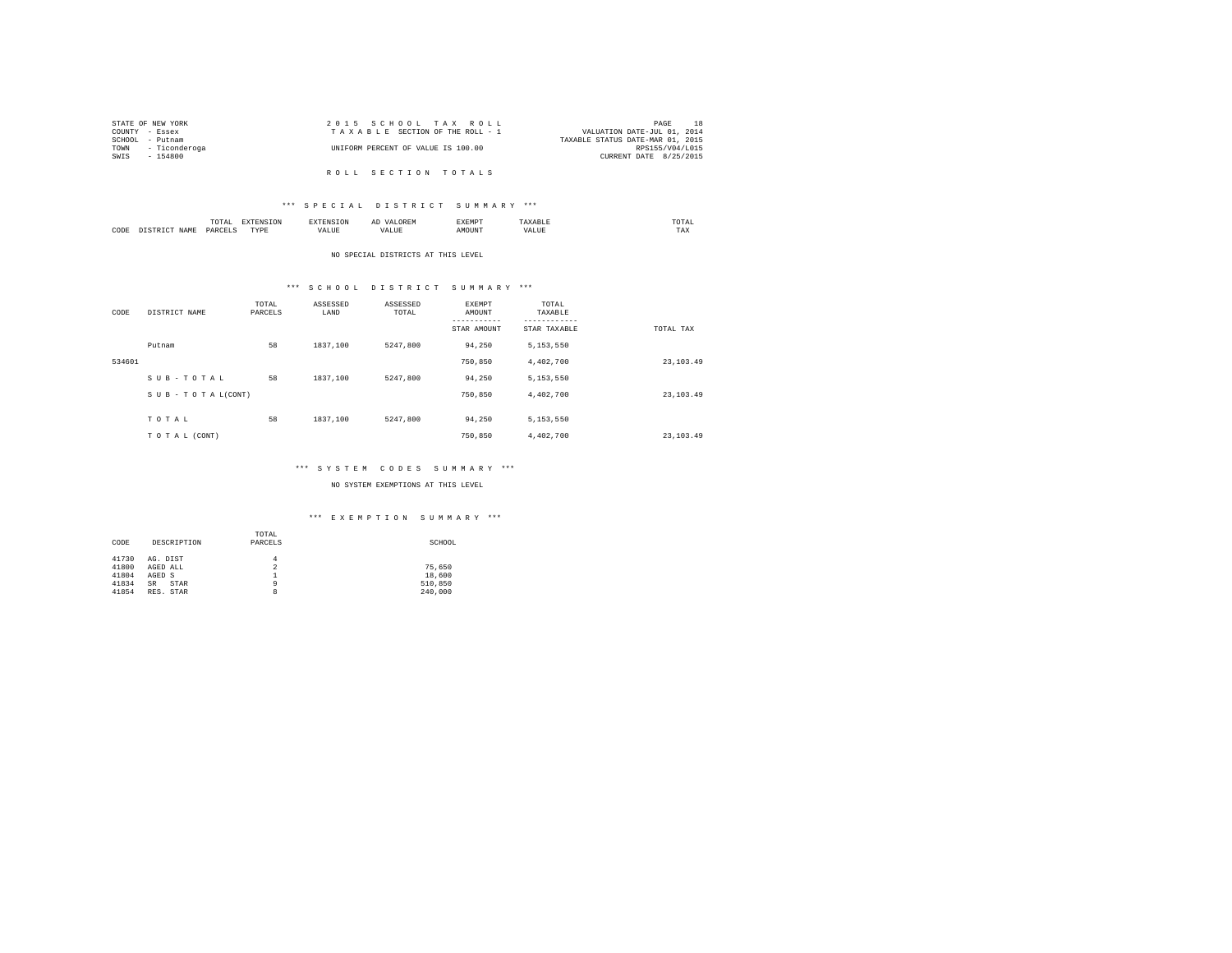|                 | STATE OF NEW YORK | 2015 SCHOOL TAX ROLL               | PAGE                             |
|-----------------|-------------------|------------------------------------|----------------------------------|
| COUNTY - Essex  |                   | TAXABLE SECTION OF THE ROLL - 1    | VALUATION DATE-JUL 01, 2014      |
| SCHOOL - Putnam |                   |                                    | TAXABLE STATUS DATE-MAR 01, 2015 |
| TOWN            | - Ticonderoga     | UNIFORM PERCENT OF VALUE IS 100.00 | RPS155/V04/L015                  |
| SWIS            | - 154800          |                                    | CURRENT DATE 8/25/2015           |
|                 |                   |                                    |                                  |
|                 |                   | ROLL SECTION TOTALS                |                                  |

# \*\*\* S P E C I A L D I S T R I C T S U M M A R Y \*\*\*

|      |       | moms:<br>10171<br>the contract of the contract of the contract of | the contract of the contract of the contract of the contract of the contract of | . .                      | АΙ<br>しいじょ | EXEMPT |                  | .UIAL<br>the contract of the contract of the contract of |  |
|------|-------|-------------------------------------------------------------------|---------------------------------------------------------------------------------|--------------------------|------------|--------|------------------|----------------------------------------------------------|--|
| CODE | 17. M | DARCEL!<br>.                                                      | <b>TVD</b><br>.                                                                 | $+ + + +$<br>۵۵.<br>ALUE |            | אוזר   | n<br><b>ALUS</b> | ---<br>1'AX                                              |  |

#### NO SPECIAL DISTRICTS AT THIS LEVEL

# \*\*\* S C H O O L D I S T R I C T S U M M A R Y \*\*\*

| CODE   | DISTRICT NAME   | TOTAL<br>PARCELS | ASSESSED<br>LAND | ASSESSED<br>TOTAL | EXEMPT<br>AMOUNT<br>STAR AMOUNT | TOTAL<br>TAXABLE<br>STAR TAXABLE | TOTAL TAX   |
|--------|-----------------|------------------|------------------|-------------------|---------------------------------|----------------------------------|-------------|
|        | Putnam          | 58               | 1837,100         | 5247.800          | 94,250                          | 5,153,550                        |             |
| 534601 |                 |                  |                  |                   | 750,850                         | 4,402,700                        | 23, 103, 49 |
|        | SUB-TOTAL       | 58               | 1837,100         | 5247.800          | 94,250                          | 5,153,550                        |             |
|        | SUB-TOTAL(CONT) |                  |                  |                   | 750,850                         | 4,402,700                        | 23, 103, 49 |
|        |                 |                  |                  |                   |                                 |                                  |             |
|        | TOTAL           | 58               | 1837,100         | 5247.800          | 94,250                          | 5,153,550                        |             |
|        | TO TAL (CONT)   |                  |                  |                   | 750,850                         | 4,402,700                        | 23, 103.49  |

# \*\*\* S Y S T E M C O D E S S U M M A R Y \*\*\*

# NO SYSTEM EXEMPTIONS AT THIS LEVEL

# \*\*\* E X E M P T I O N S U M M A R Y \*\*\*

| CODE  | DESCRIPTION       | TOTAL<br>PARCELS | SCHOOL  |
|-------|-------------------|------------------|---------|
| 41730 | AG. DIST          | 4                |         |
| 41800 | AGED ALL          | 2                | 75.650  |
| 41804 | AGED S            |                  | 18,600  |
| 41834 | <b>SR</b><br>STAR | ٩                | 510,850 |
| 41854 | RES. STAR         | 8                | 240,000 |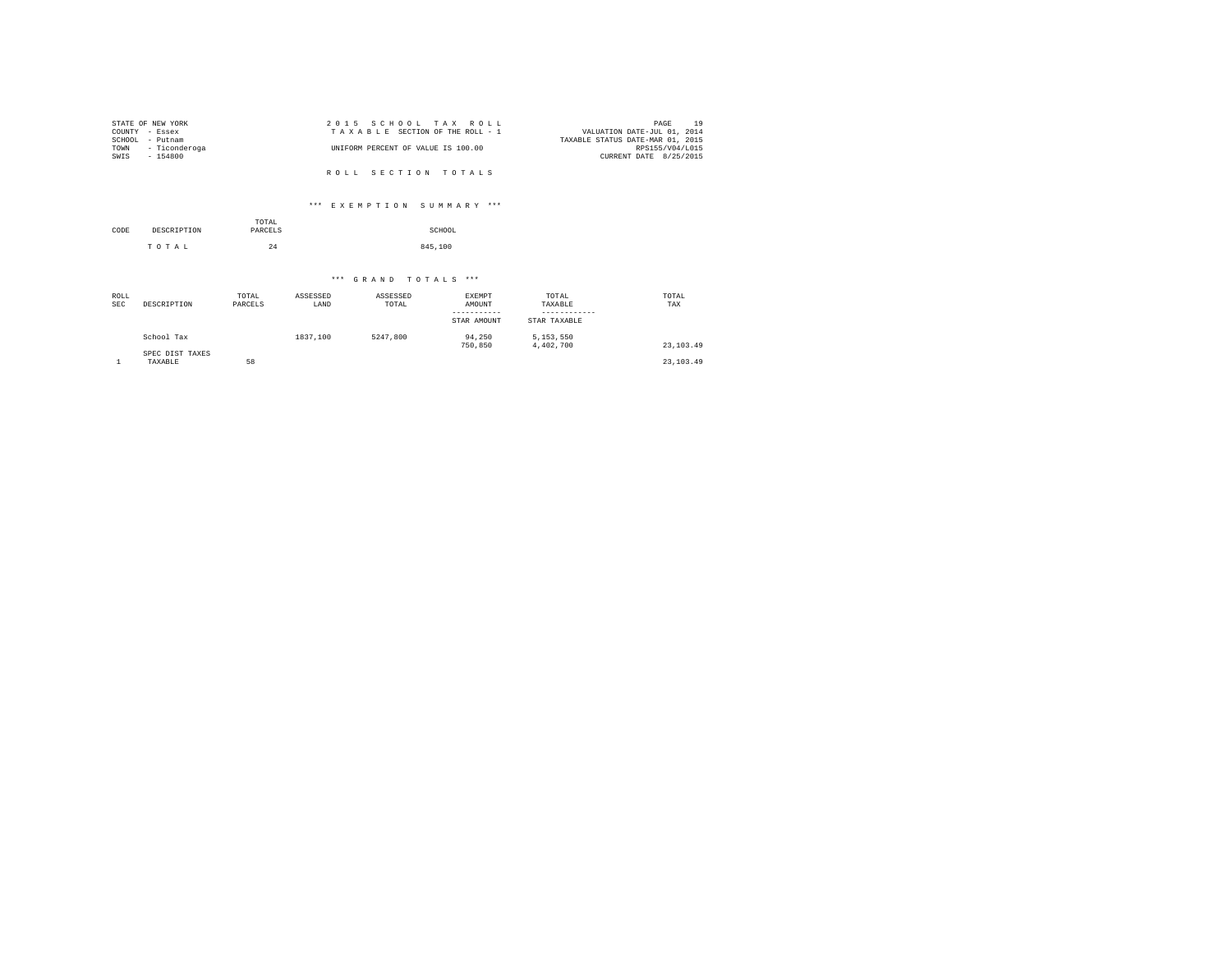| STATE OF NEW YORK  | 2015 SCHOOL TAX ROLL               | 19<br>PAGE                       |
|--------------------|------------------------------------|----------------------------------|
| COUNTY - Essex     | TAXABLE SECTION OF THE ROLL - 1    | VALUATION DATE-JUL 01, 2014      |
| SCHOOL<br>- Putnam |                                    | TAXABLE STATUS DATE-MAR 01, 2015 |
| TOWN - Ticonderoga | UNIFORM PERCENT OF VALUE IS 100.00 | RPS155/V04/L015                  |
| SWIS<br>$-154800$  |                                    | CURRENT DATE 8/25/2015           |
|                    |                                    |                                  |
|                    | ROLL SECTION TOTALS                |                                  |

# \*\*\* E X E M P T I O N S U M M A R Y \*\*\*

| CODE | DESCRIPTION | TOTAL<br>PARCELS | SCHOOL  |
|------|-------------|------------------|---------|
|      | TOTAL       | 24               | 845,100 |

| ROLL<br><b>SEC</b> | DESCRIPTION                | TOTAL<br>PARCELS | ASSESSED<br>LAND | ASSESSED<br>TOTAL | EXEMPT<br>AMOUNT<br>-----------<br>STAR AMOUNT | TOTAL<br>TAXABLE<br>STAR TAXABLE | TOTAL<br>TAX |
|--------------------|----------------------------|------------------|------------------|-------------------|------------------------------------------------|----------------------------------|--------------|
|                    | School Tax                 |                  | 1837.100         | 5247.800          | 94,250<br>750,850                              | 5,153,550<br>4,402,700           | 23, 103, 49  |
|                    | SPEC DIST TAXES<br>TAXABLE | 58               |                  |                   |                                                |                                  | 23, 103, 49  |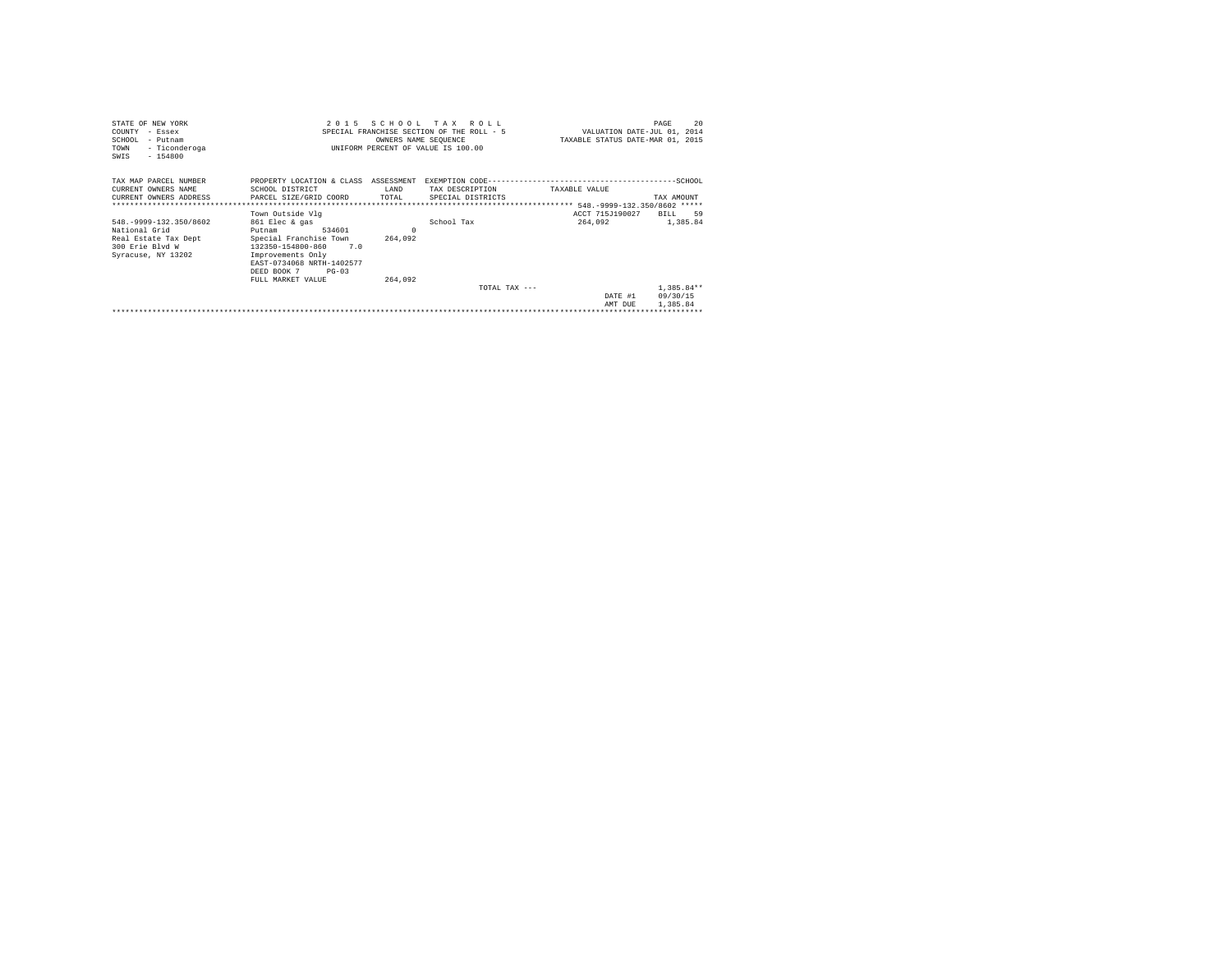| STATE OF NEW YORK                             |                                      |                      | 2015 SCHOOL TAX ROLL                      |                                  | PAGE                        | 20 |
|-----------------------------------------------|--------------------------------------|----------------------|-------------------------------------------|----------------------------------|-----------------------------|----|
| COUNTY - Essex                                |                                      |                      | SPECIAL FRANCHISE SECTION OF THE ROLL - 5 |                                  | VALUATION DATE-JUL 01, 2014 |    |
| SCHOOL<br>- Putnam                            |                                      | OWNERS NAME SEQUENCE |                                           | TAXABLE STATUS DATE-MAR 01, 2015 |                             |    |
| - Ticonderoga<br>TOWN                         |                                      |                      | UNIFORM PERCENT OF VALUE IS 100.00        |                                  |                             |    |
| $-154800$<br>SWIS                             |                                      |                      |                                           |                                  |                             |    |
|                                               |                                      |                      |                                           |                                  |                             |    |
| TAX MAP PARCEL NUMBER                         | PROPERTY LOCATION & CLASS ASSESSMENT |                      |                                           |                                  |                             |    |
| CURRENT OWNERS NAME                           | SCHOOL DISTRICT                      | LAND                 | TAX DESCRIPTION                           | TAXABLE VALUE                    |                             |    |
| CURRENT OWNERS ADDRESS PARCEL SIZE/GRID COORD |                                      | TOTAL                | SPECIAL DISTRICTS                         |                                  | TAX AMOUNT                  |    |
|                                               |                                      |                      |                                           |                                  |                             |    |
|                                               | Town Outside Vlg                     |                      |                                           | ACCT 715J190027                  | RTT.T. 59                   |    |
| 548. - 9999-132.350/8602                      | 861 Elec & gas                       |                      | School Tax                                |                                  | 264,092 1,385,84            |    |
| National Grid                                 | 534601<br>Putnam                     | $\Omega$             |                                           |                                  |                             |    |
| Real Estate Tax Dept                          | Special Franchise Town               | 264,092              |                                           |                                  |                             |    |
| 300 Erie Blyd W                               | 132350-154800-860 7.0                |                      |                                           |                                  |                             |    |
| Syracuse, NY 13202                            | Improvements Only                    |                      |                                           |                                  |                             |    |
|                                               | EAST-0734068 NRTH-1402577            |                      |                                           |                                  |                             |    |
|                                               | DEED BOOK 7<br>$PG - 03$             |                      |                                           |                                  |                             |    |
|                                               | FULL MARKET VALUE                    | 264,092              |                                           |                                  |                             |    |
|                                               |                                      |                      | TOTAL TAX $---$                           |                                  | $1,385.84**$                |    |
|                                               |                                      |                      |                                           | DATE #1                          | 09/30/15                    |    |
|                                               |                                      |                      |                                           | AMT DUE                          | 1,385.84                    |    |
|                                               |                                      |                      |                                           |                                  |                             |    |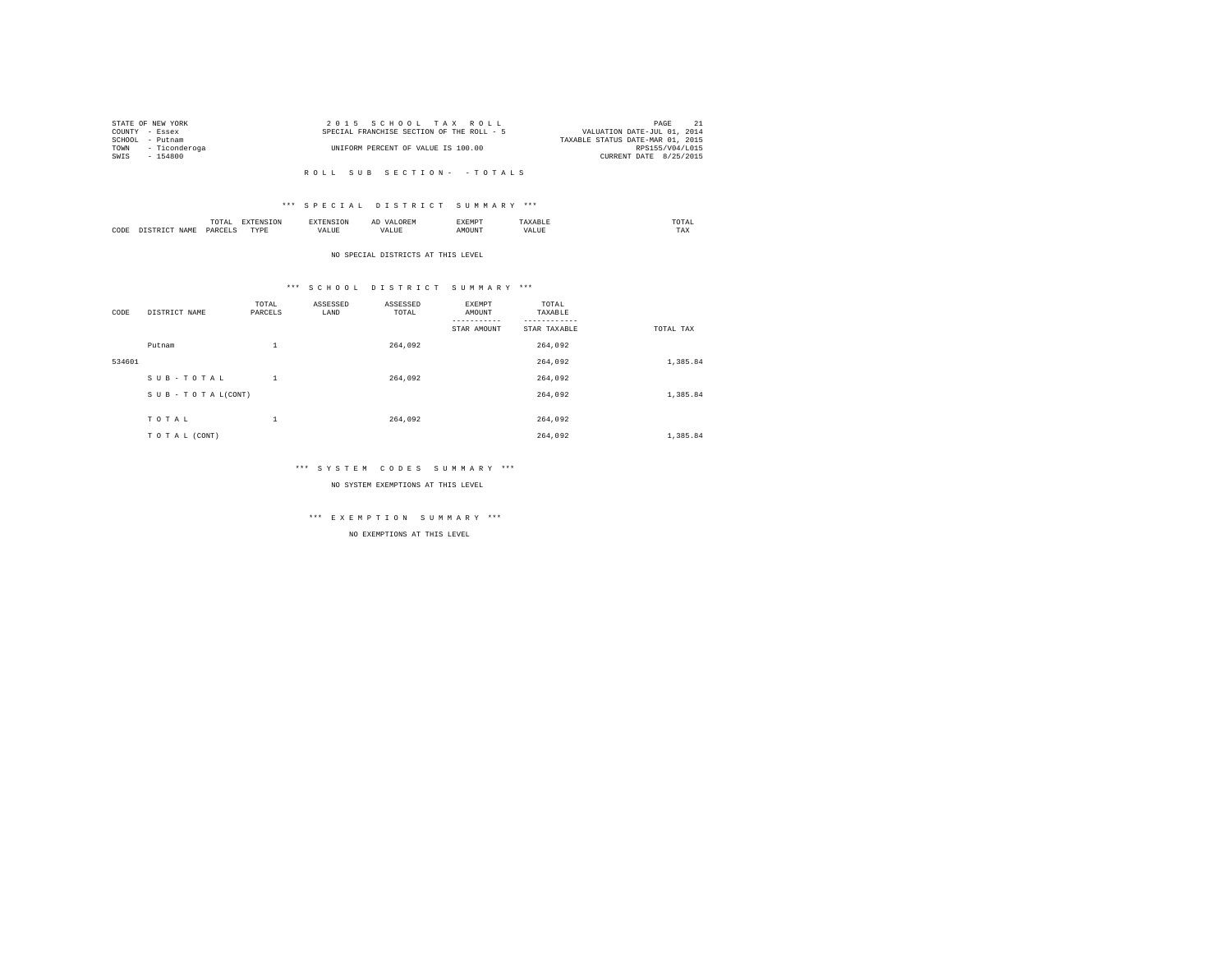|                | STATE OF NEW YORK  | 2015 SCHOOL TAX ROLL                      | PAGE                             |
|----------------|--------------------|-------------------------------------------|----------------------------------|
| COUNTY - Essex |                    | SPECIAL FRANCHISE SECTION OF THE ROLL - 5 | VALUATION DATE-JUL 01, 2014      |
| SCHOOL         | - Putnam           |                                           | TAXABLE STATUS DATE-MAR 01, 2015 |
|                | TOWN - Ticonderoga | UNIFORM PERCENT OF VALUE IS 100.00        | RPS155/V04/L015                  |
| SWIS           | $-154800$          |                                           | CURRENT DATE 8/25/2015           |
|                |                    |                                           |                                  |

# \*\*\* S P E C I A L D I S T R I C T S U M M A R Y \*\*\*

|      | ----<br>TUTAI<br>the contract of the contract of the contract of | the contract of the contract of the contract of the contract of the contract of |      | ΑΙ | ∠M*<br>. | momn'<br>the contract of the contract of the contract of |  |
|------|------------------------------------------------------------------|---------------------------------------------------------------------------------|------|----|----------|----------------------------------------------------------|--|
| CODE | DAD/<br>.                                                        | $- - - -$<br>$\cdots$<br>.                                                      | 1741 |    |          | 1 A.A                                                    |  |

NO SPECIAL DISTRICTS AT THIS LEVEL

# \*\*\* S C H O O L D I S T R I C T S U M M A R Y \*\*\*

| CODE   | DISTRICT NAME   | TOTAL<br>PARCELS | ASSESSED<br>LAND | ASSESSED<br>TOTAL | EXEMPT<br>AMOUNT | TOTAL<br>TAXABLE |           |
|--------|-----------------|------------------|------------------|-------------------|------------------|------------------|-----------|
|        |                 |                  |                  |                   | STAR AMOUNT      | STAR TAXABLE     | TOTAL TAX |
|        | Putnam          | $\mathbf{1}$     |                  | 264,092           |                  | 264.092          |           |
| 534601 |                 |                  |                  |                   |                  | 264,092          | 1,385.84  |
|        | SUB-TOTAL       | $\mathbf{1}$     |                  | 264.092           |                  | 264.092          |           |
|        | SUB-TOTAL(CONT) |                  |                  |                   |                  | 264,092          | 1,385.84  |
|        |                 |                  |                  |                   |                  |                  |           |
|        | TOTAL           | $\mathbf{1}$     |                  | 264.092           |                  | 264.092          |           |
|        | TO TAL (CONT)   |                  |                  |                   |                  | 264.092          | 1,385.84  |

# \*\*\* S Y S T E M C O D E S S U M M A R Y \*\*\*

NO SYSTEM EXEMPTIONS AT THIS LEVEL

# \*\*\* E X E M P T I O N S U M M A R Y \*\*\*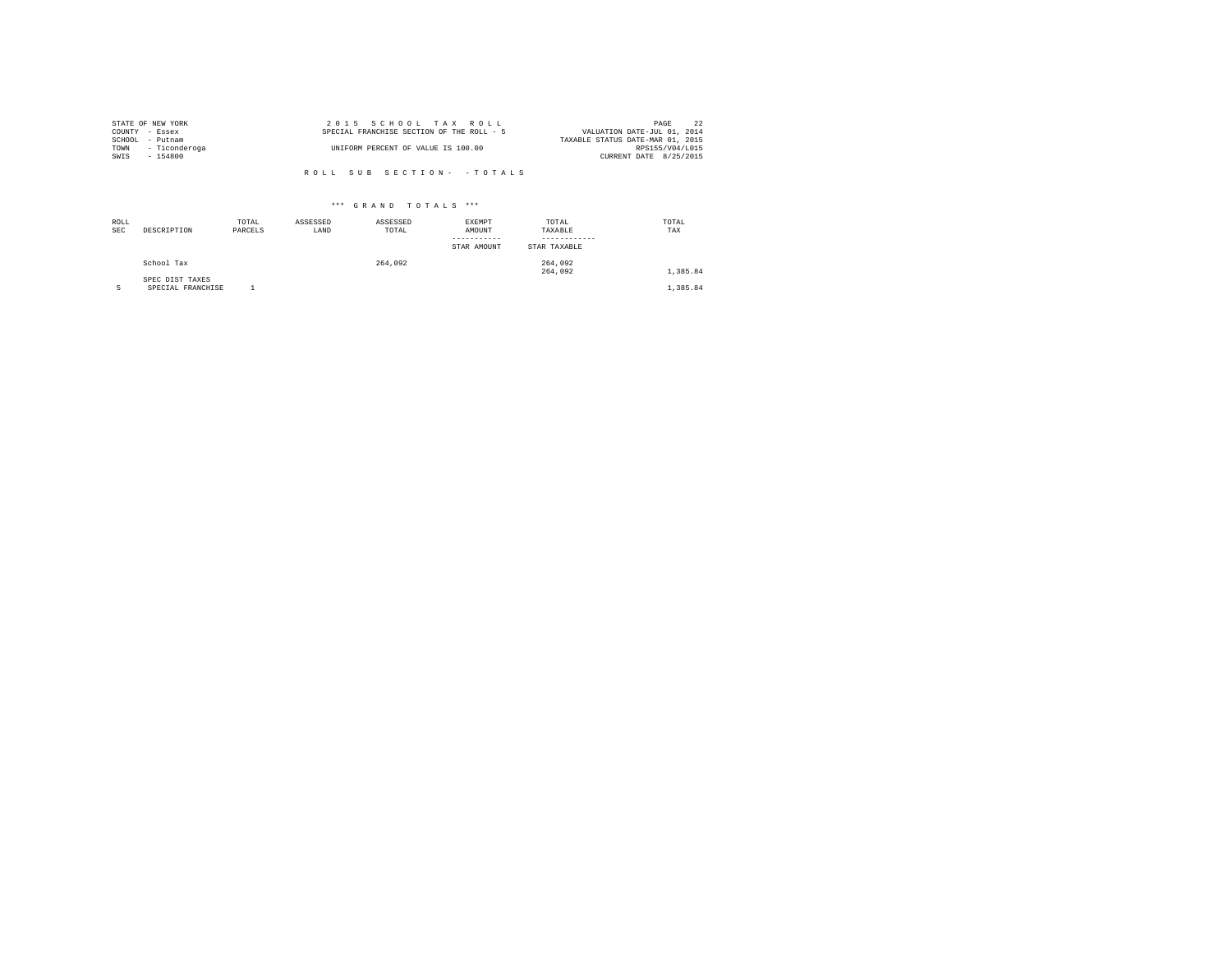|                | STATE OF NEW YORK  | 2015 SCHOOL TAX ROLL                      | 22<br>PAGE                       |
|----------------|--------------------|-------------------------------------------|----------------------------------|
| COUNTY - Essex |                    | SPECIAL FRANCHISE SECTION OF THE ROLL - 5 | VALUATION DATE-JUL 01, 2014      |
|                | SCHOOL - Putnam    |                                           | TAXABLE STATUS DATE-MAR 01, 2015 |
|                | TOWN - Ticonderoga | UNIFORM PERCENT OF VALUE IS 100.00        | RPS155/V04/L015                  |
| SWIS           | - 154800           |                                           | CURRENT DATE 8/25/2015           |
|                |                    |                                           |                                  |
|                |                    | ROLL SUB SECTION- - TOTALS                |                                  |

| ROLL<br><b>SEC</b> | DESCRIPTION                          | TOTAL<br>PARCELS | ASSESSED<br>LAND | ASSESSED<br>TOTAL | EXEMPT<br>AMOUNT<br>STAR AMOUNT | TOTAL<br>TAXABLE<br>STAR TAXABLE | TOTAL<br>TAX |
|--------------------|--------------------------------------|------------------|------------------|-------------------|---------------------------------|----------------------------------|--------------|
|                    | School Tax                           |                  |                  | 264,092           |                                 | 264,092<br>264,092               | 1,385.84     |
|                    | SPEC DIST TAXES<br>SPECIAL FRANCHISE |                  |                  |                   |                                 |                                  | 1,385.84     |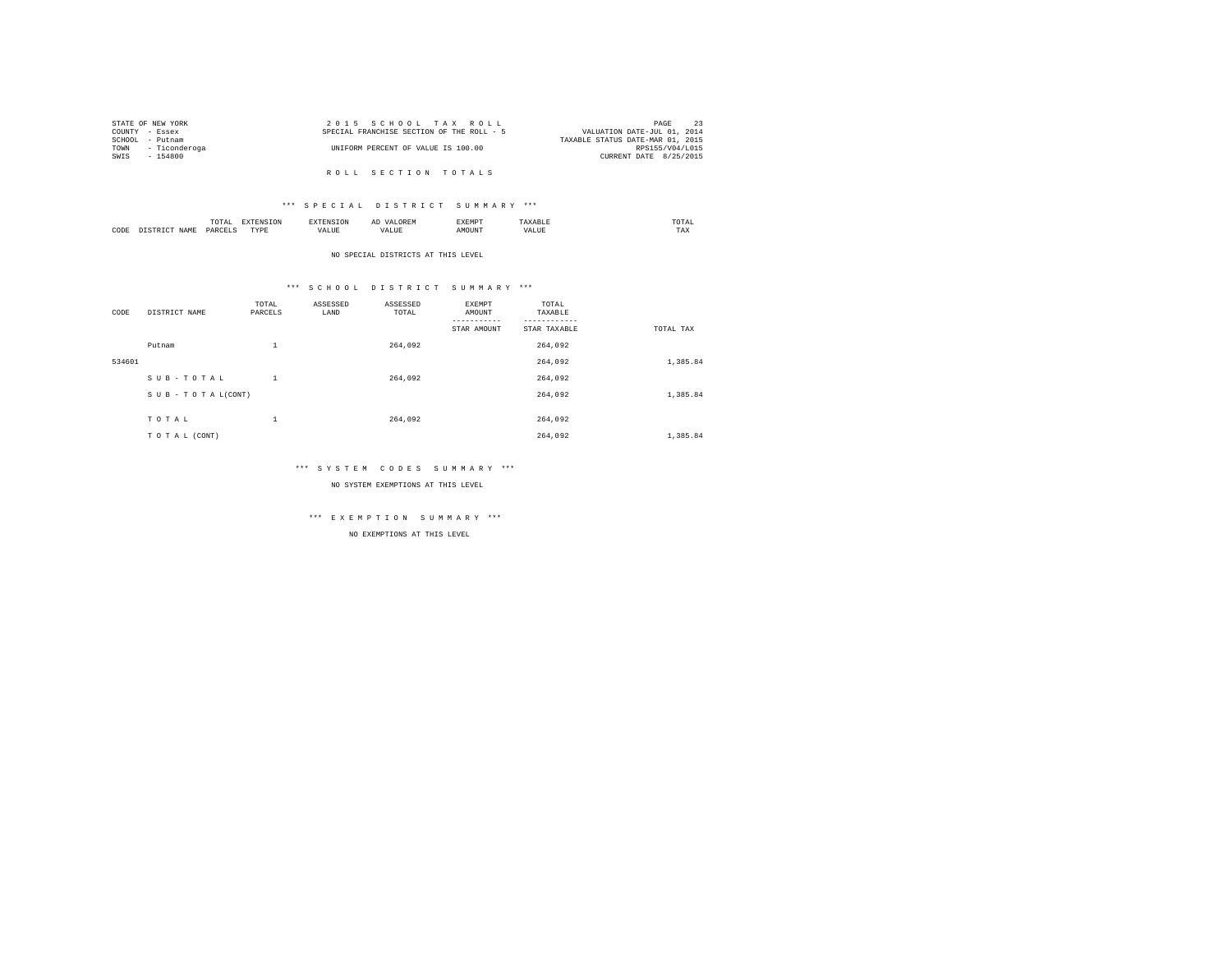|                | STATE OF NEW YORK  | 2015 SCHOOL TAX ROLL                      | PAGE                             |
|----------------|--------------------|-------------------------------------------|----------------------------------|
| COUNTY - Essex |                    | SPECIAL FRANCHISE SECTION OF THE ROLL - 5 | VALUATION DATE-JUL 01, 2014      |
|                | SCHOOL - Putnam    |                                           | TAXABLE STATUS DATE-MAR 01, 2015 |
|                | TOWN - Ticonderoga | UNIFORM PERCENT OF VALUE IS 100.00        | RPS155/V04/L015                  |
| SWIS           | $-154800$          |                                           | CURRENT DATE 8/25/2015           |
|                |                    |                                           |                                  |

R O L L S E C T I O N T O T A L S

# \*\*\* S P E C I A L D I S T R I C T S U M M A R Y \*\*\*

|      | $\cdots$<br>.<br>the contract of the contract of the contract of | the contract of the contract of the contract of the contract of the contract of |         | ▵<br>- |   | the contract of the contract of the contract of |  |
|------|------------------------------------------------------------------|---------------------------------------------------------------------------------|---------|--------|---|-------------------------------------------------|--|
| CODE | DARCEL.<br>.                                                     | $- - - -$<br>.                                                                  | ٠.<br>. |        | . | ----<br>1'A.X                                   |  |

NO SPECIAL DISTRICTS AT THIS LEVEL

# \*\*\* S C H O O L D I S T R I C T S U M M A R Y \*\*\*

| CODE   | DISTRICT NAME   | TOTAL<br>PARCELS | ASSESSED<br>LAND | ASSESSED<br>TOTAL | EXEMPT<br>AMOUNT | TOTAL<br>TAXABLE |           |
|--------|-----------------|------------------|------------------|-------------------|------------------|------------------|-----------|
|        |                 |                  |                  |                   | STAR AMOUNT      | STAR TAXABLE     | TOTAL TAX |
|        | Putnam          | $\mathbf{1}$     |                  | 264,092           |                  | 264.092          |           |
| 534601 |                 |                  |                  |                   |                  | 264,092          | 1,385.84  |
|        | SUB-TOTAL       | $\mathbf{1}$     |                  | 264.092           |                  | 264.092          |           |
|        | SUB-TOTAL(CONT) |                  |                  |                   |                  | 264,092          | 1,385.84  |
|        |                 |                  |                  |                   |                  |                  |           |
|        | TOTAL           | $\mathbf{1}$     |                  | 264.092           |                  | 264.092          |           |
|        | TO TAL (CONT)   |                  |                  |                   |                  | 264.092          | 1,385.84  |

# \*\*\* S Y S T E M C O D E S S U M M A R Y \*\*\*

NO SYSTEM EXEMPTIONS AT THIS LEVEL

# \*\*\* E X E M P T I O N S U M M A R Y \*\*\*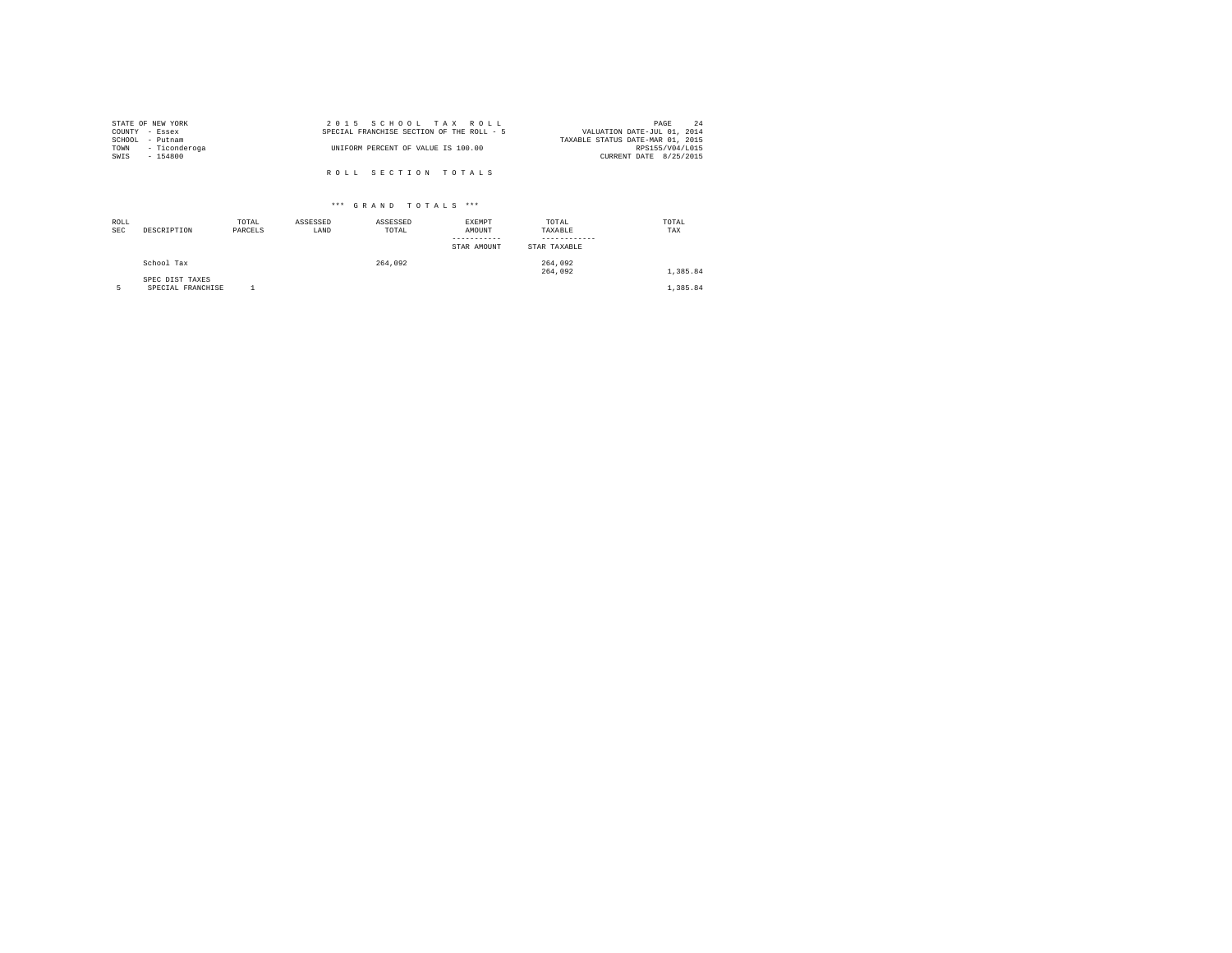|                | STATE OF NEW YORK | 2015 SCHOOL TAX ROLL                      | 2.4<br>PAGE                      |
|----------------|-------------------|-------------------------------------------|----------------------------------|
| COUNTY - Essex |                   | SPECIAL FRANCHISE SECTION OF THE ROLL - 5 | VALUATION DATE-JUL 01, 2014      |
|                | SCHOOL - Putnam   |                                           | TAXABLE STATUS DATE-MAR 01, 2015 |
| TOWN           | - Ticonderoga     | UNIFORM PERCENT OF VALUE IS 100.00        | RPS155/V04/L015                  |
| SWIS           | $-154800$         |                                           | CURRENT DATE 8/25/2015           |
|                |                   |                                           |                                  |
|                |                   | ROLL SECTION TOTALS                       |                                  |

| ROLL<br><b>SEC</b> | DESCRIPTION                          | TOTAL<br>PARCELS | ASSESSED<br>LAND | ASSESSED<br>TOTAL | EXEMPT<br>AMOUNT<br>STAR AMOUNT | TOTAL<br>TAXABLE<br>STAR TAXABLE | TOTAL<br>TAX |
|--------------------|--------------------------------------|------------------|------------------|-------------------|---------------------------------|----------------------------------|--------------|
|                    | School Tax                           |                  |                  | 264.092           |                                 | 264,092<br>264,092               | 1,385.84     |
|                    | SPEC DIST TAXES<br>SPECIAL FRANCHISE |                  |                  |                   |                                 |                                  | 1,385.84     |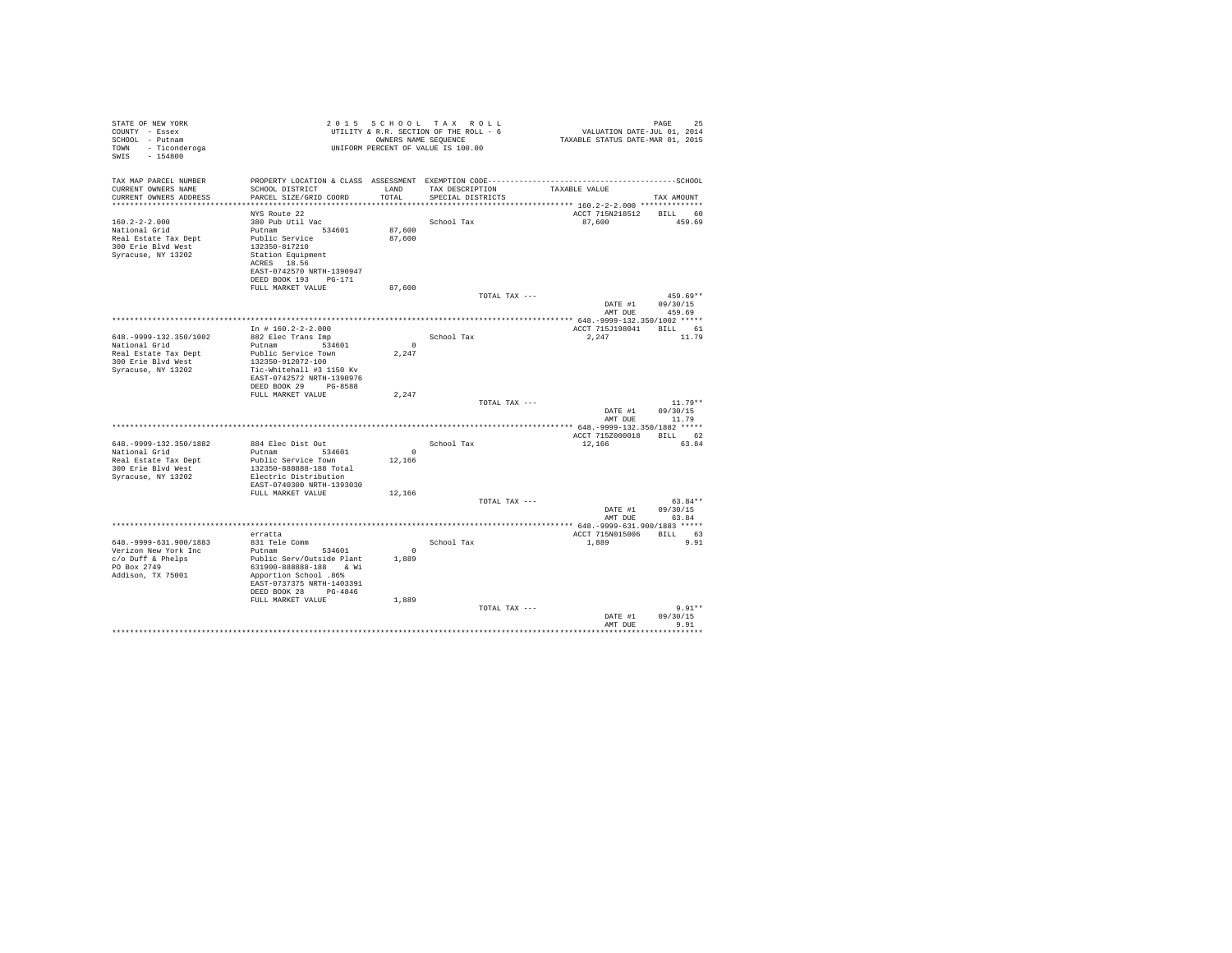| STATE OF NEW YORK<br>COUNTY - Essex<br>SCHOOL - Putnam<br>TOWN - Ticonderoga<br>SWIS<br>$-154800$                |                                                                                                                                                                                                    |                              | 2015 SCHOOL TAX ROLL<br>UTILITY & R.R. SECTION OF THE ROLL - 6<br>OWNERS NAME SEOUENCE<br>UNIFORM PERCENT OF VALUE IS 100.00 | VALUATION DATE-JUL 01, 2014<br>TAXABLE STATUS DATE-MAR 01, 2015 | PAGE<br>25        |
|------------------------------------------------------------------------------------------------------------------|----------------------------------------------------------------------------------------------------------------------------------------------------------------------------------------------------|------------------------------|------------------------------------------------------------------------------------------------------------------------------|-----------------------------------------------------------------|-------------------|
| TAX MAP PARCEL NUMBER<br>CURRENT OWNERS NAME<br>CURRENT OWNERS ADDRESS                                           | SCHOOL DISTRICT<br>PARCEL SIZE/GRID COORD                                                                                                                                                          | LAND<br>TOTAL.               | TAX DESCRIPTION<br>SPECIAL DISTRICTS                                                                                         | TAXABLE VALUE                                                   | TAX AMOUNT        |
|                                                                                                                  |                                                                                                                                                                                                    |                              |                                                                                                                              |                                                                 |                   |
| $160.2 - 2 - 2.000$<br>National Grid<br>Real Estate Tax Dept<br>300 Erie Blvd West<br>Syracuse, NY 13202         | NYS Route 22<br>380 Pub Util Vac<br>Putnam 534601<br>Public Service<br>132350-817210<br>Station Equipment<br>ACRES 18.56<br>EAST-0742570 NRTH-1390947<br>DEED BOOK 193 PG-171<br>FULL MARKET VALUE | 87,600<br>87,600<br>87,600   | School Tax                                                                                                                   | ACCT 715N218512 BILL 60<br>87,600                               | 459.69            |
|                                                                                                                  |                                                                                                                                                                                                    |                              | TOTAL TAX ---                                                                                                                |                                                                 | $459.69**$        |
|                                                                                                                  |                                                                                                                                                                                                    |                              |                                                                                                                              | DATE #1                                                         | 09/30/15          |
|                                                                                                                  |                                                                                                                                                                                                    |                              |                                                                                                                              | AMT DUE                                                         | 459.69            |
|                                                                                                                  | In $# 160.2 - 2 - 2.000$                                                                                                                                                                           |                              |                                                                                                                              | ACCT 715J198041                                                 | BILL 61           |
| 648. - 9999-132. 350/1002<br>National Grid<br>Real Estate Tax Dept<br>300 Erie Blyd West<br>Syracuse, NY 13202   | 882 Elec Trans Imp<br>Putnam 534601<br>Public Service Town<br>132350-912072-100<br>Tic-Whitehall #3 1150 Kv<br>EAST-0742572 NRTH-1390976                                                           | $^{\circ}$<br>2.247          | School Tax                                                                                                                   | 2.247                                                           | 11.79             |
|                                                                                                                  | DEED BOOK 29 PG-8588                                                                                                                                                                               |                              |                                                                                                                              |                                                                 |                   |
|                                                                                                                  | FULL MARKET VALUE                                                                                                                                                                                  | 2.247                        | TOTAL TAX ---                                                                                                                |                                                                 | $11.79**$         |
|                                                                                                                  |                                                                                                                                                                                                    |                              |                                                                                                                              | DATE #1<br>AMT DUE                                              | 09/30/15<br>11.79 |
|                                                                                                                  |                                                                                                                                                                                                    |                              |                                                                                                                              | ACCT 715Z000018                                                 | BTLL 62           |
| 648. - 9999 - 132. 350/1882<br>National Grid<br>Real Estate Tax Dept<br>300 Erie Blvd West<br>Syracuse, NY 13202 | 884 Elec Dist Out<br>Putnam 534601<br>Public Service Town<br>132350-888888-188 Total<br>Electric Distribution<br>EAST-0740300 NRTH-1393030<br>FULL MARKET VALUE                                    | $\Omega$<br>12,166<br>12,166 | School Tax                                                                                                                   | 12,166                                                          | 63.84             |
|                                                                                                                  |                                                                                                                                                                                                    |                              | TOTAL TAX ---                                                                                                                |                                                                 | 63.84**           |
|                                                                                                                  |                                                                                                                                                                                                    |                              |                                                                                                                              | DATE #1                                                         | 09/30/15          |
|                                                                                                                  |                                                                                                                                                                                                    |                              |                                                                                                                              | AMT DUE                                                         | 63.84             |
|                                                                                                                  | erratta                                                                                                                                                                                            |                              |                                                                                                                              | ACCT 715N015006                                                 | BTLL 63           |
| 648. - 9999 - 631. 900/1883                                                                                      | 831 Tele Comm                                                                                                                                                                                      |                              | School Tax                                                                                                                   | 1,889                                                           | 9.91              |
| Verizon New York Inc<br>c/o Duff & Phelps<br>PO Box 2749<br>Addison, TX 75001                                    | Putnam<br>534601<br>Public Serv/Outside Plant<br>631900-888888-188 & Wi<br>Apportion School .86%<br>EAST-0737375 NRTH-1403391<br>DEED BOOK 28 PG-4846<br>FULL MARKET VALUE                         | $\Omega$<br>1,889<br>1,889   |                                                                                                                              |                                                                 |                   |
|                                                                                                                  |                                                                                                                                                                                                    |                              | TOTAL TAX ---                                                                                                                |                                                                 | $9.91**$          |
|                                                                                                                  |                                                                                                                                                                                                    |                              |                                                                                                                              | DATE #1<br>AMT DUE                                              | 09/30/15<br>9.91  |
|                                                                                                                  |                                                                                                                                                                                                    |                              |                                                                                                                              |                                                                 |                   |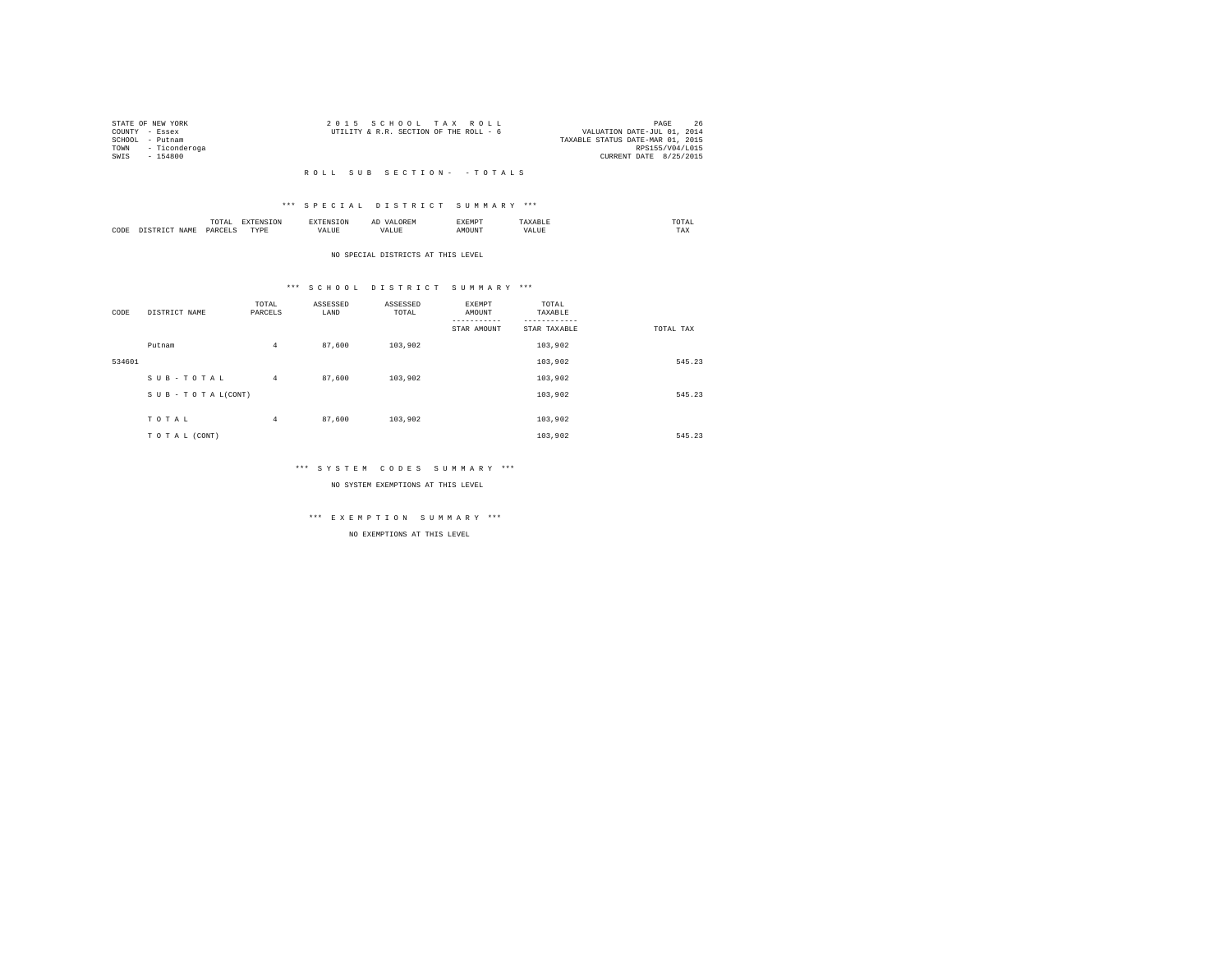|                 | STATE OF NEW YORK  | 2015 SCHOOL TAX ROLL                                                  | PAGE            | 26 |
|-----------------|--------------------|-----------------------------------------------------------------------|-----------------|----|
| COUNTY - Essex  |                    | VALUATION DATE-JUL 01, 2014<br>UTILITY & R.R. SECTION OF THE ROLL - 6 |                 |    |
| SCHOOL - Putnam |                    | TAXABLE STATUS DATE-MAR 01, 2015                                      |                 |    |
|                 | TOWN - Ticonderoga |                                                                       | RPS155/V04/L015 |    |
| SWTS            | - 154800           | CURRENT DATE 8/25/2015                                                |                 |    |
|                 |                    |                                                                       |                 |    |

# \*\*\* S P E C I A L D I S T R I C T S U M M A R Y \*\*\*

|      |       | .             |                  |    | -- | <b>EXEMPT</b><br>----- |           | ™UIAL<br>the contract of the contract of the contract of |  |
|------|-------|---------------|------------------|----|----|------------------------|-----------|----------------------------------------------------------|--|
| CODE | 1 A M | <b>DARCEL</b> | <b>TVDL</b><br>. | ,, |    | )UN.                   | - 19<br>. | $- - - -$<br>1 A.A                                       |  |

#### NO SPECIAL DISTRICTS AT THIS LEVEL

# \*\*\* S C H O O L D I S T R I C T S U M M A R Y \*\*\*

| CODE   | DISTRICT NAME      | TOTAL<br>PARCELS | ASSESSED<br>LAND | ASSESSED<br>TOTAL | EXEMPT<br>AMOUNT | TOTAL<br>TAXABLE        |           |
|--------|--------------------|------------------|------------------|-------------------|------------------|-------------------------|-----------|
|        | Putnam             | 4                | 87,600           | 103,902           | STAR AMOUNT      | STAR TAXABLE<br>103,902 | TOTAL TAX |
| 534601 |                    |                  |                  |                   |                  | 103,902                 | 545.23    |
|        | SUB-TOTAL          | $\overline{4}$   | 87,600           | 103,902           |                  | 103,902                 |           |
|        | SUB - TO TAL(CONT) |                  |                  |                   |                  | 103,902                 | 545.23    |
|        | TOTAL              | 4                | 87,600           | 103,902           |                  | 103,902                 |           |
|        | TO TAL (CONT)      |                  |                  |                   |                  | 103,902                 | 545.23    |

# \*\*\* S Y S T E M C O D E S S U M M A R Y \*\*\*

NO SYSTEM EXEMPTIONS AT THIS LEVEL

# \*\*\* E X E M P T I O N S U M M A R Y \*\*\*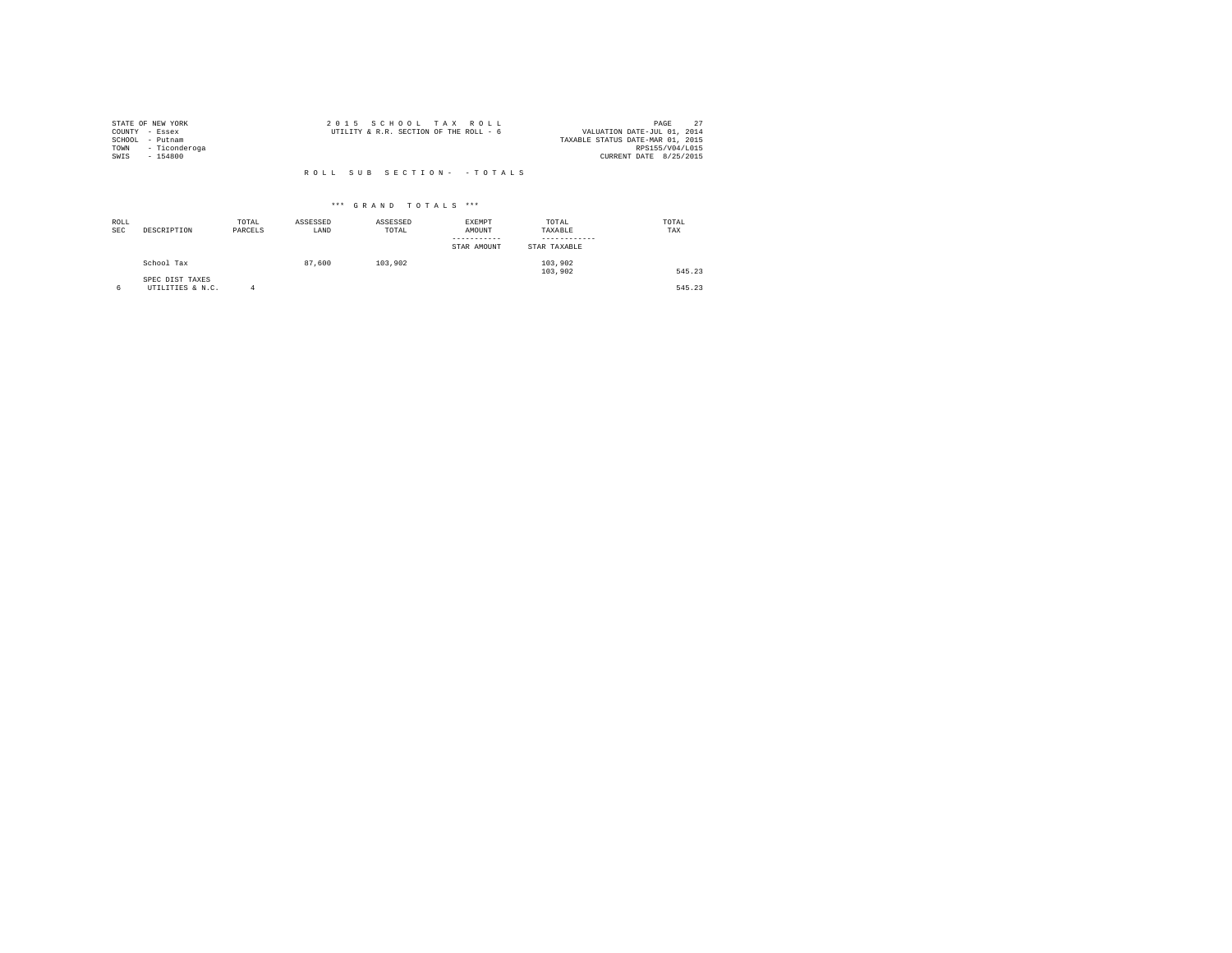|                | STATE OF NEW YORK | 2015 SCHOOL TAX ROLL                   | PAGE                             |  |
|----------------|-------------------|----------------------------------------|----------------------------------|--|
| COUNTY - Essex |                   | UTILITY & R.R. SECTION OF THE ROLL - 6 | VALUATION DATE-JUL 01, 2014      |  |
| SCHOOL         | - Putnam          |                                        | TAXABLE STATUS DATE-MAR 01, 2015 |  |
| TOWN           | - Ticonderoga     |                                        | RPS155/V04/L015                  |  |
| SWIS           | $-154800$         |                                        | CURRENT DATE 8/25/2015           |  |
|                |                   |                                        |                                  |  |

| ROLL<br><b>SEC</b> | DESCRIPTION                         | TOTAL<br>PARCELS | ASSESSED<br>LAND | ASSESSED<br>TOTAL | EXEMPT<br>AMOUNT<br>STAR AMOUNT | TOTAL<br>TAXABLE<br>STAR TAXABLE | TOTAL<br>TAX |
|--------------------|-------------------------------------|------------------|------------------|-------------------|---------------------------------|----------------------------------|--------------|
|                    | School Tax                          |                  | 87,600           | 103,902           |                                 | 103,902<br>103,902               | 545.23       |
|                    | SPEC DIST TAXES<br>UTILITIES & N.C. |                  |                  |                   |                                 |                                  | 545.23       |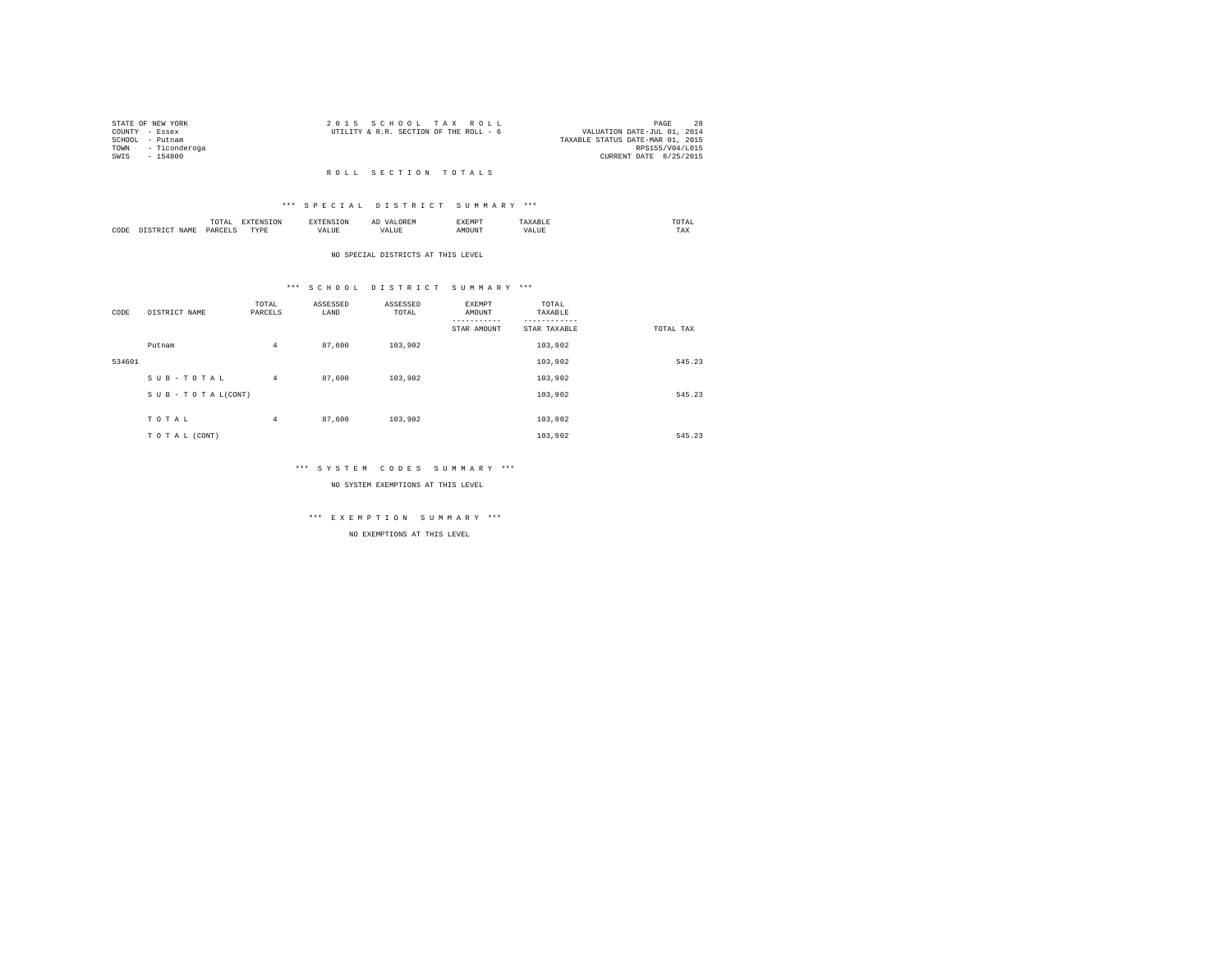|                | STATE OF NEW YORK  | 2015 SCHOOL TAX ROLL                                                  | PAGE            | 28 |
|----------------|--------------------|-----------------------------------------------------------------------|-----------------|----|
| COUNTY - Essex |                    | VALUATION DATE-JUL 01, 2014<br>UTILITY & R.R. SECTION OF THE ROLL - 6 |                 |    |
|                | SCHOOL - Putnam    | TAXABLE STATUS DATE-MAR 01, 2015                                      |                 |    |
|                | TOWN - Ticonderoga |                                                                       | RPS155/V04/L015 |    |
| SWTS           | - 154800           | CURRENT DATE 8/25/2015                                                |                 |    |
|                |                    |                                                                       |                 |    |

#### R O L L S E C T I O N T O T A L S

# \*\*\* S P E C I A L D I S T R I C T S U M M A R Y \*\*\*

|      |       | .<br>the contract of the contract of the contract of | the contract of the contract of the contract of the contract of the contract of |          | АΙ<br>. | <b>RYEMPT</b> |              | UIAL<br>the contract of the contract of the contract of |
|------|-------|------------------------------------------------------|---------------------------------------------------------------------------------|----------|---------|---------------|--------------|---------------------------------------------------------|
| CODE | 1 A M | $0 \Delta E'$                                        | <b>TVD</b><br>.                                                                 | $\cdots$ |         | ۱UN.          | n<br>حائلاته | ---<br>1'AX                                             |

#### NO SPECIAL DISTRICTS AT THIS LEVEL

# \*\*\* S C H O O L D I S T R I C T S U M M A R Y \*\*\*

| CODE   | DISTRICT NAME   | TOTAL<br>PARCELS | ASSESSED<br>LAND | ASSESSED<br>TOTAL | EXEMPT<br>AMOUNT<br>STAR AMOUNT | TOTAL<br>TAXABLE<br>STAR TAXABLE | TOTAL TAX |
|--------|-----------------|------------------|------------------|-------------------|---------------------------------|----------------------------------|-----------|
|        | Putnam          | $\overline{4}$   | 87,600           | 103,902           |                                 | 103,902                          |           |
| 534601 |                 |                  |                  |                   |                                 | 103,902                          | 545.23    |
|        | SUB-TOTAL       | $4^{\circ}$      | 87,600           | 103,902           |                                 | 103,902                          |           |
|        | SUB-TOTAL(CONT) |                  |                  |                   |                                 | 103,902                          | 545.23    |
|        |                 |                  |                  |                   |                                 |                                  |           |
|        | TOTAL           | $\overline{4}$   | 87,600           | 103,902           |                                 | 103,902                          |           |
|        | TO TAL (CONT)   |                  |                  |                   |                                 | 103,902                          | 545.23    |

# \*\*\* S Y S T E M C O D E S S U M M A R Y \*\*\*

NO SYSTEM EXEMPTIONS AT THIS LEVEL

# \*\*\* E X E M P T I O N S U M M A R Y \*\*\*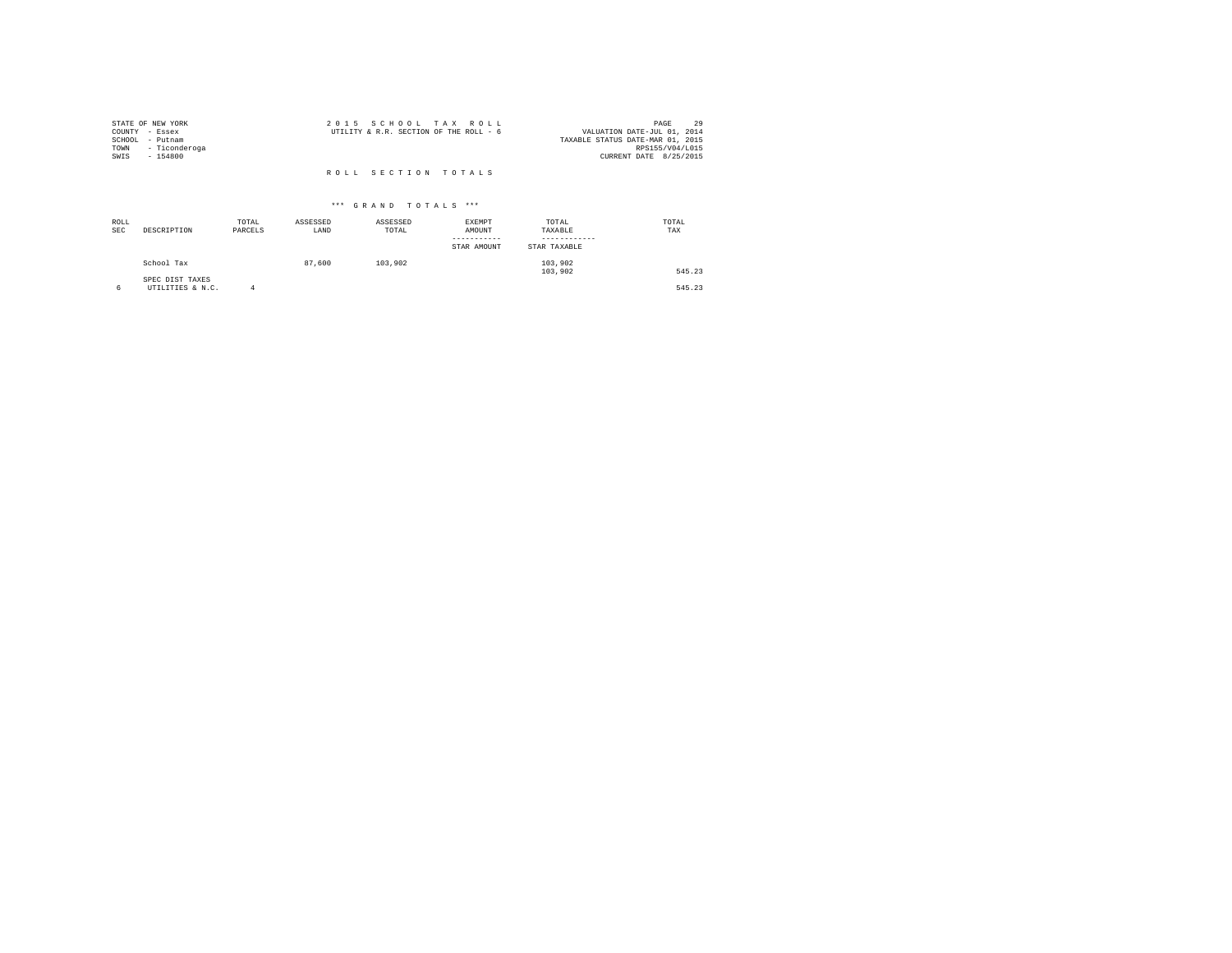| STATE OF NEW YORK     | 2015 SCHOOL TAX ROLL                   | 29<br>PAGE                       |
|-----------------------|----------------------------------------|----------------------------------|
| COUNTY - Essex        | UTILITY & R.R. SECTION OF THE ROLL - 6 | VALUATION DATE-JUL 01, 2014      |
| SCHOOL<br>- Putnam    |                                        | TAXABLE STATUS DATE-MAR 01, 2015 |
| TOWN<br>- Ticonderoga |                                        | RPS155/V04/L015                  |
| SWIS<br>$-154800$     |                                        | CURRENT DATE 8/25/2015           |
|                       |                                        |                                  |
|                       | ROLL SECTION TOTALS                    |                                  |

| ROLL<br><b>SEC</b> | DESCRIPTION                         | TOTAL<br>PARCELS | ASSESSED<br>LAND | ASSESSED<br>TOTAL | EXEMPT<br>AMOUNT<br>STAR AMOUNT | TOTAL<br>TAXABLE<br>STAR TAXABLE | TOTAL<br>TAX |
|--------------------|-------------------------------------|------------------|------------------|-------------------|---------------------------------|----------------------------------|--------------|
|                    | School Tax                          |                  | 87,600           | 103,902           |                                 | 103,902<br>103,902               | 545.23       |
|                    | SPEC DIST TAXES<br>UTILITIES & N.C. | Δ                |                  |                   |                                 |                                  | 545.23       |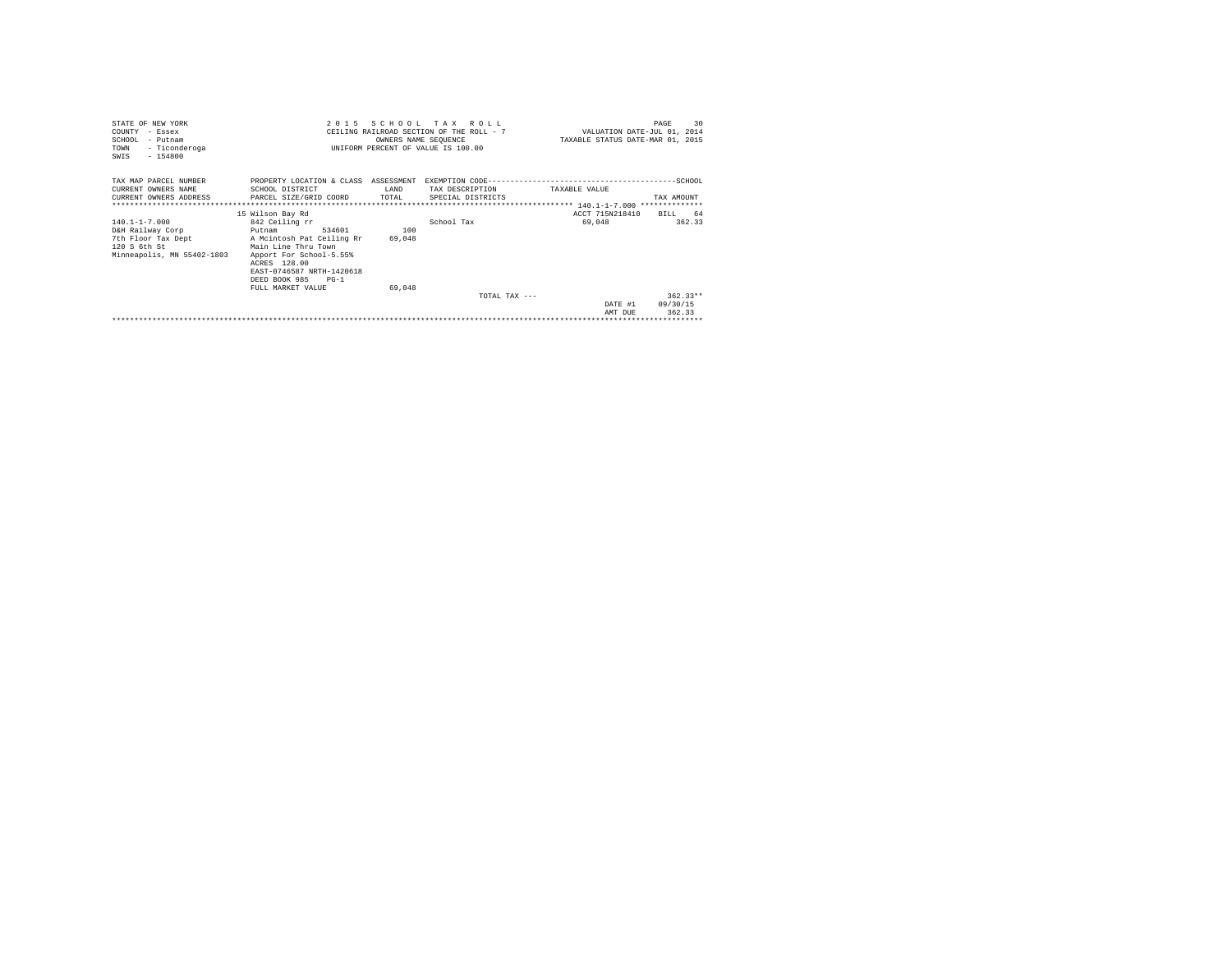| STATE OF NEW YORK<br>COUNTY - Essex<br>SCHOOL - Putnam<br>- Ticonderoga<br>TOWN<br>$-154800$<br>SWIS        | 2 0 1 5                                                                                                                                                                                                                            | OWNERS NAME SEQUENCE    | SCHOOL TAX ROLL<br>CEILING RAILROAD SECTION OF THE ROLL - 7<br>UNIFORM PERCENT OF VALUE IS 100.00 | VALUATION DATE-JUL 01, 2014<br>TAXABLE STATUS DATE-MAR 01, 2015 | 30<br>PAGE                       |
|-------------------------------------------------------------------------------------------------------------|------------------------------------------------------------------------------------------------------------------------------------------------------------------------------------------------------------------------------------|-------------------------|---------------------------------------------------------------------------------------------------|-----------------------------------------------------------------|----------------------------------|
| TAX MAP PARCEL NUMBER<br>CURRENT OWNERS NAME<br>*************************                                   | PROPERTY LOCATION & CLASS ASSESSMENT<br>SCHOOL DISTRICT<br>CURRENT OWNERS ADDRESS PARCEL SIZE/GRID COORD                                                                                                                           | T.AND<br>TOTAL          | TAX DESCRIPTION<br>SPECIAL DISTRICTS                                                              | TAXARLE VALUE                                                   | TAX AMOUNT                       |
| $140.1 - 1 - 7.000$<br>D&H Railway Corp<br>7th Floor Tax Dept<br>120 S 6th St<br>Minneapolis, MN 55402-1803 | 15 Wilson Bay Rd<br>842 Ceiling rr<br>534601<br>Putnam<br>A Mcintosh Pat Ceiling Rr<br>Main Line Thru Town<br>Apport For School-5.55%<br>ACRES 128.00<br>EAST-0746587 NRTH-1420618<br>DEED BOOK 985<br>$PG-1$<br>FULL MARKET VALUE | 100<br>69,048<br>69,048 | School Tax                                                                                        | ACCT 715N218410<br>69,048                                       | 64<br>BILL.<br>362.33            |
|                                                                                                             |                                                                                                                                                                                                                                    |                         | TOTAL TAX $---$                                                                                   | DATE #1<br>AMT DUE                                              | $362.33**$<br>09/30/15<br>362.33 |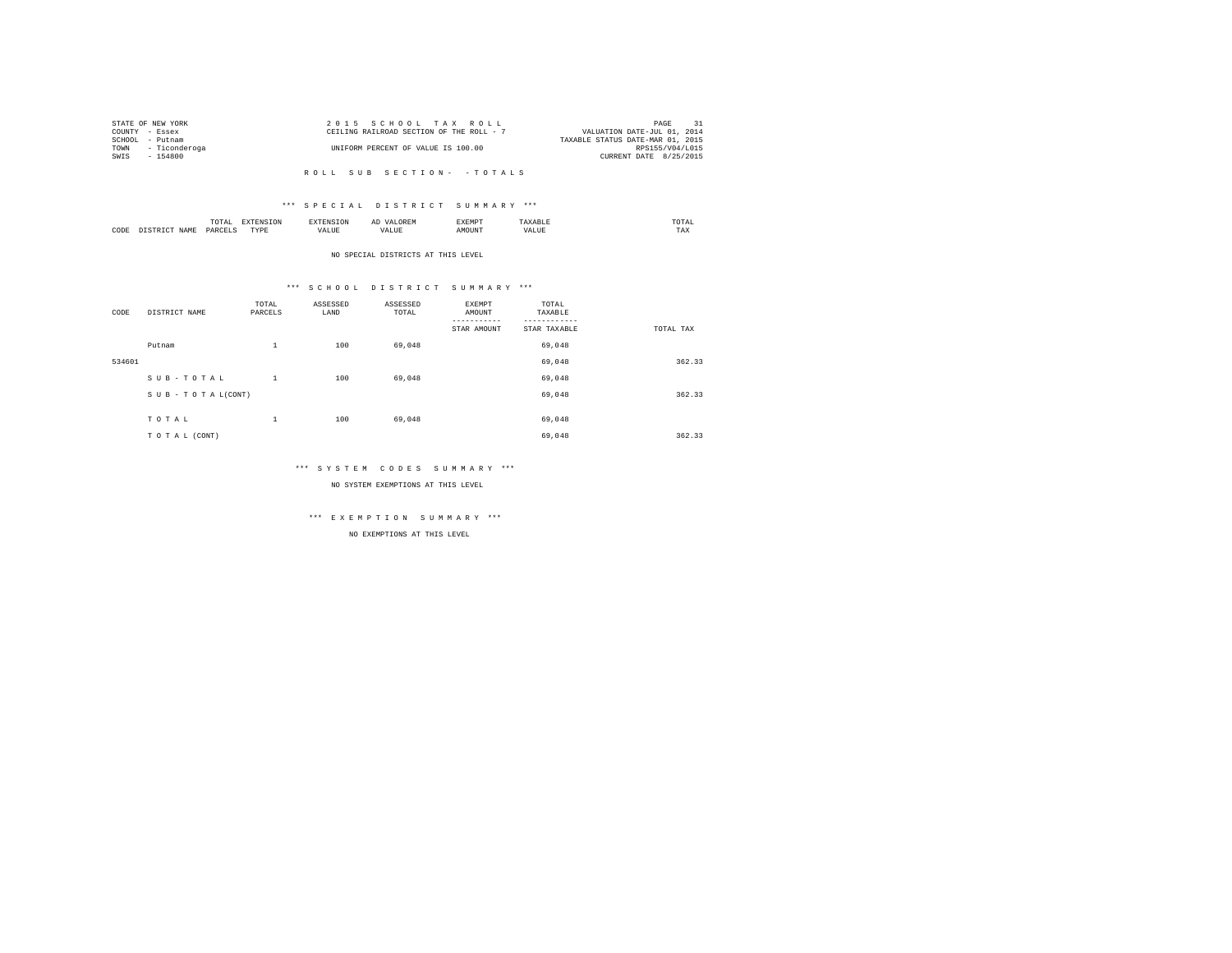|      | STATE OF NEW YORK | 2015 SCHOOL TAX ROLL                     | PAGE                        |  |
|------|-------------------|------------------------------------------|-----------------------------|--|
|      | COUNTY - Essex    | CEILING RAILROAD SECTION OF THE ROLL - 7 | VALUATION DATE-JUL 01, 2014 |  |
|      | SCHOOL - Putnam   | TAXABLE STATUS DATE-MAR 01, 2015         |                             |  |
| TOWN | - Ticonderoga     | UNIFORM PERCENT OF VALUE IS 100.00       | RPS155/V04/L015             |  |
| SWIS | - 154800          |                                          | CURRENT DATE 8/25/2015      |  |
|      |                   |                                          |                             |  |

# \*\*\* S P E C I A L D I S T R I C T S U M M A R Y \*\*\*

|      | $\cdots$<br>.<br>the contract of the contract of the contract of | the contract of the contract of the contract of the contract of the contract of |         | ▵<br>- |   | the contract of the contract of the contract of |  |
|------|------------------------------------------------------------------|---------------------------------------------------------------------------------|---------|--------|---|-------------------------------------------------|--|
| CODE | DARCEL.<br>.                                                     | $- - - -$<br>.                                                                  | ٠.<br>. |        | . | ----<br>1'A.X                                   |  |

NO SPECIAL DISTRICTS AT THIS LEVEL

# \*\*\* S C H O O L D I S T R I C T S U M M A R Y \*\*\*

| CODE   | DISTRICT NAME   | TOTAL<br>PARCELS | ASSESSED<br>LAND | ASSESSED<br>TOTAL | EXEMPT<br>AMOUNT | TOTAL<br>TAXABLE |           |
|--------|-----------------|------------------|------------------|-------------------|------------------|------------------|-----------|
|        |                 |                  |                  |                   | STAR AMOUNT      | STAR TAXABLE     | TOTAL TAX |
|        | Putnam          | $\mathbf{1}$     | 100              | 69,048            |                  | 69,048           |           |
| 534601 |                 |                  |                  |                   |                  | 69,048           | 362.33    |
|        | SUB-TOTAL       | $\mathbf{1}$     | 100              | 69,048            |                  | 69,048           |           |
|        | SUB-TOTAL(CONT) |                  |                  |                   |                  | 69,048           | 362.33    |
|        |                 |                  |                  |                   |                  |                  |           |
|        | TOTAL           | $\,1\,$          | 100              | 69,048            |                  | 69,048           |           |
|        | TO TAL (CONT)   |                  |                  |                   |                  | 69,048           | 362.33    |

# \*\*\* S Y S T E M C O D E S S U M M A R Y \*\*\*

NO SYSTEM EXEMPTIONS AT THIS LEVEL

# \*\*\* E X E M P T I O N S U M M A R Y \*\*\*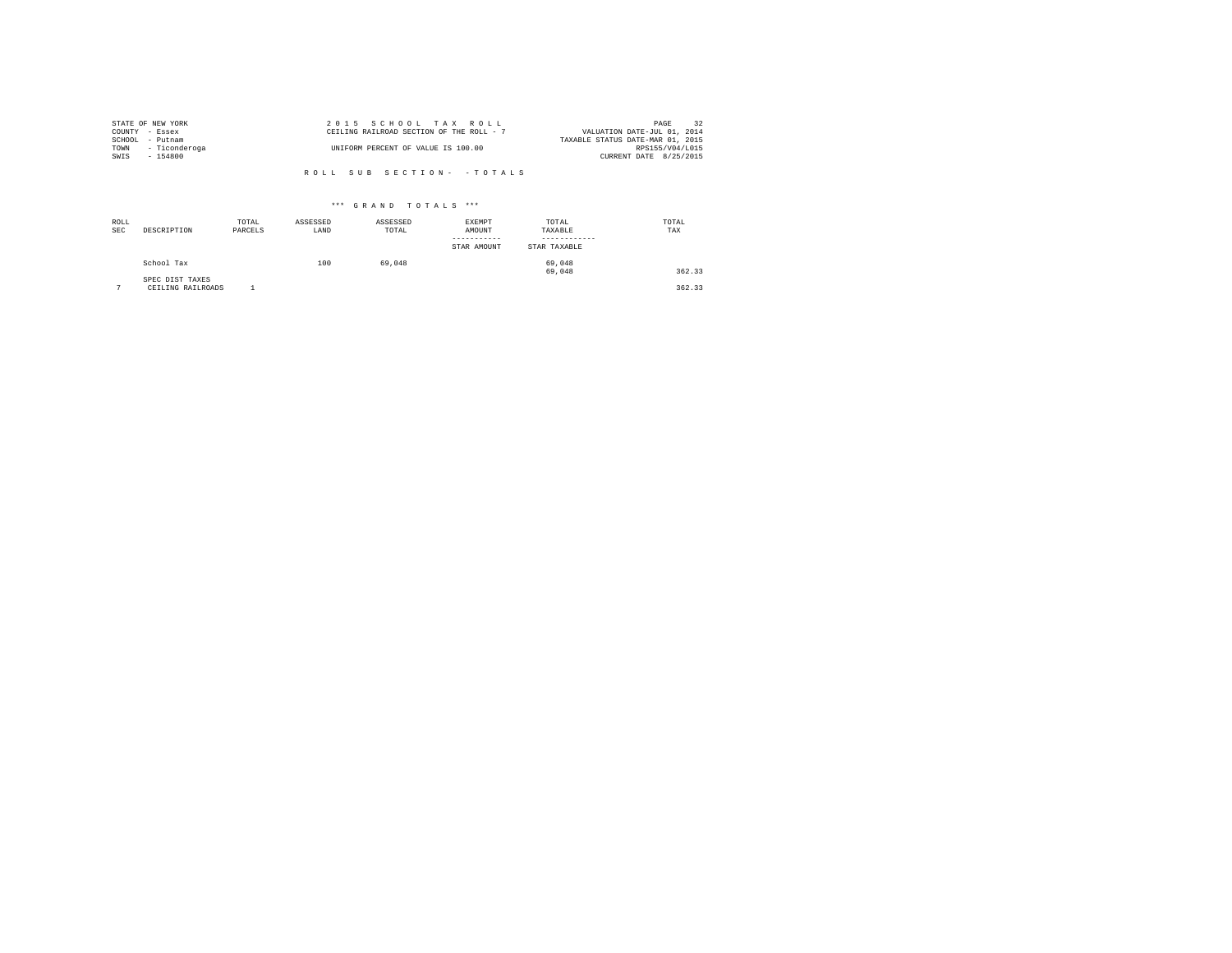| STATE OF NEW YORK  | 2015 SCHOOL TAX ROLL                     | 32<br>PAGE                       |
|--------------------|------------------------------------------|----------------------------------|
| COUNTY - Essex     | CEILING RAILROAD SECTION OF THE ROLL - 7 | VALUATION DATE-JUL 01, 2014      |
| SCHOOL<br>- Putnam |                                          | TAXABLE STATUS DATE-MAR 01, 2015 |
| TOWN - Ticonderoga | UNIFORM PERCENT OF VALUE IS 100.00       | RPS155/V04/L015                  |
| SWIS<br>$-154800$  |                                          | CURRENT DATE 8/25/2015           |
|                    |                                          |                                  |
|                    | ROLL SUB SECTION- - TOTALS               |                                  |

| ROLL<br><b>SEC</b> | DESCRIPTION                          | TOTAL<br>PARCELS | ASSESSED<br>LAND | ASSESSED<br>TOTAL | EXEMPT<br>AMOUNT<br>STAR AMOUNT | TOTAL<br>TAXABLE<br>STAR TAXABLE | TOTAL<br>TAX |
|--------------------|--------------------------------------|------------------|------------------|-------------------|---------------------------------|----------------------------------|--------------|
|                    | School Tax                           |                  | 100              | 69,048            |                                 | 69,048<br>69,048                 | 362.33       |
| $\sim$             | SPEC DIST TAXES<br>CEILING RAILROADS |                  |                  |                   |                                 |                                  | 362.33       |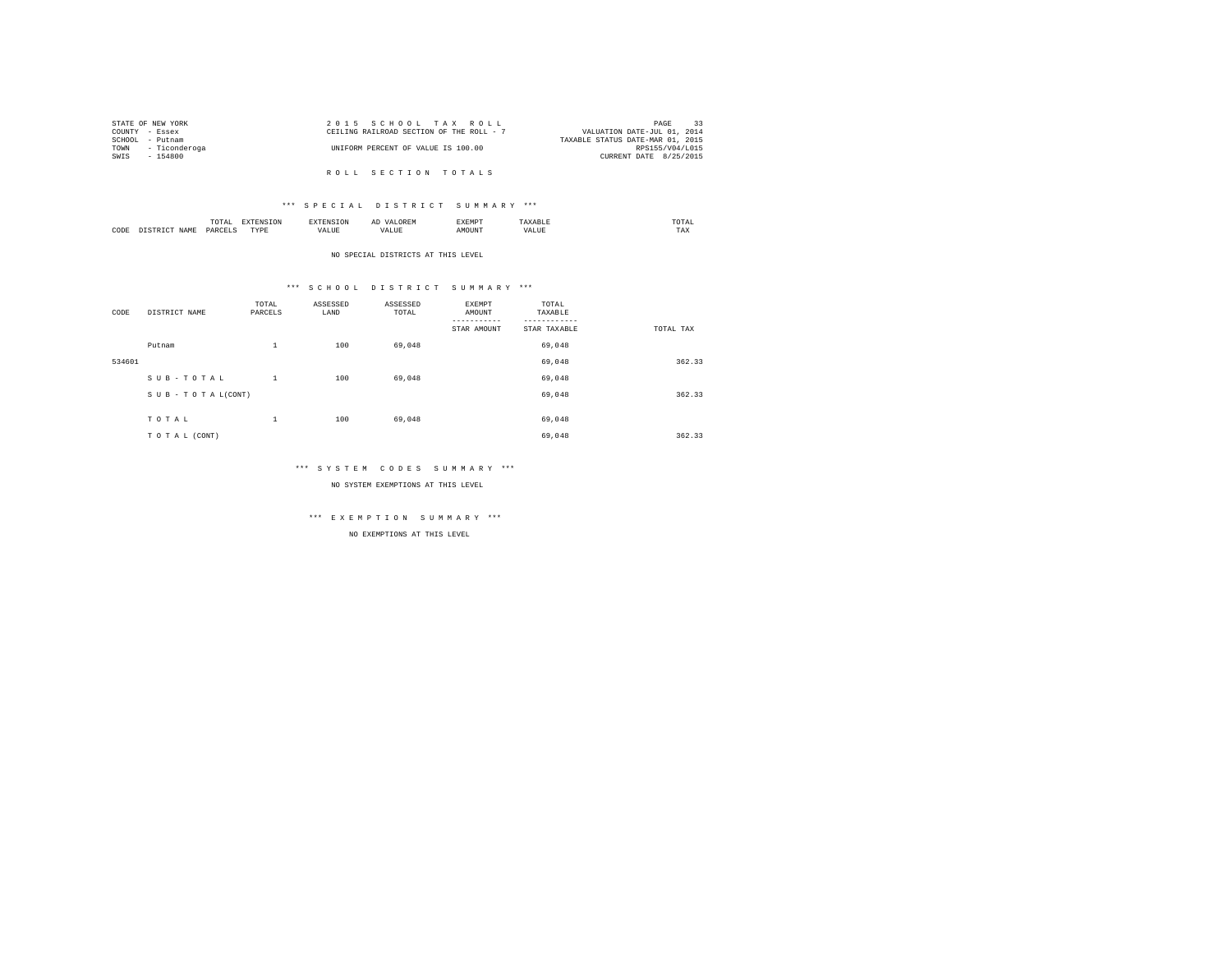|                 | STATE OF NEW YORK  | 2015 SCHOOL TAX ROLL                     | 33<br>PAGE                  |  |
|-----------------|--------------------|------------------------------------------|-----------------------------|--|
| COUNTY - Essex  |                    | CEILING RAILROAD SECTION OF THE ROLL - 7 | VALUATION DATE-JUL 01, 2014 |  |
| SCHOOL - Putnam |                    | TAXABLE STATUS DATE-MAR 01, 2015         |                             |  |
|                 | TOWN - Ticonderoga | UNIFORM PERCENT OF VALUE IS 100.00       | RPS155/V04/L015             |  |
| SWIS            | - 154800           |                                          | CURRENT DATE 8/25/2015      |  |
|                 |                    |                                          |                             |  |
|                 |                    | ROLL SECTION TOTALS                      |                             |  |

# \*\*\* S P E C I A L D I S T R I C T S U M M A R Y \*\*\*

|      | $\cdots$<br>.<br>the contract of the contract of the contract of | the contract of the contract of the contract of the contract of the contract of |         | ▵<br>- |   | the contract of the contract of the contract of |  |
|------|------------------------------------------------------------------|---------------------------------------------------------------------------------|---------|--------|---|-------------------------------------------------|--|
| CODE | DARCEL.<br>.                                                     | $- - - -$<br>.                                                                  | ٠.<br>. |        | . | ----<br>1'A.X                                   |  |

NO SPECIAL DISTRICTS AT THIS LEVEL

# \*\*\* S C H O O L D I S T R I C T S U M M A R Y \*\*\*

| CODE   | DISTRICT NAME      | TOTAL<br>PARCELS | ASSESSED<br>LAND | ASSESSED<br>TOTAL | EXEMPT<br>AMOUNT | TOTAL<br>TAXABLE |           |
|--------|--------------------|------------------|------------------|-------------------|------------------|------------------|-----------|
|        |                    |                  |                  |                   | STAR AMOUNT      | STAR TAXABLE     | TOTAL TAX |
|        | Putnam             | $\,1\,$          | 100              | 69,048            |                  | 69,048           |           |
| 534601 |                    |                  |                  |                   |                  | 69,048           | 362.33    |
|        | SUB-TOTAL          | $\mathbf{1}$     | 100              | 69,048            |                  | 69,048           |           |
|        | SUB - TO TAL(CONT) |                  |                  |                   |                  | 69,048           | 362.33    |
|        |                    |                  |                  |                   |                  |                  |           |
|        | TOTAL              | $\,1\,$          | 100              | 69,048            |                  | 69,048           |           |
|        | TO TAL (CONT)      |                  |                  |                   |                  | 69,048           | 362.33    |

# \*\*\* S Y S T E M C O D E S S U M M A R Y \*\*\*

NO SYSTEM EXEMPTIONS AT THIS LEVEL

# \*\*\* E X E M P T I O N S U M M A R Y \*\*\*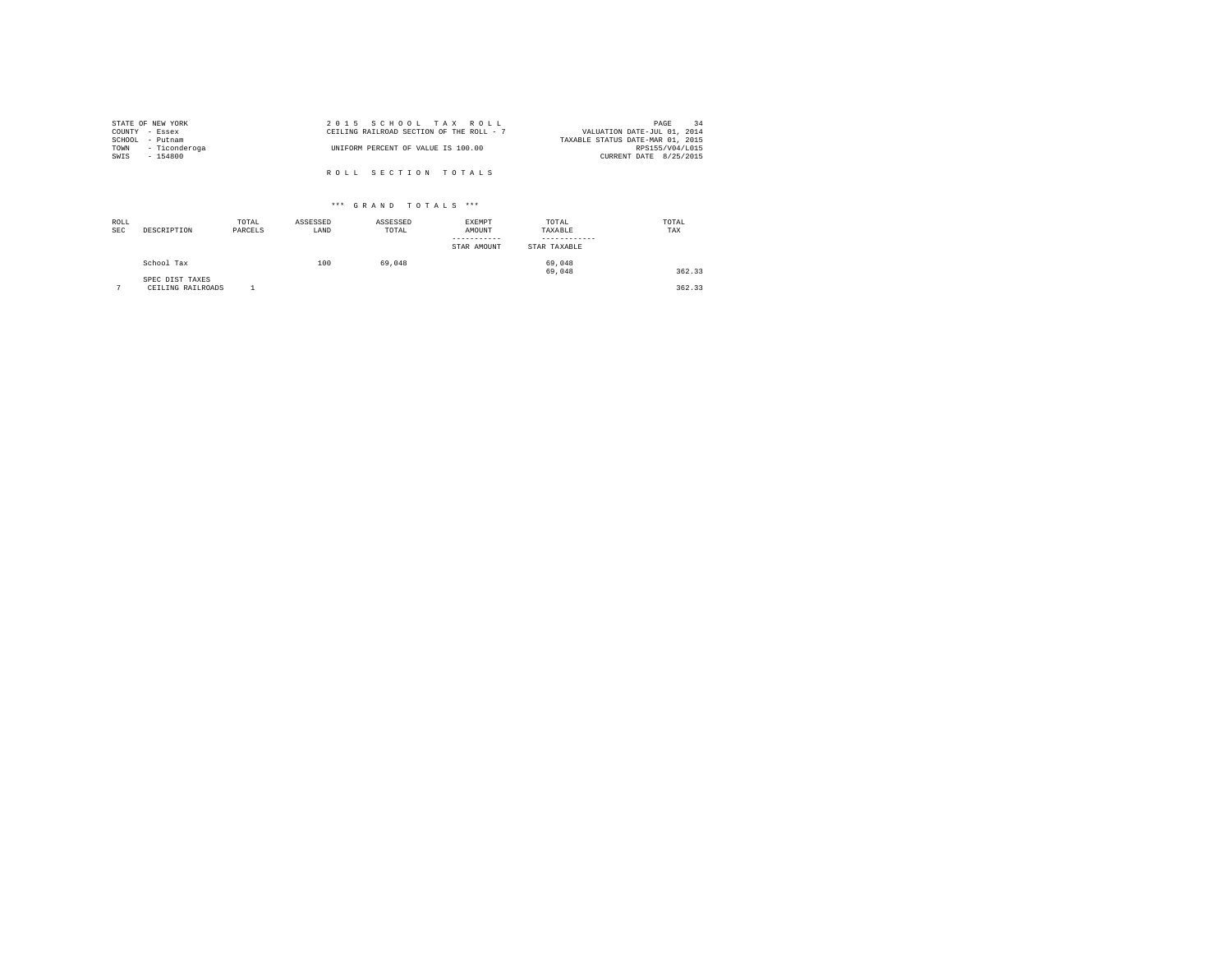|                | STATE OF NEW YORK | 2015 SCHOOL TAX ROLL                     | 34<br>PAGE                       |
|----------------|-------------------|------------------------------------------|----------------------------------|
| COUNTY - Essex |                   | CEILING RAILROAD SECTION OF THE ROLL - 7 | VALUATION DATE-JUL 01, 2014      |
|                | SCHOOL - Putnam   |                                          | TAXABLE STATUS DATE-MAR 01, 2015 |
| TOWN           | - Ticonderoga     | UNIFORM PERCENT OF VALUE IS 100.00       | RPS155/V04/L015                  |
| SWIS           | - 154800          |                                          | CURRENT DATE 8/25/2015           |
|                |                   |                                          |                                  |
|                |                   | ROLL SECTION TOTALS                      |                                  |

| ROLL<br><b>SEC</b> | DESCRIPTION                          | TOTAL<br>PARCELS | ASSESSED<br>LAND | ASSESSED<br>TOTAL | EXEMPT<br>AMOUNT<br>-----------<br>STAR AMOUNT | TOTAL<br>TAXABLE<br>STAR TAXABLE | TOTAL<br>TAX |
|--------------------|--------------------------------------|------------------|------------------|-------------------|------------------------------------------------|----------------------------------|--------------|
|                    | School Tax                           |                  | 100              | 69.048            |                                                | 69,048<br>69,048                 | 362.33       |
| $\sim$             | SPEC DIST TAXES<br>CEILING RAILROADS |                  |                  |                   |                                                |                                  | 362.33       |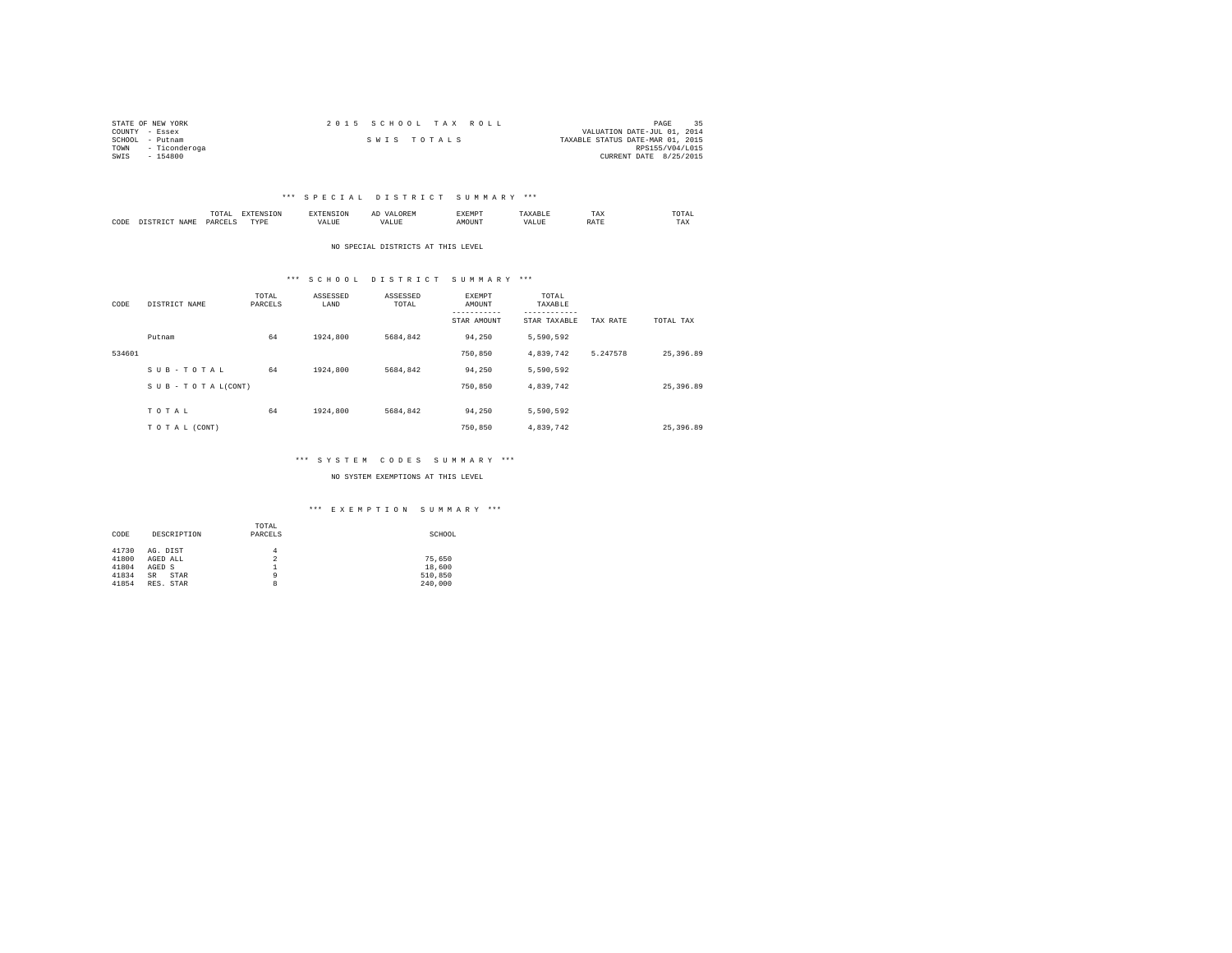| STATE OF NEW YORK     | 2015 SCHOOL TAX ROLL | PAGE                             |
|-----------------------|----------------------|----------------------------------|
| COUNTY - Essex        |                      | VALUATION DATE-JUL 01, 2014      |
| SCHOOL - Putnam       | SWIS TOTALS          | TAXABLE STATUS DATE-MAR 01, 2015 |
| - Ticonderoga<br>TOWN |                      | RPS155/V04/L015                  |
| SWIS<br>$-154800$     |                      | CURRENT DATE 8/25/2015           |

# \*\*\* S P E C I A L D I S T R I C T S U M M A R Y \*\*\*

|           |                     | moms.<br>I U L'AI<br>the contract of the contract of the contract of | <b>PERSONAL</b> |      | --   | EXEMP? |      | TAX | <b>OTAL</b><br>the contract of the contract of the contract of |
|-----------|---------------------|----------------------------------------------------------------------|-----------------|------|------|--------|------|-----|----------------------------------------------------------------|
| CODE<br>. | <b>AMT</b><br>11.12 | DΔRΓ                                                                 | TVDE<br>.       | ALUE | ALUE |        | ALUE |     | TAX                                                            |

NO SPECIAL DISTRICTS AT THIS LEVEL

# \*\*\* S C H O O L D I S T R I C T S U M M A R Y \*\*\*

| CODE   | DISTRICT NAME                 | TOTAL<br>PARCELS | ASSESSED<br>LAND | ASSESSED<br>TOTAL | EXEMPT<br>AMOUNT<br>-----------<br>STAR AMOUNT | TOTAL<br>TAXABLE<br>---------<br>STAR TAXABLE | TAX RATE | TOTAL TAX |
|--------|-------------------------------|------------------|------------------|-------------------|------------------------------------------------|-----------------------------------------------|----------|-----------|
|        | Putnam                        | 64               | 1924,800         | 5684.842          | 94.250                                         | 5.590.592                                     |          |           |
| 534601 |                               |                  |                  |                   | 750,850                                        | 4,839,742                                     | 5.247578 | 25,396.89 |
|        | SUB-TOTAL                     | 64               | 1924,800         | 5684.842          | 94.250                                         | 5.590.592                                     |          |           |
|        | $S \cup B - T O T A L (CONT)$ |                  |                  |                   | 750,850                                        | 4,839,742                                     |          | 25,396.89 |
|        | TOTAL                         | 64               | 1924,800         | 5684.842          | 94.250                                         | 5.590.592                                     |          |           |
|        | TO TAL (CONT)                 |                  |                  |                   | 750,850                                        | 4.839.742                                     |          | 25,396.89 |

# \*\*\* S Y S T E M C O D E S S U M M A R Y \*\*\*

NO SYSTEM EXEMPTIONS AT THIS LEVEL

# \*\*\* E X E M P T I O N S U M M A R Y \*\*\*

|       |                   | TOTAL          |         |
|-------|-------------------|----------------|---------|
| CODE  | DESCRIPTION       | PARCELS        | SCHOOL  |
| 41730 | AG. DIST          | 4              |         |
| 41800 | AGED ALL          | $\overline{2}$ | 75.650  |
| 41804 | AGED S            |                | 18,600  |
| 41834 | <b>SR</b><br>STAR | 9              | 510,850 |
| 41854 | RES. STAR         | 8              | 240,000 |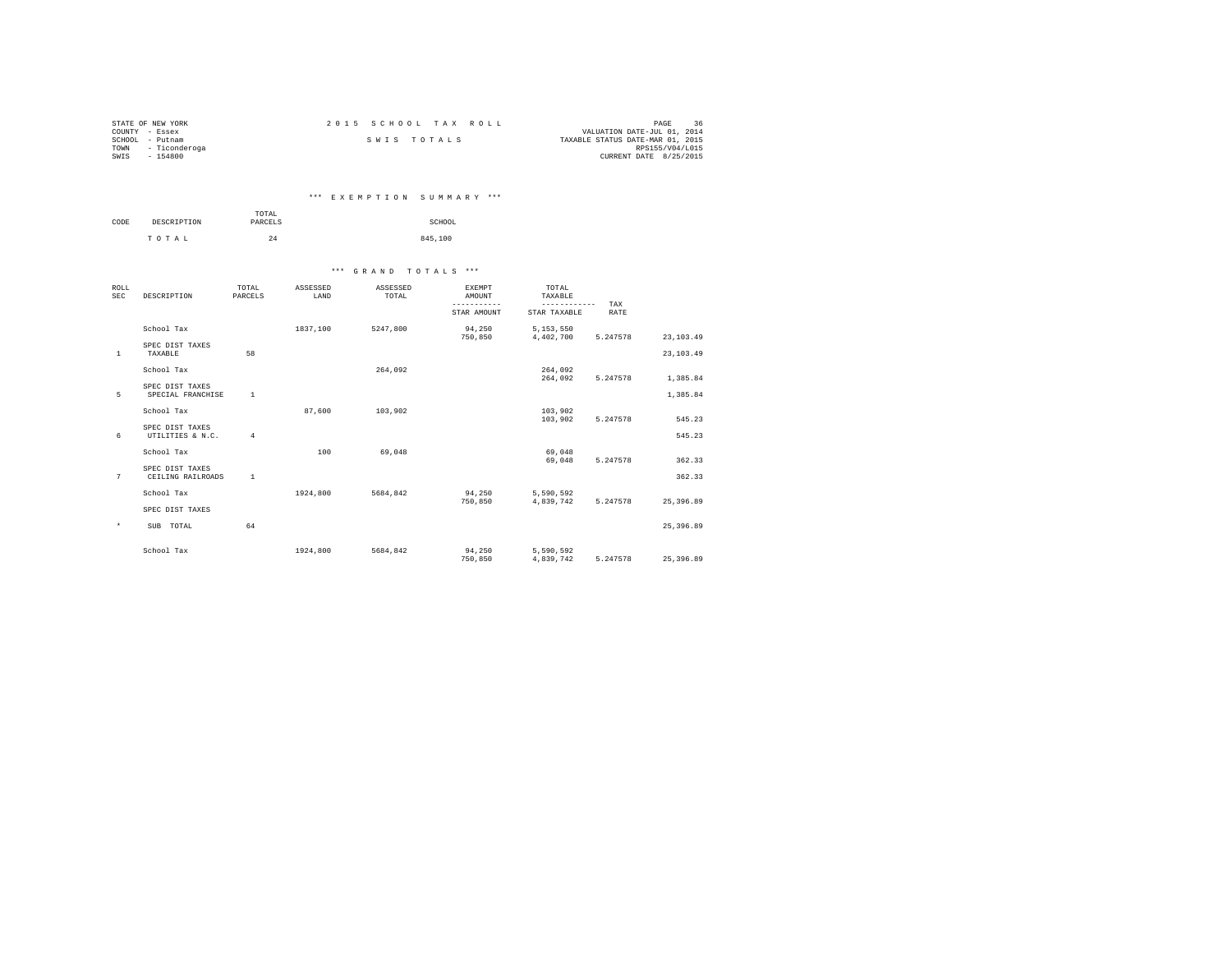| STATE OF NEW YORK     | 2015 SCHOOL TAX ROLL | 36<br>PAGE                       |
|-----------------------|----------------------|----------------------------------|
| COUNTY - Essex        |                      | VALUATION DATE-JUL 01, 2014      |
| SCHOOL<br>- Putnam    | SWIS TOTALS          | TAXABLE STATUS DATE-MAR 01, 2015 |
| - Ticonderoga<br>TOWN |                      | RPS155/V04/L015                  |
| SWIS<br>$-154800$     |                      | CURRENT DATE 8/25/2015           |

| *** EXEMPTION SUMMARY *** |  |  |  |  |  |  |  |  |  |  |  |  |  |  |  |  |  |
|---------------------------|--|--|--|--|--|--|--|--|--|--|--|--|--|--|--|--|--|
|---------------------------|--|--|--|--|--|--|--|--|--|--|--|--|--|--|--|--|--|

|      |             | TOTAL   |         |
|------|-------------|---------|---------|
| CODE | DESCRIPTION | PARCELS | SCHOOL  |
|      |             |         |         |
|      | TOTAL       | 24      | 845,100 |

| ROLL<br><b>SEC</b> | DESCRIPTION                          | TOTAL<br>PARCELS | ASSESSED<br>LAND | ASSESSED<br>TOTAL | <b>EXEMPT</b><br>AMOUNT<br>----------- | TOTAL<br>TAXABLE<br>-------- | TAX      |             |
|--------------------|--------------------------------------|------------------|------------------|-------------------|----------------------------------------|------------------------------|----------|-------------|
|                    |                                      |                  |                  |                   | STAR AMOUNT                            | STAR TAXABLE                 | RATE     |             |
|                    | School Tax                           |                  | 1837.100         | 5247.800          | 94,250<br>750,850                      | 5,153,550<br>4,402,700       | 5.247578 | 23, 103.49  |
| $\mathbf{1}$       | SPEC DIST TAXES<br>TAXABLE           | 58               |                  |                   |                                        |                              |          | 23, 103.49  |
|                    | School Tax                           |                  |                  | 264.092           |                                        | 264,092<br>264,092           | 5.247578 | 1,385.84    |
| 5                  | SPEC DIST TAXES<br>SPECIAL FRANCHISE | $\mathbf{1}$     |                  |                   |                                        |                              |          | 1,385.84    |
|                    | School Tax                           |                  | 87.600           | 103,902           |                                        | 103,902<br>103,902           | 5.247578 | 545.23      |
| 6                  | SPEC DIST TAXES<br>UTILITIES & N.C.  | $\overline{4}$   |                  |                   |                                        |                              |          | 545.23      |
|                    | School Tax                           |                  | 100              | 69.048            |                                        | 69,048<br>69,048             | 5.247578 | 362.33      |
| 7                  | SPEC DIST TAXES<br>CEILING RAILROADS | $\mathbf{1}$     |                  |                   |                                        |                              |          | 362.33      |
|                    | School Tax                           |                  | 1924,800         | 5684.842          | 94.250<br>750,850                      | 5,590,592<br>4,839,742       | 5.247578 | 25,396.89   |
|                    | SPEC DIST TAXES                      |                  |                  |                   |                                        |                              |          |             |
| $\star$            | SUB TOTAL                            | 64               |                  |                   |                                        |                              |          | 25, 396, 89 |
|                    | School Tax                           |                  | 1924,800         | 5684.842          | 94,250<br>750,850                      | 5,590,592<br>4,839,742       | 5.247578 | 25, 396, 89 |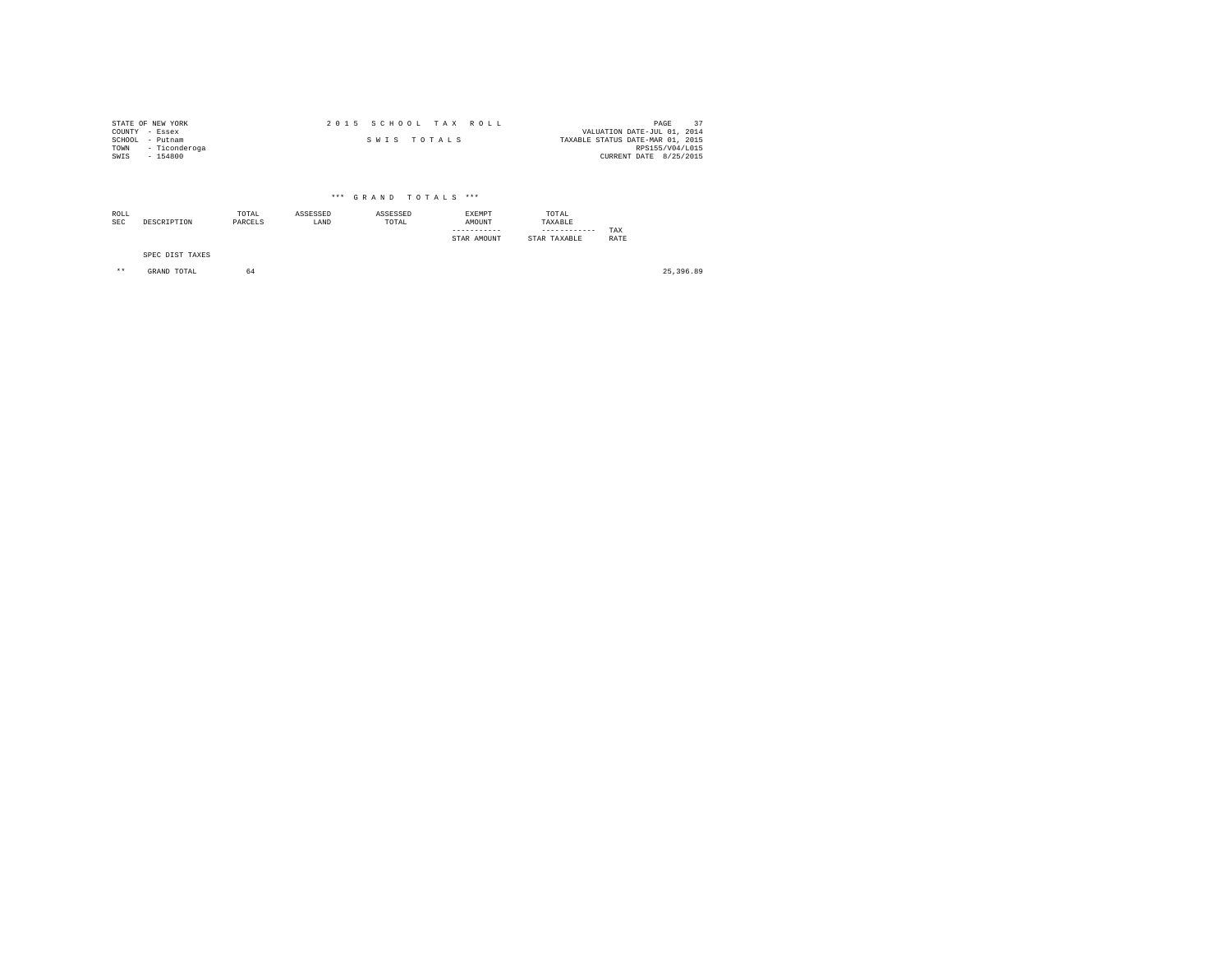|                | STATE OF NEW YORK | 2015 SCHOOL TAX ROLL |             |                                  | PAGE                   |  |
|----------------|-------------------|----------------------|-------------|----------------------------------|------------------------|--|
| COUNTY - Essex |                   |                      |             | VALUATION DATE-JUL 01, 2014      |                        |  |
|                | SCHOOL - Putnam   |                      | SWIS TOTALS | TAXABLE STATUS DATE-MAR 01, 2015 |                        |  |
| TOWN           | - Ticonderoga     |                      |             |                                  | RPS155/V04/L015        |  |
| SWIS           | $-154800$         |                      |             |                                  | CURRENT DATE 8/25/2015 |  |

| ROLL<br>SEC | DESCRIPTION     | TOTAL<br>PARCELS | ASSESSED<br>LAND | ASSESSED<br>TOTAL | <b>EXEMPT</b><br>AMOUNT<br>STAR AMOUNT | TOTAL<br>TAXABLE<br>------------<br>STAR TAXABLE | TAX<br>RATE |
|-------------|-----------------|------------------|------------------|-------------------|----------------------------------------|--------------------------------------------------|-------------|
|             | SPEC DIST TAXES |                  |                  |                   |                                        |                                                  |             |

\*\* GRAND TOTAL 64 25,396.89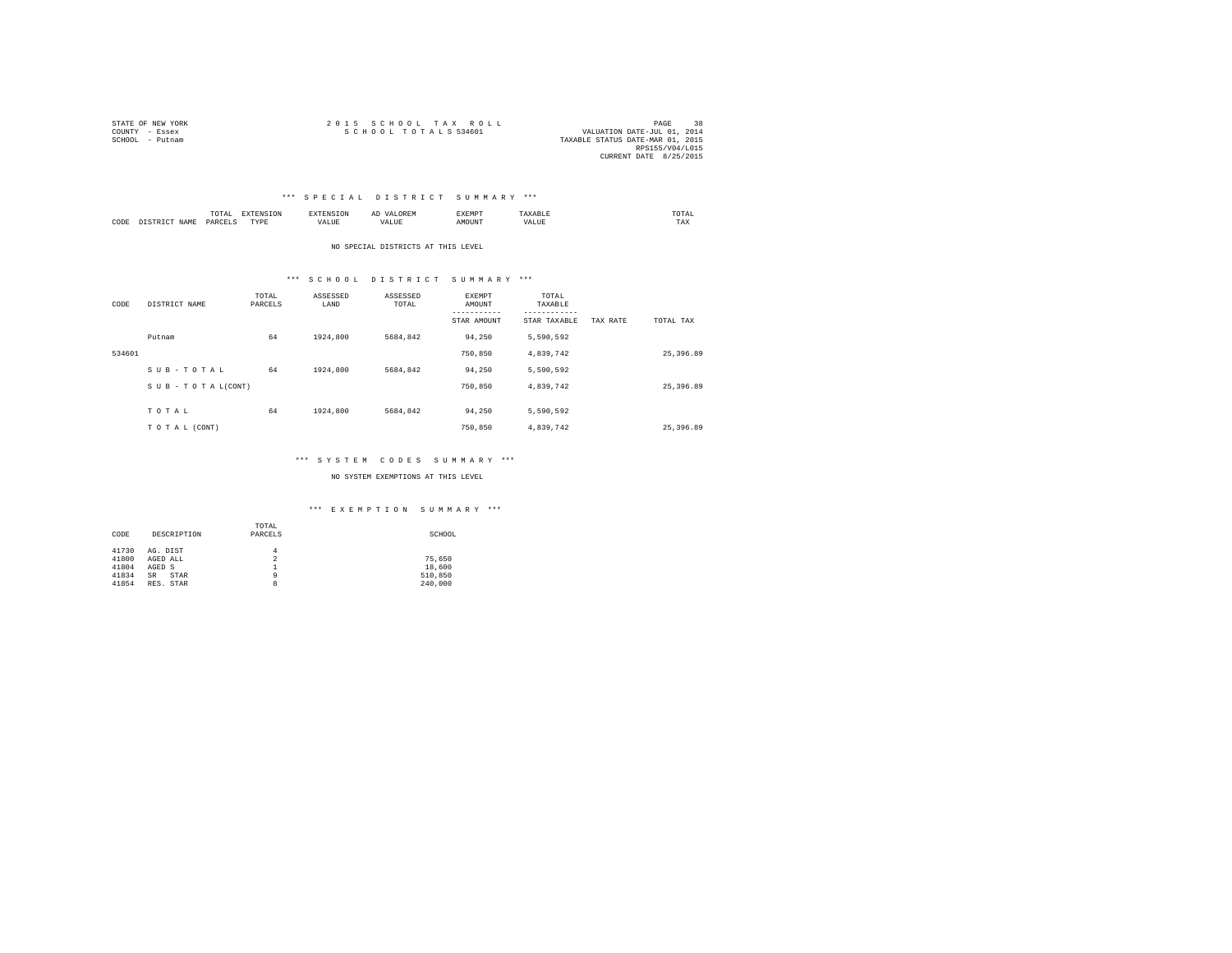| STATE OF NEW YORK | 2015 SCHOOL TAX ROLL | 38<br>PAGE                       |
|-------------------|----------------------|----------------------------------|
| COUNTY - Essex    | SCHOOL TOTALS 534601 | VALUATION DATE-JUL 01, 2014      |
| SCHOOL - Putnam   |                      | TAXABLE STATUS DATE-MAR 01, 2015 |
|                   |                      | RPS155/V04/L015                  |
|                   |                      | CURRENT DATE 8/25/2015           |

# \*\*\* S P E C I A L D I S T R I C T S U M M A R Y \*\*\*

|      |            | ٠<br>.<br>the contract of the contract of the contract of |      |      | <br>-41<br>⊔∪≀⊾ | £XEMP?  |      | UTAI<br>the contract of the contract of the contract of |
|------|------------|-----------------------------------------------------------|------|------|-----------------|---------|------|---------------------------------------------------------|
| CODE | .7.14<br>. | DARCET<br>י יוברי                                         | TYPE | ALUE | .               | M(1116) | ALUE | $- - -$<br>1 A.A                                        |

NO SPECIAL DISTRICTS AT THIS LEVEL

# \*\*\* S C H O O L D I S T R I C T S U M M A R Y \*\*\*

| CODE   | DISTRICT NAME   | TOTAL<br>PARCELS | ASSESSED<br>LAND | ASSESSED<br>TOTAL | <b>EXEMPT</b><br>AMOUNT<br>STAR AMOUNT | TOTAL<br>TAXABLE<br>---------<br>STAR TAXABLE | TAX RATE | TOTAL TAX |
|--------|-----------------|------------------|------------------|-------------------|----------------------------------------|-----------------------------------------------|----------|-----------|
|        | Putnam          | 64               | 1924,800         | 5684.842          | 94.250                                 | 5,590,592                                     |          |           |
| 534601 |                 |                  |                  |                   | 750,850                                | 4,839,742                                     |          | 25,396.89 |
|        | SUB-TOTAL       | 64               | 1924,800         | 5684.842          | 94.250                                 | 5,590,592                                     |          |           |
|        | SUB-TOTAL(CONT) |                  |                  |                   | 750,850                                | 4,839,742                                     |          | 25,396.89 |
|        | TOTAL           | 64               | 1924,800         | 5684.842          | 94.250                                 | 5,590,592                                     |          |           |
|        | TO TAL (CONT)   |                  |                  |                   | 750,850                                | 4.839.742                                     |          | 25,396.89 |

# \*\*\* S Y S T E M C O D E S S U M M A R Y \*\*\*

NO SYSTEM EXEMPTIONS AT THIS LEVEL

# \*\*\* E X E M P T I O N S U M M A R Y \*\*\*

|       |                   | TOTAL          |         |
|-------|-------------------|----------------|---------|
| CODE  | DESCRIPTION       | PARCELS        | SCHOOL  |
|       |                   |                |         |
| 41730 | AG. DIST          | 4              |         |
| 41800 | AGED ALL          | $\overline{2}$ | 75.650  |
| 41804 | AGED S            | ≖              | 18,600  |
| 41834 | STAR<br><b>SR</b> | 9              | 510,850 |
| 41854 | RES. STAR         | 8              | 240,000 |